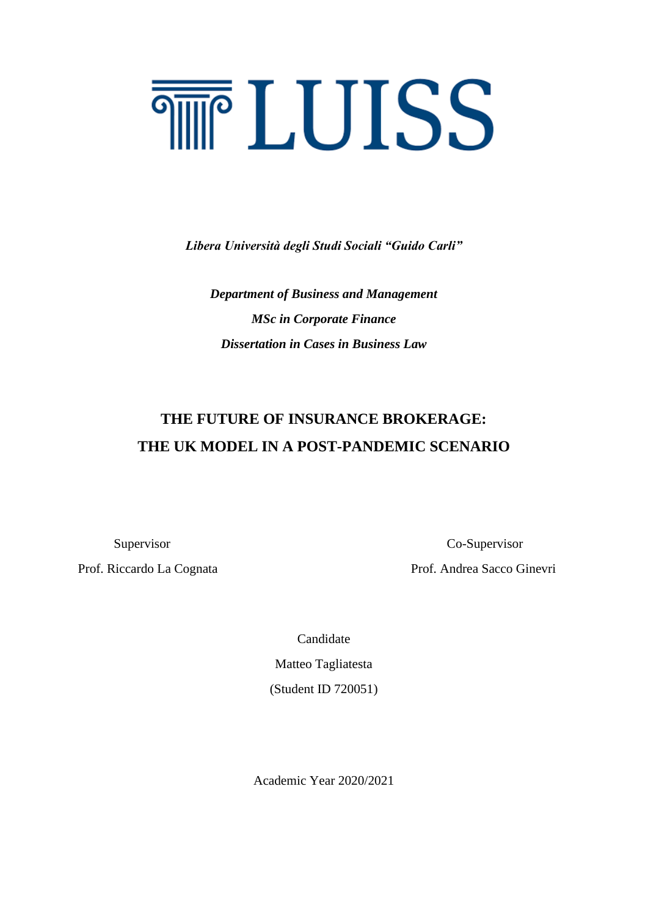# **THE LUISS**

*Libera Università degli Studi Sociali "Guido Carli"*

*Department of Business and Management MSc in Corporate Finance Dissertation in Cases in Business Law*

# **THE FUTURE OF INSURANCE BROKERAGE: THE UK MODEL IN A POST-PANDEMIC SCENARIO**

Prof. Riccardo La Cognata Prof. Andrea Sacco Ginevri

Supervisor Co-Supervisor

Candidate Matteo Tagliatesta

(Student ID 720051)

Academic Year 2020/2021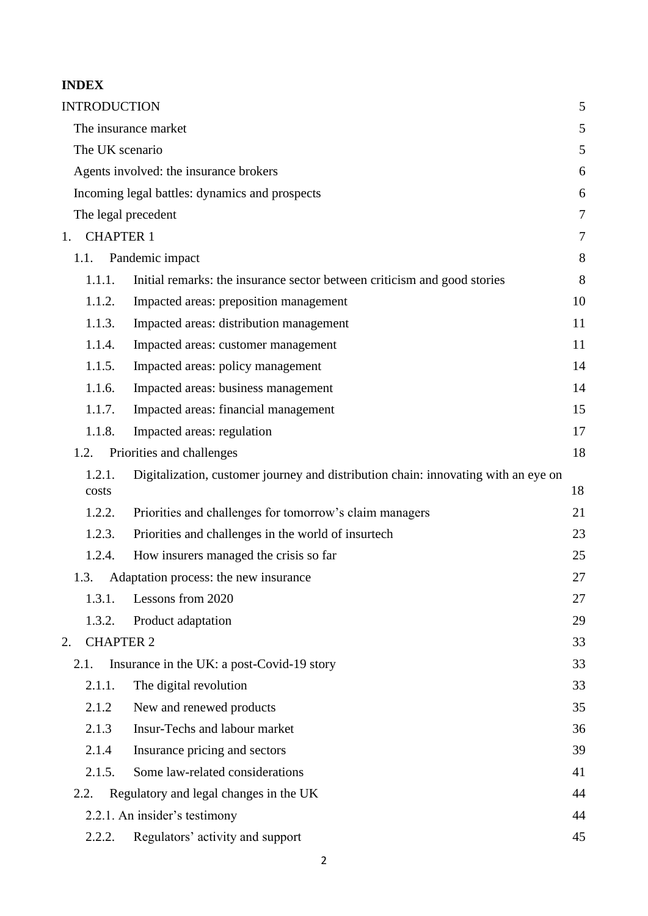# **INDEX**

| <b>INTRODUCTION</b>    |                                                                                    | 5      |
|------------------------|------------------------------------------------------------------------------------|--------|
|                        | The insurance market                                                               | 5      |
| The UK scenario        |                                                                                    | 5      |
|                        | Agents involved: the insurance brokers                                             | 6      |
|                        | Incoming legal battles: dynamics and prospects                                     | 6      |
| The legal precedent    |                                                                                    | $\tau$ |
| <b>CHAPTER 1</b><br>1. |                                                                                    | 7      |
| 1.1.                   | Pandemic impact                                                                    | 8      |
| 1.1.1.                 | Initial remarks: the insurance sector between criticism and good stories           | 8      |
| 1.1.2.                 | Impacted areas: preposition management                                             | 10     |
| 1.1.3.                 | Impacted areas: distribution management                                            | 11     |
| 1.1.4.                 | Impacted areas: customer management                                                | 11     |
| 1.1.5.                 | Impacted areas: policy management                                                  | 14     |
| 1.1.6.                 | Impacted areas: business management                                                | 14     |
| 1.1.7.                 | Impacted areas: financial management                                               | 15     |
| 1.1.8.                 | Impacted areas: regulation                                                         | 17     |
| 1.2.                   | Priorities and challenges                                                          | 18     |
| 1.2.1.                 | Digitalization, customer journey and distribution chain: innovating with an eye on |        |
| costs                  |                                                                                    | 18     |
| 1.2.2.                 | Priorities and challenges for tomorrow's claim managers                            | 21     |
| 1.2.3.                 | Priorities and challenges in the world of insurtech                                | 23     |
| 1.2.4.                 | How insurers managed the crisis so far                                             | 25     |
| 1.3.                   | Adaptation process: the new insurance                                              | 27     |
| 1.3.1.                 | Lessons from 2020                                                                  | 27     |
| 1.3.2.                 | Product adaptation                                                                 | 29     |
| <b>CHAPTER 2</b><br>2. |                                                                                    | 33     |
| 2.1.                   | Insurance in the UK: a post-Covid-19 story                                         | 33     |
| 2.1.1.                 | The digital revolution                                                             | 33     |
| 2.1.2                  | New and renewed products                                                           | 35     |
| 2.1.3                  | Insur-Techs and labour market                                                      | 36     |
| 2.1.4                  | Insurance pricing and sectors                                                      | 39     |
| 2.1.5.                 | Some law-related considerations                                                    | 41     |
| 2.2.                   | Regulatory and legal changes in the UK                                             | 44     |
|                        | 2.2.1. An insider's testimony                                                      | 44     |
| 2.2.2.                 | Regulators' activity and support                                                   | 45     |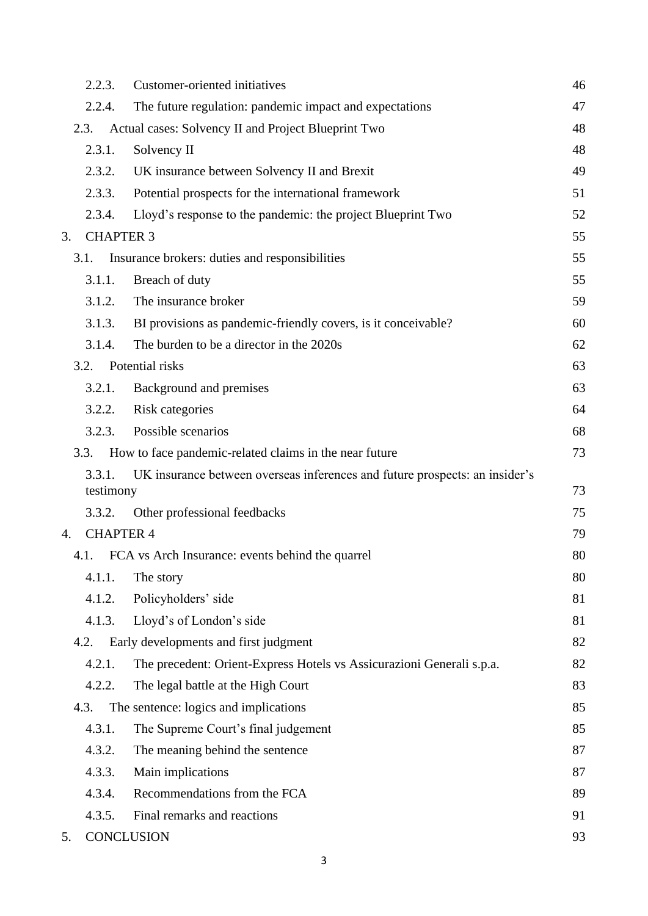|    | 2.2.3.              | Customer-oriented initiatives                                               | 46 |
|----|---------------------|-----------------------------------------------------------------------------|----|
|    | 2.2.4.              | The future regulation: pandemic impact and expectations                     | 47 |
|    | 2.3.                | Actual cases: Solvency II and Project Blueprint Two                         | 48 |
|    | 2.3.1.              | Solvency II                                                                 | 48 |
|    | 2.3.2.              | UK insurance between Solvency II and Brexit                                 | 49 |
|    | 2.3.3.              | Potential prospects for the international framework                         | 51 |
|    | 2.3.4.              | Lloyd's response to the pandemic: the project Blueprint Two                 | 52 |
| 3. | <b>CHAPTER 3</b>    |                                                                             | 55 |
|    | 3.1.                | Insurance brokers: duties and responsibilities                              | 55 |
|    | 3.1.1.              | Breach of duty                                                              | 55 |
|    | 3.1.2.              | The insurance broker                                                        | 59 |
|    | 3.1.3.              | BI provisions as pandemic-friendly covers, is it conceivable?               | 60 |
|    | 3.1.4.              | The burden to be a director in the 2020s                                    | 62 |
|    | 3.2.                | Potential risks                                                             | 63 |
|    | 3.2.1.              | Background and premises                                                     | 63 |
|    | 3.2.2.              | Risk categories                                                             | 64 |
|    | 3.2.3.              | Possible scenarios                                                          | 68 |
|    | 3.3.                | How to face pandemic-related claims in the near future                      | 73 |
|    | 3.3.1.<br>testimony | UK insurance between overseas inferences and future prospects: an insider's | 73 |
|    | 3.3.2.              | Other professional feedbacks                                                | 75 |
| 4. | <b>CHAPTER 4</b>    |                                                                             | 79 |
|    | 4.1.                | FCA vs Arch Insurance: events behind the quarrel                            | 80 |
|    | 4.1.1.              | The story                                                                   | 80 |
|    | 4.1.2.              | Policyholders' side                                                         | 81 |
|    | 4.1.3.              | Lloyd's of London's side                                                    | 81 |
|    | 4.2.                | Early developments and first judgment                                       | 82 |
|    | 4.2.1.              | The precedent: Orient-Express Hotels vs Assicurazioni Generali s.p.a.       | 82 |
|    | 4.2.2.              | The legal battle at the High Court                                          | 83 |
|    | 4.3.                | The sentence: logics and implications                                       | 85 |
|    | 4.3.1.              | The Supreme Court's final judgement                                         | 85 |
|    | 4.3.2.              | The meaning behind the sentence                                             | 87 |
|    | 4.3.3.              | Main implications                                                           | 87 |
|    | 4.3.4.              | Recommendations from the FCA                                                | 89 |
|    | 4.3.5.              | Final remarks and reactions                                                 | 91 |
| 5. | <b>CONCLUSION</b>   |                                                                             | 93 |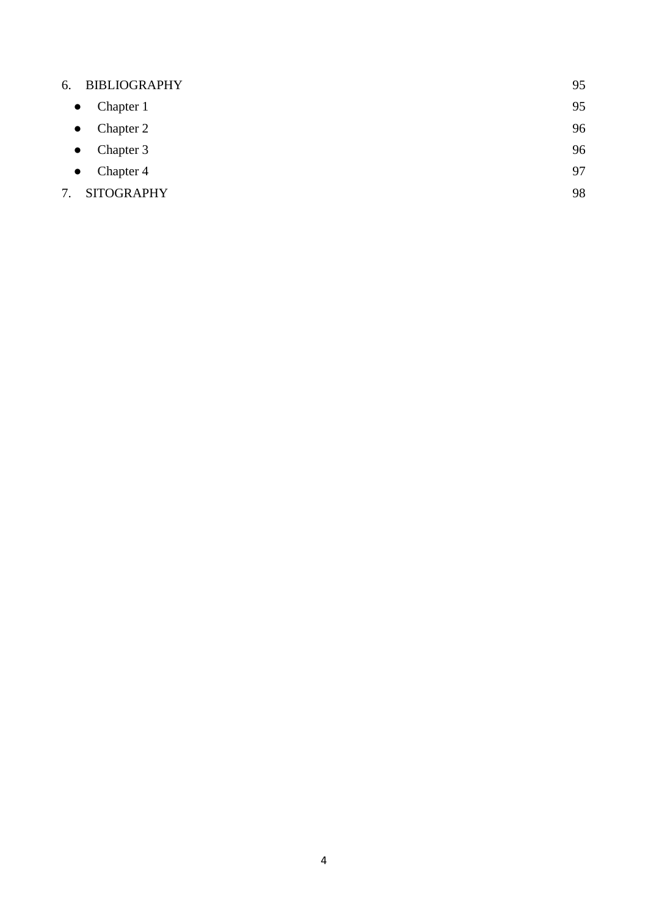| 6.        | <b>BIBLIOGRAPHY</b> | 95 |
|-----------|---------------------|----|
| $\bullet$ | Chapter 1           | 95 |
| $\bullet$ | Chapter 2           | 96 |
| $\bullet$ | Chapter 3           | 96 |
| $\bullet$ | Chapter 4           | 97 |
| 7.        | <b>SITOGRAPHY</b>   | 98 |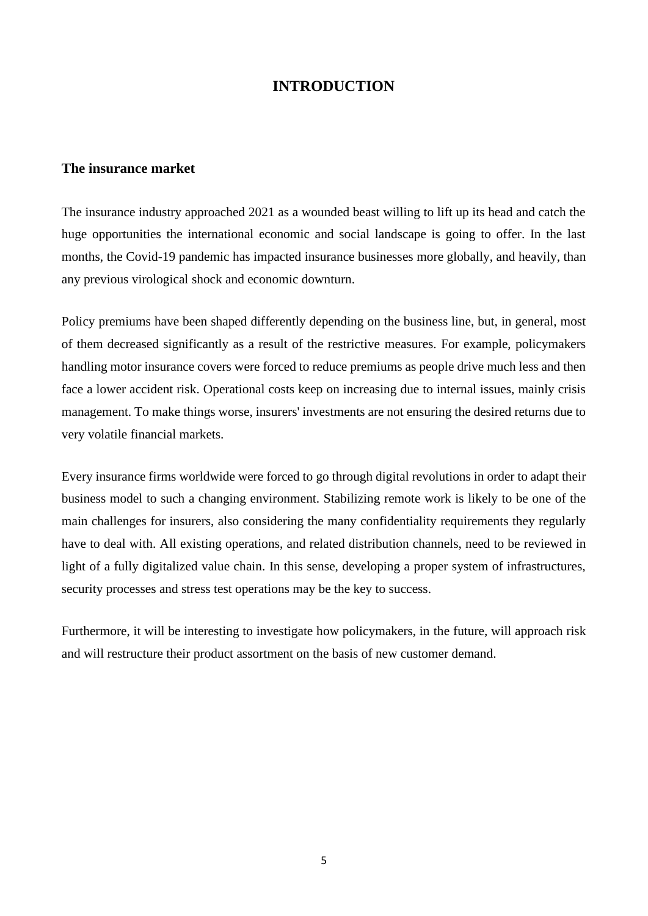# **INTRODUCTION**

### <span id="page-4-1"></span><span id="page-4-0"></span>**The insurance market**

<span id="page-4-2"></span>The insurance industry approached 2021 as a wounded beast willing to lift up its head and catch the huge opportunities the international economic and social landscape is going to offer. In the last months, the Covid-19 pandemic has impacted insurance businesses more globally, and heavily, than any previous virological shock and economic downturn.

Policy premiums have been shaped differently depending on the business line, but, in general, most of them decreased significantly as a result of the restrictive measures. For example, policymakers handling motor insurance covers were forced to reduce premiums as people drive much less and then face a lower accident risk. Operational costs keep on increasing due to internal issues, mainly crisis management. To make things worse, insurers' investments are not ensuring the desired returns due to very volatile financial markets.

Every insurance firms worldwide were forced to go through digital revolutions in order to adapt their business model to such a changing environment. Stabilizing remote work is likely to be one of the main challenges for insurers, also considering the many confidentiality requirements they regularly have to deal with. All existing operations, and related distribution channels, need to be reviewed in light of a fully digitalized value chain. In this sense, developing a proper system of infrastructures, security processes and stress test operations may be the key to success.

Furthermore, it will be interesting to investigate how policymakers, in the future, will approach risk and will restructure their product assortment on the basis of new customer demand.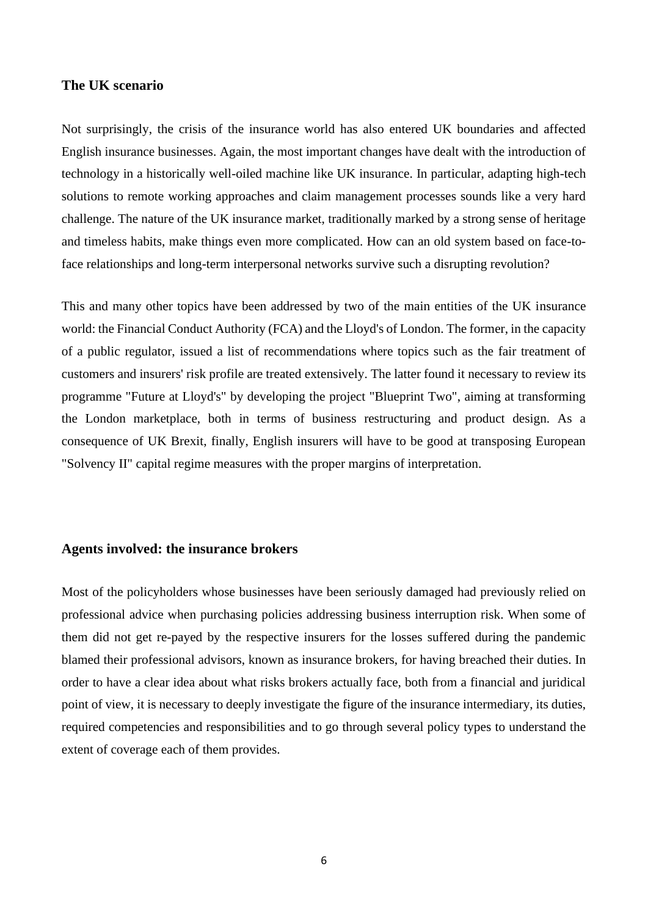### **The UK scenario**

<span id="page-5-0"></span>Not surprisingly, the crisis of the insurance world has also entered UK boundaries and affected English insurance businesses. Again, the most important changes have dealt with the introduction of technology in a historically well-oiled machine like UK insurance. In particular, adapting high-tech solutions to remote working approaches and claim management processes sounds like a very hard challenge. The nature of the UK insurance market, traditionally marked by a strong sense of heritage and timeless habits, make things even more complicated. How can an old system based on face-toface relationships and long-term interpersonal networks survive such a disrupting revolution?

This and many other topics have been addressed by two of the main entities of the UK insurance world: the Financial Conduct Authority (FCA) and the Lloyd's of London. The former, in the capacity of a public regulator, issued a list of recommendations where topics such as the fair treatment of customers and insurers' risk profile are treated extensively. The latter found it necessary to review its programme "Future at Lloyd's" by developing the project "Blueprint Two", aiming at transforming the London marketplace, both in terms of business restructuring and product design. As a consequence of UK Brexit, finally, English insurers will have to be good at transposing European "Solvency II" capital regime measures with the proper margins of interpretation.

### **Agents involved: the insurance brokers**

<span id="page-5-1"></span>Most of the policyholders whose businesses have been seriously damaged had previously relied on professional advice when purchasing policies addressing business interruption risk. When some of them did not get re-payed by the respective insurers for the losses suffered during the pandemic blamed their professional advisors, known as insurance brokers, for having breached their duties. In order to have a clear idea about what risks brokers actually face, both from a financial and juridical point of view, it is necessary to deeply investigate the figure of the insurance intermediary, its duties, required competencies and responsibilities and to go through several policy types to understand the extent of coverage each of them provides.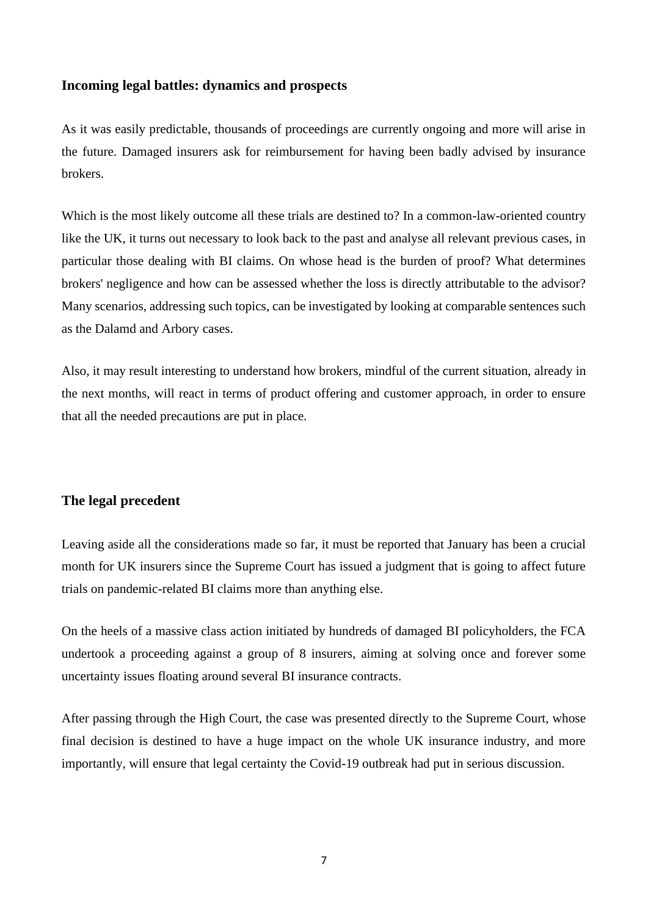### **Incoming legal battles: dynamics and prospects**

<span id="page-6-0"></span>As it was easily predictable, thousands of proceedings are currently ongoing and more will arise in the future. Damaged insurers ask for reimbursement for having been badly advised by insurance brokers.

Which is the most likely outcome all these trials are destined to? In a common-law-oriented country like the UK, it turns out necessary to look back to the past and analyse all relevant previous cases, in particular those dealing with BI claims. On whose head is the burden of proof? What determines brokers' negligence and how can be assessed whether the loss is directly attributable to the advisor? Many scenarios, addressing such topics, can be investigated by looking at comparable sentences such as the Dalamd and Arbory cases.

Also, it may result interesting to understand how brokers, mindful of the current situation, already in the next months, will react in terms of product offering and customer approach, in order to ensure that all the needed precautions are put in place.

# **The legal precedent**

<span id="page-6-1"></span>Leaving aside all the considerations made so far, it must be reported that January has been a crucial month for UK insurers since the Supreme Court has issued a judgment that is going to affect future trials on pandemic-related BI claims more than anything else.

On the heels of a massive class action initiated by hundreds of damaged BI policyholders, the FCA undertook a proceeding against a group of 8 insurers, aiming at solving once and forever some uncertainty issues floating around several BI insurance contracts.

After passing through the High Court, the case was presented directly to the Supreme Court, whose final decision is destined to have a huge impact on the whole UK insurance industry, and more importantly, will ensure that legal certainty the Covid-19 outbreak had put in serious discussion.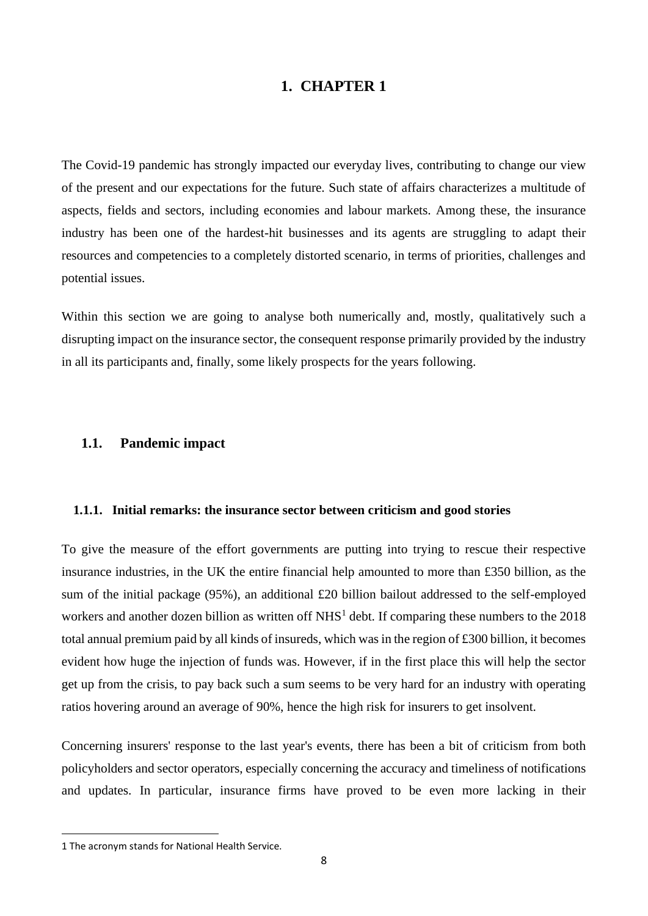# **1. CHAPTER 1**

The Covid-19 pandemic has strongly impacted our everyday lives, contributing to change our view of the present and our expectations for the future. Such state of affairs characterizes a multitude of aspects, fields and sectors, including economies and labour markets. Among these, the insurance industry has been one of the hardest-hit businesses and its agents are struggling to adapt their resources and competencies to a completely distorted scenario, in terms of priorities, challenges and potential issues.

Within this section we are going to analyse both numerically and, mostly, qualitatively such a disrupting impact on the insurance sector, the consequent response primarily provided by the industry in all its participants and, finally, some likely prospects for the years following.

### <span id="page-7-0"></span>**1.1. Pandemic impact**

### <span id="page-7-1"></span>**1.1.1. Initial remarks: the insurance sector between criticism and good stories**

To give the measure of the effort governments are putting into trying to rescue their respective insurance industries, in the UK the entire financial help amounted to more than £350 billion, as the sum of the initial package (95%), an additional £20 billion bailout addressed to the self-employed workers and another dozen billion as written off  $NHS<sup>1</sup>$  debt. If comparing these numbers to the 2018 total annual premium paid by all kinds of insureds, which was in the region of £300 billion, it becomes evident how huge the injection of funds was. However, if in the first place this will help the sector get up from the crisis, to pay back such a sum seems to be very hard for an industry with operating ratios hovering around an average of 90%, hence the high risk for insurers to get insolvent.

Concerning insurers' response to the last year's events, there has been a bit of criticism from both policyholders and sector operators, especially concerning the accuracy and timeliness of notifications and updates. In particular, insurance firms have proved to be even more lacking in their

<sup>1</sup> The acronym stands for National Health Service.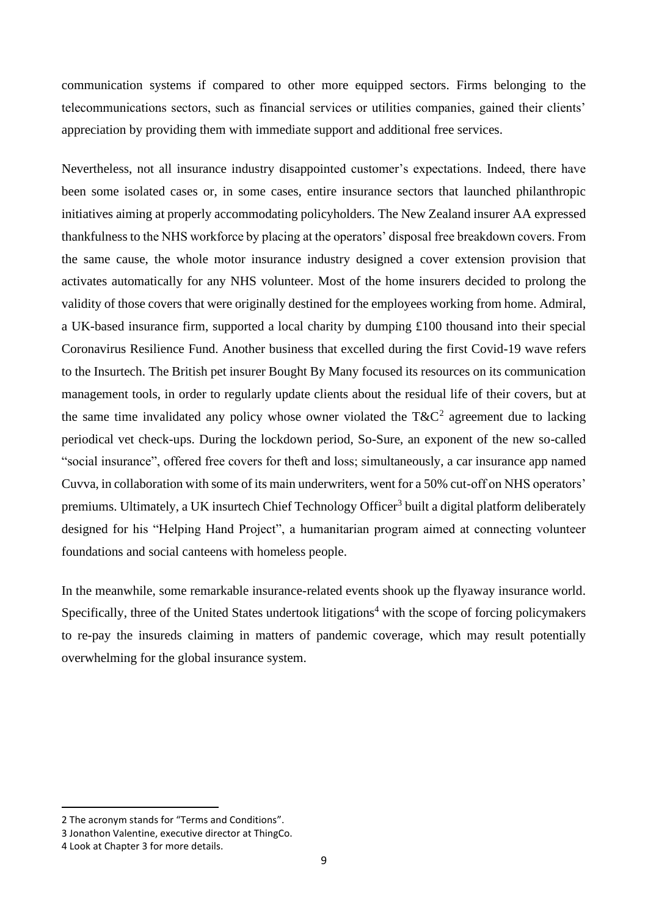communication systems if compared to other more equipped sectors. Firms belonging to the telecommunications sectors, such as financial services or utilities companies, gained their clients' appreciation by providing them with immediate support and additional free services.

Nevertheless, not all insurance industry disappointed customer's expectations. Indeed, there have been some isolated cases or, in some cases, entire insurance sectors that launched philanthropic initiatives aiming at properly accommodating policyholders. The New Zealand insurer AA expressed thankfulness to the NHS workforce by placing at the operators' disposal free breakdown covers. From the same cause, the whole motor insurance industry designed a cover extension provision that activates automatically for any NHS volunteer. Most of the home insurers decided to prolong the validity of those covers that were originally destined for the employees working from home. Admiral, a UK-based insurance firm, supported a local charity by dumping £100 thousand into their special Coronavirus Resilience Fund. Another business that excelled during the first Covid-19 wave refers to the Insurtech. The British pet insurer Bought By Many focused its resources on its communication management tools, in order to regularly update clients about the residual life of their covers, but at the same time invalidated any policy whose owner violated the  $T\&C^2$  agreement due to lacking periodical vet check-ups. During the lockdown period, So-Sure, an exponent of the new so-called "social insurance", offered free covers for theft and loss; simultaneously, a car insurance app named Cuvva, in collaboration with some of its main underwriters, went for a 50% cut-off on NHS operators' premiums. Ultimately, a UK insurtech Chief Technology Officer<sup>3</sup> built a digital platform deliberately designed for his "Helping Hand Project", a humanitarian program aimed at connecting volunteer foundations and social canteens with homeless people.

In the meanwhile, some remarkable insurance-related events shook up the flyaway insurance world. Specifically, three of the United States undertook litigations<sup>4</sup> with the scope of forcing policymakers to re-pay the insureds claiming in matters of pandemic coverage, which may result potentially overwhelming for the global insurance system.

<sup>2</sup> The acronym stands for "Terms and Conditions".

<sup>3</sup> Jonathon Valentine, executive director at ThingCo.

<sup>4</sup> Look at Chapter 3 for more details.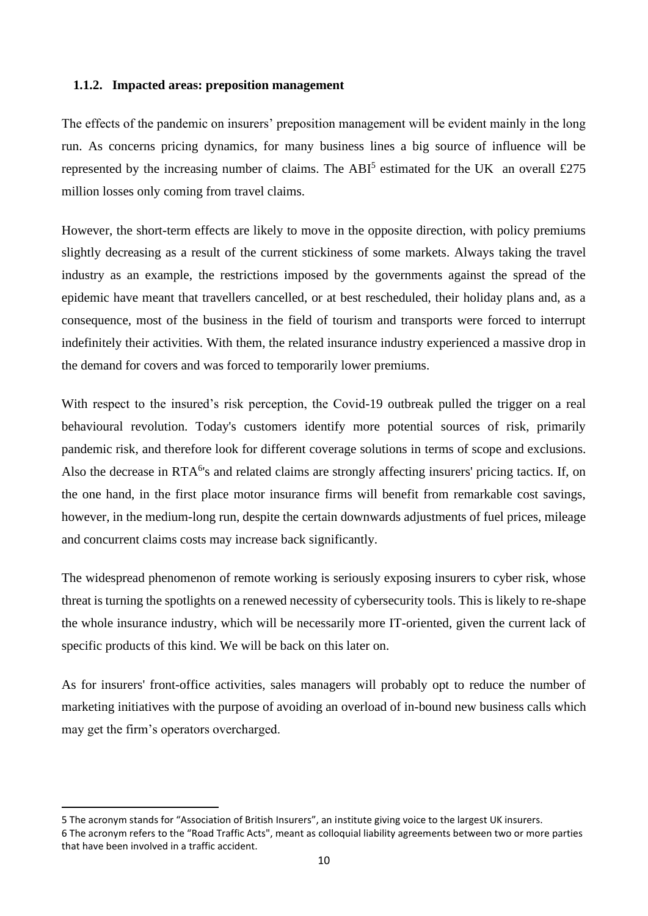### <span id="page-9-0"></span>**1.1.2. Impacted areas: preposition management**

The effects of the pandemic on insurers' preposition management will be evident mainly in the long run. As concerns pricing dynamics, for many business lines a big source of influence will be represented by the increasing number of claims. The ABI<sup>5</sup> estimated for the UK an overall £275 million losses only coming from travel claims.

However, the short-term effects are likely to move in the opposite direction, with policy premiums slightly decreasing as a result of the current stickiness of some markets. Always taking the travel industry as an example, the restrictions imposed by the governments against the spread of the epidemic have meant that travellers cancelled, or at best rescheduled, their holiday plans and, as a consequence, most of the business in the field of tourism and transports were forced to interrupt indefinitely their activities. With them, the related insurance industry experienced a massive drop in the demand for covers and was forced to temporarily lower premiums.

With respect to the insured's risk perception, the Covid-19 outbreak pulled the trigger on a real behavioural revolution. Today's customers identify more potential sources of risk, primarily pandemic risk, and therefore look for different coverage solutions in terms of scope and exclusions. Also the decrease in RTA<sup>6</sup>'s and related claims are strongly affecting insurers' pricing tactics. If, on the one hand, in the first place motor insurance firms will benefit from remarkable cost savings, however, in the medium-long run, despite the certain downwards adjustments of fuel prices, mileage and concurrent claims costs may increase back significantly.

The widespread phenomenon of remote working is seriously exposing insurers to cyber risk, whose threat is turning the spotlights on a renewed necessity of cybersecurity tools. This is likely to re-shape the whole insurance industry, which will be necessarily more IT-oriented, given the current lack of specific products of this kind. We will be back on this later on.

As for insurers' front-office activities, sales managers will probably opt to reduce the number of marketing initiatives with the purpose of avoiding an overload of in-bound new business calls which may get the firm's operators overcharged.

<sup>5</sup> The acronym stands for "Association of British Insurers", an institute giving voice to the largest UK insurers. 6 The acronym refers to the "Road Traffic Acts", meant as colloquial liability agreements between two or more parties that have been involved in a traffic accident.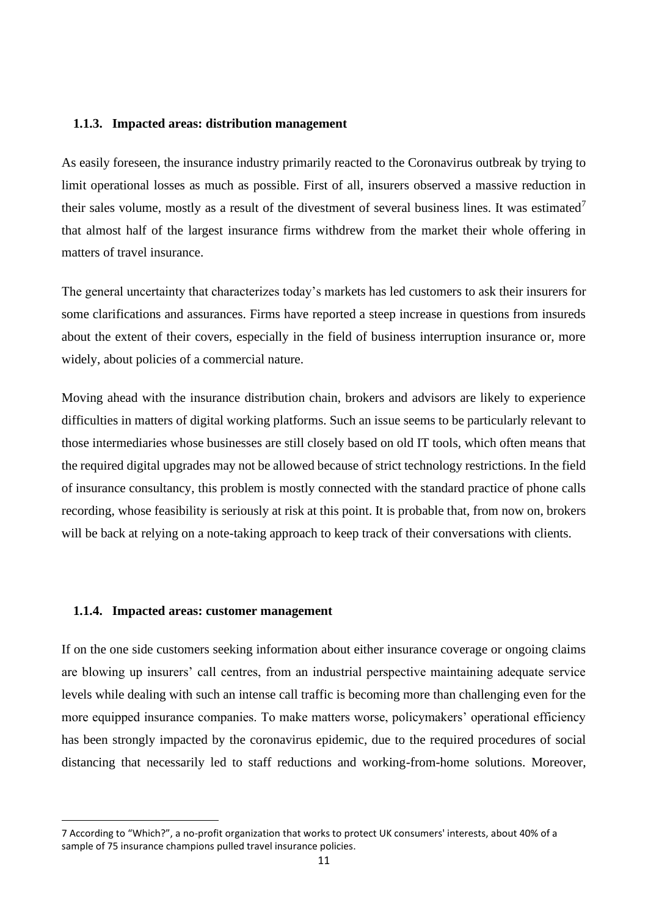### <span id="page-10-0"></span>**1.1.3. Impacted areas: distribution management**

As easily foreseen, the insurance industry primarily reacted to the Coronavirus outbreak by trying to limit operational losses as much as possible. First of all, insurers observed a massive reduction in their sales volume, mostly as a result of the divestment of several business lines. It was estimated<sup>7</sup> that almost half of the largest insurance firms withdrew from the market their whole offering in matters of travel insurance.

The general uncertainty that characterizes today's markets has led customers to ask their insurers for some clarifications and assurances. Firms have reported a steep increase in questions from insureds about the extent of their covers, especially in the field of business interruption insurance or, more widely, about policies of a commercial nature.

Moving ahead with the insurance distribution chain, brokers and advisors are likely to experience difficulties in matters of digital working platforms. Such an issue seems to be particularly relevant to those intermediaries whose businesses are still closely based on old IT tools, which often means that the required digital upgrades may not be allowed because of strict technology restrictions. In the field of insurance consultancy, this problem is mostly connected with the standard practice of phone calls recording, whose feasibility is seriously at risk at this point. It is probable that, from now on, brokers will be back at relying on a note-taking approach to keep track of their conversations with clients.

### <span id="page-10-1"></span>**1.1.4. Impacted areas: customer management**

If on the one side customers seeking information about either insurance coverage or ongoing claims are blowing up insurers' call centres, from an industrial perspective maintaining adequate service levels while dealing with such an intense call traffic is becoming more than challenging even for the more equipped insurance companies. To make matters worse, policymakers' operational efficiency has been strongly impacted by the coronavirus epidemic, due to the required procedures of social distancing that necessarily led to staff reductions and working-from-home solutions. Moreover,

<sup>7</sup> According to "Which?", a no-profit organization that works to protect UK consumers' interests, about 40% of a sample of 75 insurance champions pulled travel insurance policies.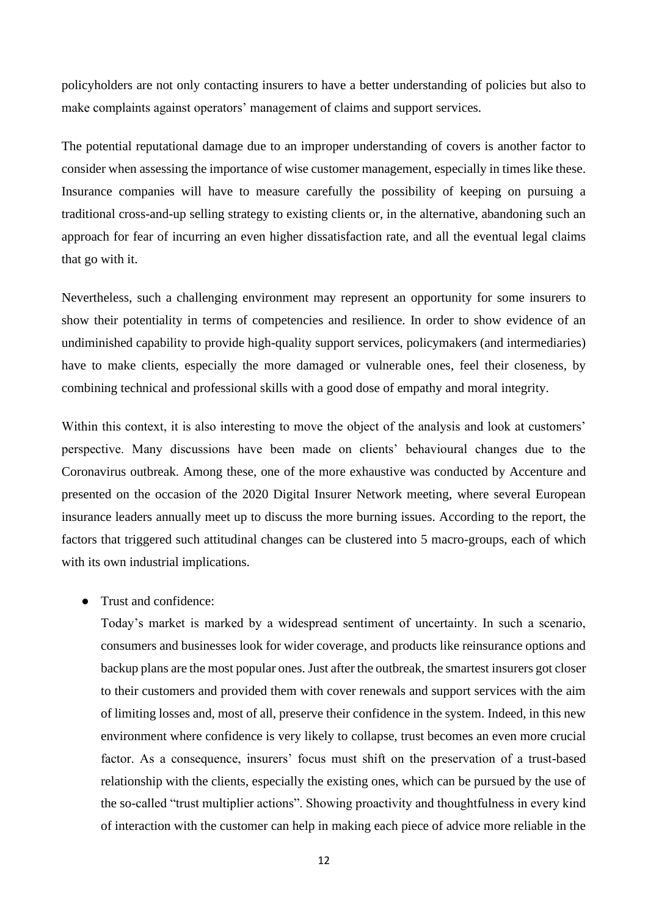policyholders are not only contacting insurers to have a better understanding of policies but also to make complaints against operators' management of claims and support services.

The potential reputational damage due to an improper understanding of covers is another factor to consider when assessing the importance of wise customer management, especially in times like these. Insurance companies will have to measure carefully the possibility of keeping on pursuing a traditional cross-and-up selling strategy to existing clients or, in the alternative, abandoning such an approach for fear of incurring an even higher dissatisfaction rate, and all the eventual legal claims that go with it.

Nevertheless, such a challenging environment may represent an opportunity for some insurers to show their potentiality in terms of competencies and resilience. In order to show evidence of an undiminished capability to provide high-quality support services, policymakers (and intermediaries) have to make clients, especially the more damaged or vulnerable ones, feel their closeness, by combining technical and professional skills with a good dose of empathy and moral integrity.

Within this context, it is also interesting to move the object of the analysis and look at customers' perspective. Many discussions have been made on clients' behavioural changes due to the Coronavirus outbreak. Among these, one of the more exhaustive was conducted by Accenture and presented on the occasion of the 2020 Digital Insurer Network meeting, where several European insurance leaders annually meet up to discuss the more burning issues. According to the report, the factors that triggered such attitudinal changes can be clustered into 5 macro-groups, each of which with its own industrial implications.

### ● Trust and confidence:

Today's market is marked by a widespread sentiment of uncertainty. In such a scenario, consumers and businesses look for wider coverage, and products like reinsurance options and backup plans are the most popular ones. Just after the outbreak, the smartest insurers got closer to their customers and provided them with cover renewals and support services with the aim of limiting losses and, most of all, preserve their confidence in the system. Indeed, in this new environment where confidence is very likely to collapse, trust becomes an even more crucial factor. As a consequence, insurers' focus must shift on the preservation of a trust-based relationship with the clients, especially the existing ones, which can be pursued by the use of the so-called "trust multiplier actions". Showing proactivity and thoughtfulness in every kind of interaction with the customer can help in making each piece of advice more reliable in the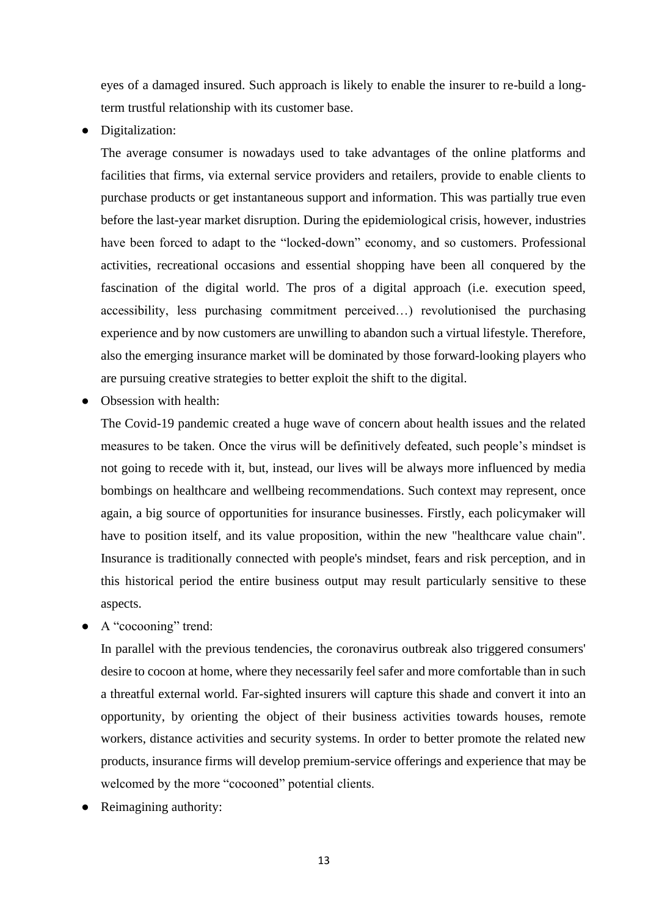eyes of a damaged insured. Such approach is likely to enable the insurer to re-build a longterm trustful relationship with its customer base.

● Digitalization:

The average consumer is nowadays used to take advantages of the online platforms and facilities that firms, via external service providers and retailers, provide to enable clients to purchase products or get instantaneous support and information. This was partially true even before the last-year market disruption. During the epidemiological crisis, however, industries have been forced to adapt to the "locked-down" economy, and so customers. Professional activities, recreational occasions and essential shopping have been all conquered by the fascination of the digital world. The pros of a digital approach (i.e. execution speed, accessibility, less purchasing commitment perceived…) revolutionised the purchasing experience and by now customers are unwilling to abandon such a virtual lifestyle. Therefore, also the emerging insurance market will be dominated by those forward-looking players who are pursuing creative strategies to better exploit the shift to the digital.

Obsession with health:

The Covid-19 pandemic created a huge wave of concern about health issues and the related measures to be taken. Once the virus will be definitively defeated, such people's mindset is not going to recede with it, but, instead, our lives will be always more influenced by media bombings on healthcare and wellbeing recommendations. Such context may represent, once again, a big source of opportunities for insurance businesses. Firstly, each policymaker will have to position itself, and its value proposition, within the new "healthcare value chain". Insurance is traditionally connected with people's mindset, fears and risk perception, and in this historical period the entire business output may result particularly sensitive to these aspects.

● A "cocooning" trend:

In parallel with the previous tendencies, the coronavirus outbreak also triggered consumers' desire to cocoon at home, where they necessarily feel safer and more comfortable than in such a threatful external world. Far-sighted insurers will capture this shade and convert it into an opportunity, by orienting the object of their business activities towards houses, remote workers, distance activities and security systems. In order to better promote the related new products, insurance firms will develop premium-service offerings and experience that may be welcomed by the more "cocooned" potential clients.

Reimagining authority: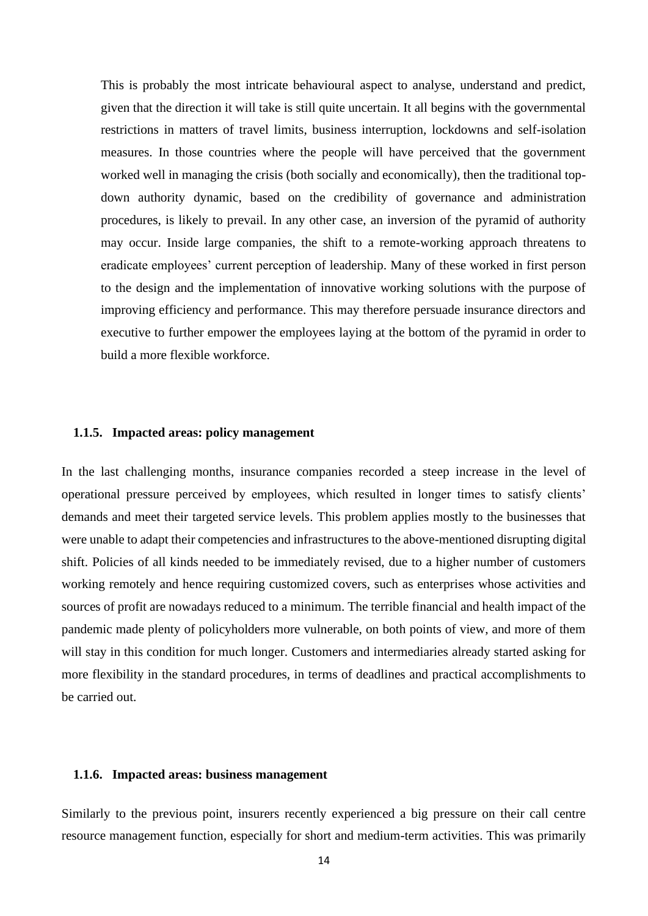This is probably the most intricate behavioural aspect to analyse, understand and predict, given that the direction it will take is still quite uncertain. It all begins with the governmental restrictions in matters of travel limits, business interruption, lockdowns and self-isolation measures. In those countries where the people will have perceived that the government worked well in managing the crisis (both socially and economically), then the traditional topdown authority dynamic, based on the credibility of governance and administration procedures, is likely to prevail. In any other case, an inversion of the pyramid of authority may occur. Inside large companies, the shift to a remote-working approach threatens to eradicate employees' current perception of leadership. Many of these worked in first person to the design and the implementation of innovative working solutions with the purpose of improving efficiency and performance. This may therefore persuade insurance directors and executive to further empower the employees laying at the bottom of the pyramid in order to build a more flexible workforce.

### <span id="page-13-0"></span>**1.1.5. Impacted areas: policy management**

In the last challenging months, insurance companies recorded a steep increase in the level of operational pressure perceived by employees, which resulted in longer times to satisfy clients' demands and meet their targeted service levels. This problem applies mostly to the businesses that were unable to adapt their competencies and infrastructures to the above-mentioned disrupting digital shift. Policies of all kinds needed to be immediately revised, due to a higher number of customers working remotely and hence requiring customized covers, such as enterprises whose activities and sources of profit are nowadays reduced to a minimum. The terrible financial and health impact of the pandemic made plenty of policyholders more vulnerable, on both points of view, and more of them will stay in this condition for much longer. Customers and intermediaries already started asking for more flexibility in the standard procedures, in terms of deadlines and practical accomplishments to be carried out.

### <span id="page-13-1"></span>**1.1.6. Impacted areas: business management**

Similarly to the previous point, insurers recently experienced a big pressure on their call centre resource management function, especially for short and medium-term activities. This was primarily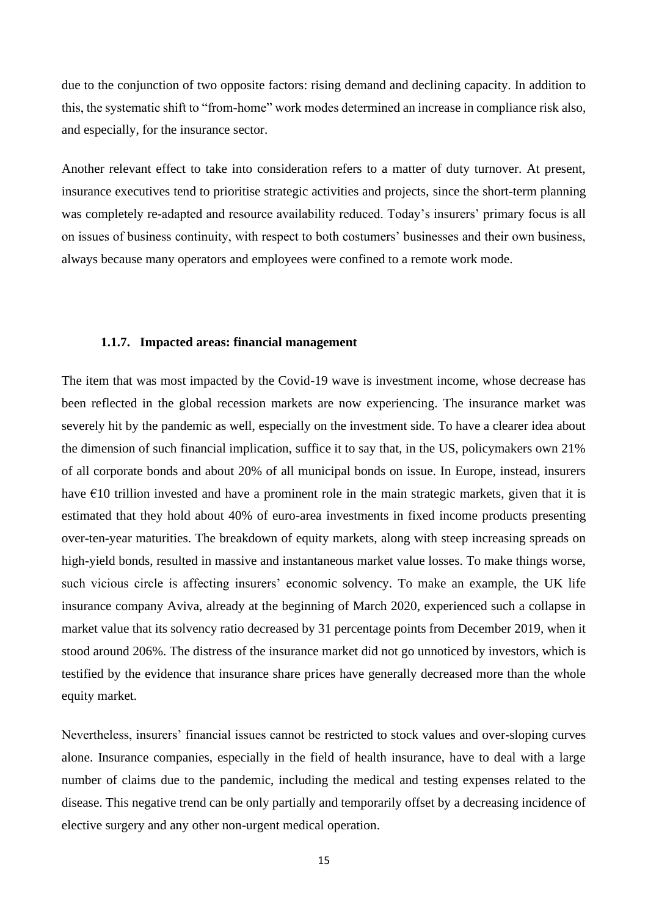due to the conjunction of two opposite factors: rising demand and declining capacity. In addition to this, the systematic shift to "from-home" work modes determined an increase in compliance risk also, and especially, for the insurance sector.

Another relevant effect to take into consideration refers to a matter of duty turnover. At present, insurance executives tend to prioritise strategic activities and projects, since the short-term planning was completely re-adapted and resource availability reduced. Today's insurers' primary focus is all on issues of business continuity, with respect to both costumers' businesses and their own business, always because many operators and employees were confined to a remote work mode.

### **1.1.7. Impacted areas: financial management**

<span id="page-14-0"></span>The item that was most impacted by the Covid-19 wave is investment income, whose decrease has been reflected in the global recession markets are now experiencing. The insurance market was severely hit by the pandemic as well, especially on the investment side. To have a clearer idea about the dimension of such financial implication, suffice it to say that, in the US, policymakers own 21% of all corporate bonds and about 20% of all municipal bonds on issue. In Europe, instead, insurers have  $\epsilon$ 10 trillion invested and have a prominent role in the main strategic markets, given that it is estimated that they hold about 40% of euro-area investments in fixed income products presenting over-ten-year maturities. The breakdown of equity markets, along with steep increasing spreads on high-yield bonds, resulted in massive and instantaneous market value losses. To make things worse, such vicious circle is affecting insurers' economic solvency. To make an example, the UK life insurance company Aviva, already at the beginning of March 2020, experienced such a collapse in market value that its solvency ratio decreased by 31 percentage points from December 2019, when it stood around 206%. The distress of the insurance market did not go unnoticed by investors, which is testified by the evidence that insurance share prices have generally decreased more than the whole equity market.

Nevertheless, insurers' financial issues cannot be restricted to stock values and over-sloping curves alone. Insurance companies, especially in the field of health insurance, have to deal with a large number of claims due to the pandemic, including the medical and testing expenses related to the disease. This negative trend can be only partially and temporarily offset by a decreasing incidence of elective surgery and any other non-urgent medical operation.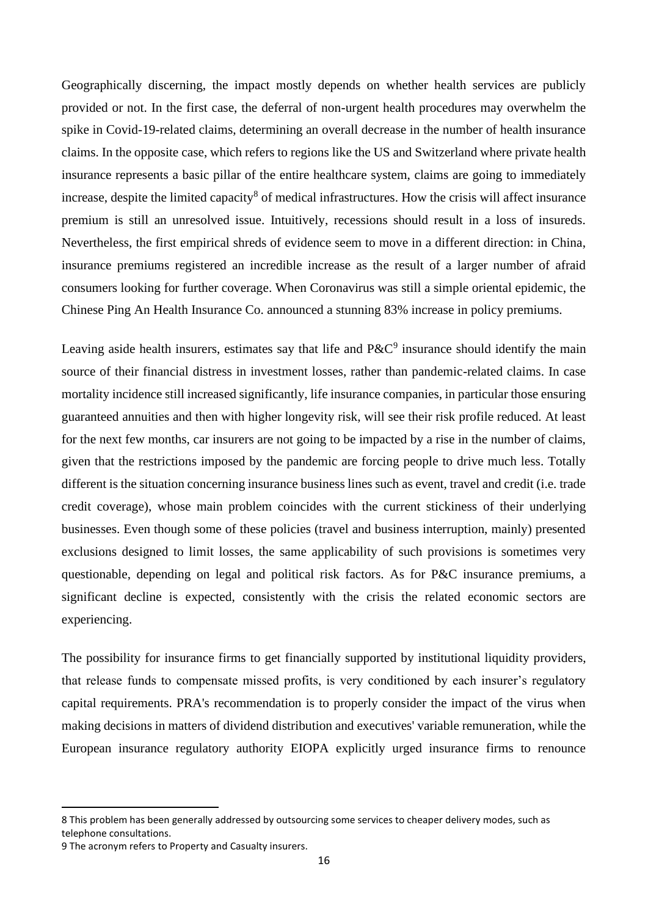Geographically discerning, the impact mostly depends on whether health services are publicly provided or not. In the first case, the deferral of non-urgent health procedures may overwhelm the spike in Covid-19-related claims, determining an overall decrease in the number of health insurance claims. In the opposite case, which refers to regions like the US and Switzerland where private health insurance represents a basic pillar of the entire healthcare system, claims are going to immediately increase, despite the limited capacity<sup>8</sup> of medical infrastructures. How the crisis will affect insurance premium is still an unresolved issue. Intuitively, recessions should result in a loss of insureds. Nevertheless, the first empirical shreds of evidence seem to move in a different direction: in China, insurance premiums registered an incredible increase as the result of a larger number of afraid consumers looking for further coverage. When Coronavirus was still a simple oriental epidemic, the Chinese Ping An Health Insurance Co. announced a stunning 83% increase in policy premiums.

Leaving aside health insurers, estimates say that life and  $P\&C^9$  insurance should identify the main source of their financial distress in investment losses, rather than pandemic-related claims. In case mortality incidence still increased significantly, life insurance companies, in particular those ensuring guaranteed annuities and then with higher longevity risk, will see their risk profile reduced. At least for the next few months, car insurers are not going to be impacted by a rise in the number of claims, given that the restrictions imposed by the pandemic are forcing people to drive much less. Totally different is the situation concerning insurance business lines such as event, travel and credit (i.e. trade credit coverage), whose main problem coincides with the current stickiness of their underlying businesses. Even though some of these policies (travel and business interruption, mainly) presented exclusions designed to limit losses, the same applicability of such provisions is sometimes very questionable, depending on legal and political risk factors. As for P&C insurance premiums, a significant decline is expected, consistently with the crisis the related economic sectors are experiencing.

The possibility for insurance firms to get financially supported by institutional liquidity providers, that release funds to compensate missed profits, is very conditioned by each insurer's regulatory capital requirements. PRA's recommendation is to properly consider the impact of the virus when making decisions in matters of dividend distribution and executives' variable remuneration, while the European insurance regulatory authority EIOPA explicitly urged insurance firms to renounce

<sup>8</sup> This problem has been generally addressed by outsourcing some services to cheaper delivery modes, such as telephone consultations.

<sup>9</sup> The acronym refers to Property and Casualty insurers.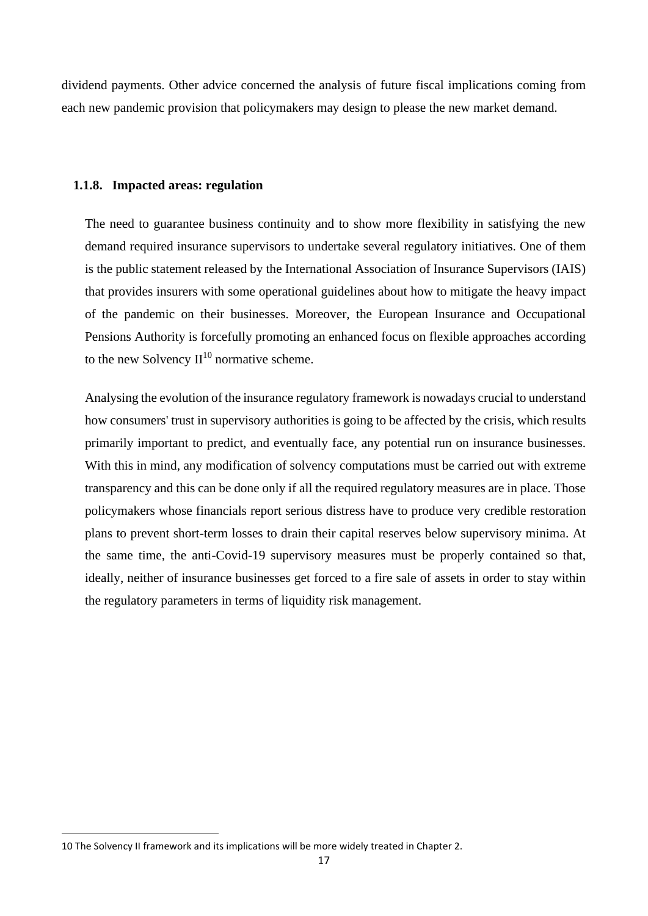dividend payments. Other advice concerned the analysis of future fiscal implications coming from each new pandemic provision that policymakers may design to please the new market demand.

### <span id="page-16-0"></span>**1.1.8. Impacted areas: regulation**

The need to guarantee business continuity and to show more flexibility in satisfying the new demand required insurance supervisors to undertake several regulatory initiatives. One of them is the public statement released by the International Association of Insurance Supervisors (IAIS) that provides insurers with some operational guidelines about how to mitigate the heavy impact of the pandemic on their businesses. Moreover, the European Insurance and Occupational Pensions Authority is forcefully promoting an enhanced focus on flexible approaches according to the new Solvency  $II^{10}$  normative scheme.

Analysing the evolution of the insurance regulatory framework is nowadays crucial to understand how consumers' trust in supervisory authorities is going to be affected by the crisis, which results primarily important to predict, and eventually face, any potential run on insurance businesses. With this in mind, any modification of solvency computations must be carried out with extreme transparency and this can be done only if all the required regulatory measures are in place. Those policymakers whose financials report serious distress have to produce very credible restoration plans to prevent short-term losses to drain their capital reserves below supervisory minima. At the same time, the anti-Covid-19 supervisory measures must be properly contained so that, ideally, neither of insurance businesses get forced to a fire sale of assets in order to stay within the regulatory parameters in terms of liquidity risk management.

<sup>10</sup> The Solvency II framework and its implications will be more widely treated in Chapter 2.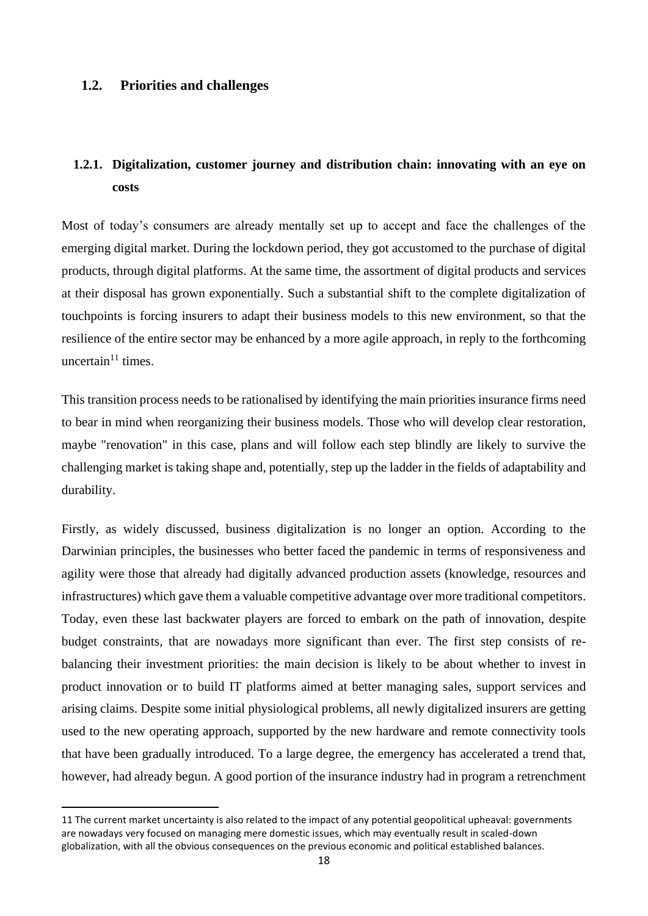# <span id="page-17-0"></span>**1.2. Priorities and challenges**

# <span id="page-17-1"></span>**1.2.1. Digitalization, customer journey and distribution chain: innovating with an eye on costs**

Most of today's consumers are already mentally set up to accept and face the challenges of the emerging digital market. During the lockdown period, they got accustomed to the purchase of digital products, through digital platforms. At the same time, the assortment of digital products and services at their disposal has grown exponentially. Such a substantial shift to the complete digitalization of touchpoints is forcing insurers to adapt their business models to this new environment, so that the resilience of the entire sector may be enhanced by a more agile approach, in reply to the forthcoming uncertain $11$  times.

This transition process needs to be rationalised by identifying the main priorities insurance firms need to bear in mind when reorganizing their business models. Those who will develop clear restoration, maybe "renovation" in this case, plans and will follow each step blindly are likely to survive the challenging market is taking shape and, potentially, step up the ladder in the fields of adaptability and durability.

Firstly, as widely discussed, business digitalization is no longer an option. According to the Darwinian principles, the businesses who better faced the pandemic in terms of responsiveness and agility were those that already had digitally advanced production assets (knowledge, resources and infrastructures) which gave them a valuable competitive advantage over more traditional competitors. Today, even these last backwater players are forced to embark on the path of innovation, despite budget constraints, that are nowadays more significant than ever. The first step consists of rebalancing their investment priorities: the main decision is likely to be about whether to invest in product innovation or to build IT platforms aimed at better managing sales, support services and arising claims. Despite some initial physiological problems, all newly digitalized insurers are getting used to the new operating approach, supported by the new hardware and remote connectivity tools that have been gradually introduced. To a large degree, the emergency has accelerated a trend that, however, had already begun. A good portion of the insurance industry had in program a retrenchment

<sup>11</sup> The current market uncertainty is also related to the impact of any potential geopolitical upheaval: governments are nowadays very focused on managing mere domestic issues, which may eventually result in scaled-down globalization, with all the obvious consequences on the previous economic and political established balances.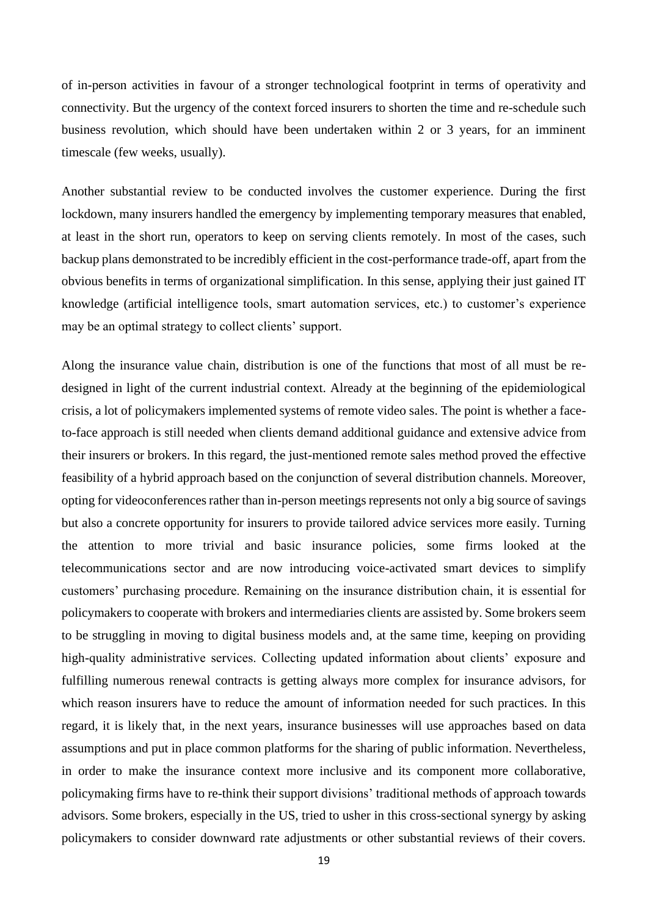of in-person activities in favour of a stronger technological footprint in terms of operativity and connectivity. But the urgency of the context forced insurers to shorten the time and re-schedule such business revolution, which should have been undertaken within 2 or 3 years, for an imminent timescale (few weeks, usually).

Another substantial review to be conducted involves the customer experience. During the first lockdown, many insurers handled the emergency by implementing temporary measures that enabled, at least in the short run, operators to keep on serving clients remotely. In most of the cases, such backup plans demonstrated to be incredibly efficient in the cost-performance trade-off, apart from the obvious benefits in terms of organizational simplification. In this sense, applying their just gained IT knowledge (artificial intelligence tools, smart automation services, etc.) to customer's experience may be an optimal strategy to collect clients' support.

Along the insurance value chain, distribution is one of the functions that most of all must be redesigned in light of the current industrial context. Already at the beginning of the epidemiological crisis, a lot of policymakers implemented systems of remote video sales. The point is whether a faceto-face approach is still needed when clients demand additional guidance and extensive advice from their insurers or brokers. In this regard, the just-mentioned remote sales method proved the effective feasibility of a hybrid approach based on the conjunction of several distribution channels. Moreover, opting for videoconferences rather than in-person meetings represents not only a big source of savings but also a concrete opportunity for insurers to provide tailored advice services more easily. Turning the attention to more trivial and basic insurance policies, some firms looked at the telecommunications sector and are now introducing voice-activated smart devices to simplify customers' purchasing procedure. Remaining on the insurance distribution chain, it is essential for policymakers to cooperate with brokers and intermediaries clients are assisted by. Some brokers seem to be struggling in moving to digital business models and, at the same time, keeping on providing high-quality administrative services. Collecting updated information about clients' exposure and fulfilling numerous renewal contracts is getting always more complex for insurance advisors, for which reason insurers have to reduce the amount of information needed for such practices. In this regard, it is likely that, in the next years, insurance businesses will use approaches based on data assumptions and put in place common platforms for the sharing of public information. Nevertheless, in order to make the insurance context more inclusive and its component more collaborative, policymaking firms have to re-think their support divisions' traditional methods of approach towards advisors. Some brokers, especially in the US, tried to usher in this cross-sectional synergy by asking policymakers to consider downward rate adjustments or other substantial reviews of their covers.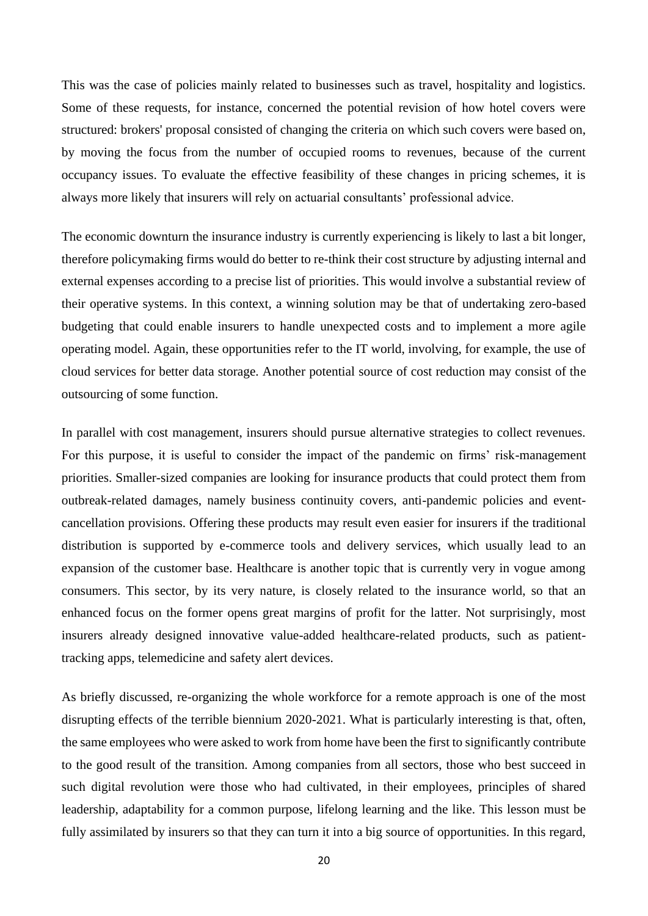This was the case of policies mainly related to businesses such as travel, hospitality and logistics. Some of these requests, for instance, concerned the potential revision of how hotel covers were structured: brokers' proposal consisted of changing the criteria on which such covers were based on, by moving the focus from the number of occupied rooms to revenues, because of the current occupancy issues. To evaluate the effective feasibility of these changes in pricing schemes, it is always more likely that insurers will rely on actuarial consultants' professional advice.

The economic downturn the insurance industry is currently experiencing is likely to last a bit longer, therefore policymaking firms would do better to re-think their cost structure by adjusting internal and external expenses according to a precise list of priorities. This would involve a substantial review of their operative systems. In this context, a winning solution may be that of undertaking zero-based budgeting that could enable insurers to handle unexpected costs and to implement a more agile operating model. Again, these opportunities refer to the IT world, involving, for example, the use of cloud services for better data storage. Another potential source of cost reduction may consist of the outsourcing of some function.

In parallel with cost management, insurers should pursue alternative strategies to collect revenues. For this purpose, it is useful to consider the impact of the pandemic on firms' risk-management priorities. Smaller-sized companies are looking for insurance products that could protect them from outbreak-related damages, namely business continuity covers, anti-pandemic policies and eventcancellation provisions. Offering these products may result even easier for insurers if the traditional distribution is supported by e-commerce tools and delivery services, which usually lead to an expansion of the customer base. Healthcare is another topic that is currently very in vogue among consumers. This sector, by its very nature, is closely related to the insurance world, so that an enhanced focus on the former opens great margins of profit for the latter. Not surprisingly, most insurers already designed innovative value-added healthcare-related products, such as patienttracking apps, telemedicine and safety alert devices.

As briefly discussed, re-organizing the whole workforce for a remote approach is one of the most disrupting effects of the terrible biennium 2020-2021. What is particularly interesting is that, often, the same employees who were asked to work from home have been the first to significantly contribute to the good result of the transition. Among companies from all sectors, those who best succeed in such digital revolution were those who had cultivated, in their employees, principles of shared leadership, adaptability for a common purpose, lifelong learning and the like. This lesson must be fully assimilated by insurers so that they can turn it into a big source of opportunities. In this regard,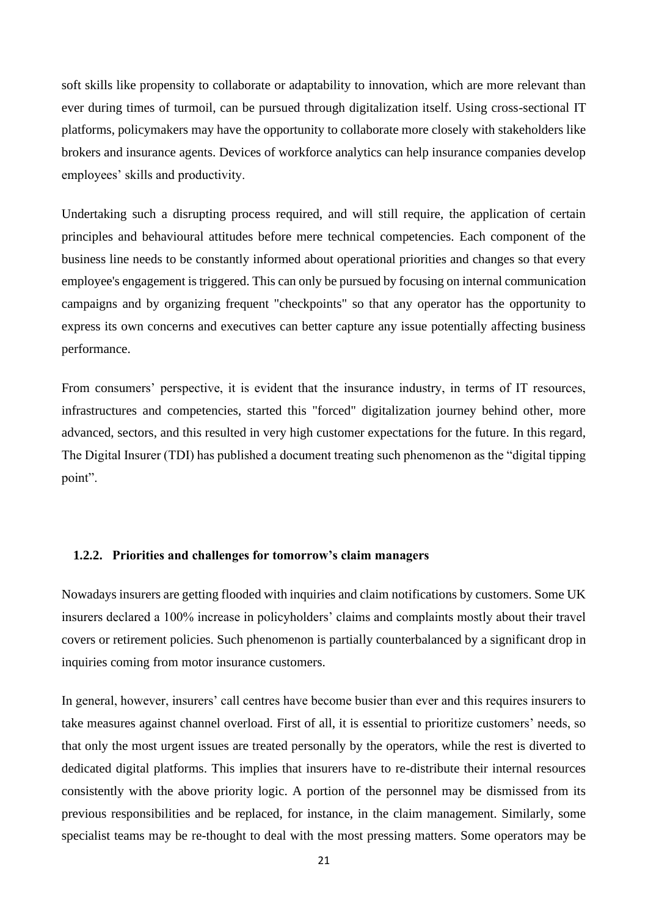soft skills like propensity to collaborate or adaptability to innovation, which are more relevant than ever during times of turmoil, can be pursued through digitalization itself. Using cross-sectional IT platforms, policymakers may have the opportunity to collaborate more closely with stakeholders like brokers and insurance agents. Devices of workforce analytics can help insurance companies develop employees' skills and productivity.

Undertaking such a disrupting process required, and will still require, the application of certain principles and behavioural attitudes before mere technical competencies. Each component of the business line needs to be constantly informed about operational priorities and changes so that every employee's engagement is triggered. This can only be pursued by focusing on internal communication campaigns and by organizing frequent "checkpoints" so that any operator has the opportunity to express its own concerns and executives can better capture any issue potentially affecting business performance.

From consumers' perspective, it is evident that the insurance industry, in terms of IT resources, infrastructures and competencies, started this "forced" digitalization journey behind other, more advanced, sectors, and this resulted in very high customer expectations for the future. In this regard, The Digital Insurer (TDI) has published a document treating such phenomenon as the "digital tipping point".

### <span id="page-20-0"></span>**1.2.2. Priorities and challenges for tomorrow's claim managers**

Nowadays insurers are getting flooded with inquiries and claim notifications by customers. Some UK insurers declared a 100% increase in policyholders' claims and complaints mostly about their travel covers or retirement policies. Such phenomenon is partially counterbalanced by a significant drop in inquiries coming from motor insurance customers.

In general, however, insurers' call centres have become busier than ever and this requires insurers to take measures against channel overload. First of all, it is essential to prioritize customers' needs, so that only the most urgent issues are treated personally by the operators, while the rest is diverted to dedicated digital platforms. This implies that insurers have to re-distribute their internal resources consistently with the above priority logic. A portion of the personnel may be dismissed from its previous responsibilities and be replaced, for instance, in the claim management. Similarly, some specialist teams may be re-thought to deal with the most pressing matters. Some operators may be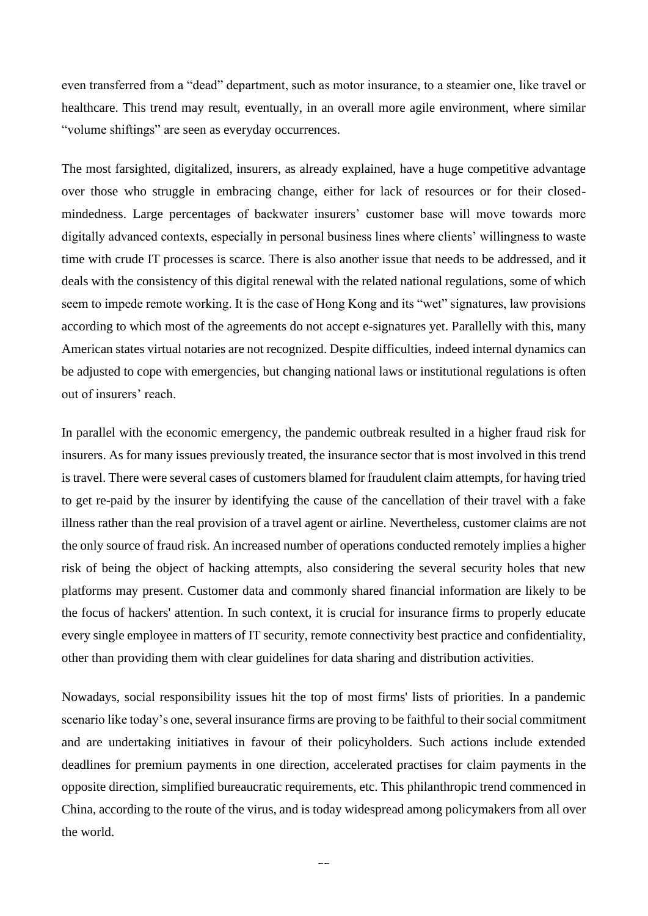even transferred from a "dead" department, such as motor insurance, to a steamier one, like travel or healthcare. This trend may result, eventually, in an overall more agile environment, where similar "volume shiftings" are seen as everyday occurrences.

The most farsighted, digitalized, insurers, as already explained, have a huge competitive advantage over those who struggle in embracing change, either for lack of resources or for their closedmindedness. Large percentages of backwater insurers' customer base will move towards more digitally advanced contexts, especially in personal business lines where clients' willingness to waste time with crude IT processes is scarce. There is also another issue that needs to be addressed, and it deals with the consistency of this digital renewal with the related national regulations, some of which seem to impede remote working. It is the case of Hong Kong and its "wet" signatures, law provisions according to which most of the agreements do not accept e-signatures yet. Parallelly with this, many American states virtual notaries are not recognized. Despite difficulties, indeed internal dynamics can be adjusted to cope with emergencies, but changing national laws or institutional regulations is often out of insurers' reach.

In parallel with the economic emergency, the pandemic outbreak resulted in a higher fraud risk for insurers. As for many issues previously treated, the insurance sector that is most involved in this trend is travel. There were several cases of customers blamed for fraudulent claim attempts, for having tried to get re-paid by the insurer by identifying the cause of the cancellation of their travel with a fake illness rather than the real provision of a travel agent or airline. Nevertheless, customer claims are not the only source of fraud risk. An increased number of operations conducted remotely implies a higher risk of being the object of hacking attempts, also considering the several security holes that new platforms may present. Customer data and commonly shared financial information are likely to be the focus of hackers' attention. In such context, it is crucial for insurance firms to properly educate every single employee in matters of IT security, remote connectivity best practice and confidentiality, other than providing them with clear guidelines for data sharing and distribution activities.

Nowadays, social responsibility issues hit the top of most firms' lists of priorities. In a pandemic scenario like today's one, several insurance firms are proving to be faithful to their social commitment and are undertaking initiatives in favour of their policyholders. Such actions include extended deadlines for premium payments in one direction, accelerated practises for claim payments in the opposite direction, simplified bureaucratic requirements, etc. This philanthropic trend commenced in China, according to the route of the virus, and is today widespread among policymakers from all over the world.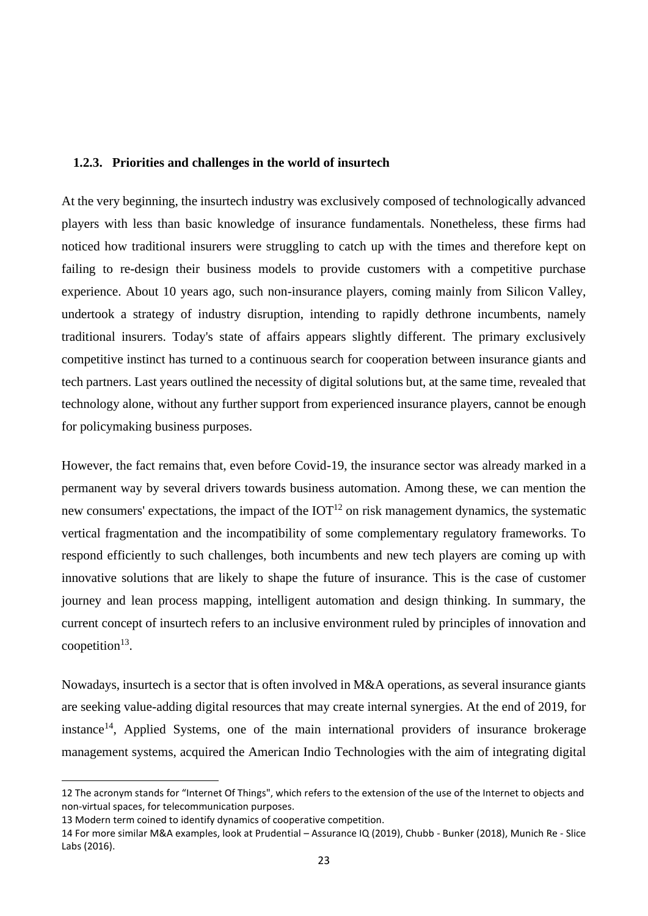### <span id="page-22-0"></span>**1.2.3. Priorities and challenges in the world of insurtech**

At the very beginning, the insurtech industry was exclusively composed of technologically advanced players with less than basic knowledge of insurance fundamentals. Nonetheless, these firms had noticed how traditional insurers were struggling to catch up with the times and therefore kept on failing to re-design their business models to provide customers with a competitive purchase experience. About 10 years ago, such non-insurance players, coming mainly from Silicon Valley, undertook a strategy of industry disruption, intending to rapidly dethrone incumbents, namely traditional insurers. Today's state of affairs appears slightly different. The primary exclusively competitive instinct has turned to a continuous search for cooperation between insurance giants and tech partners. Last years outlined the necessity of digital solutions but, at the same time, revealed that technology alone, without any further support from experienced insurance players, cannot be enough for policymaking business purposes.

However, the fact remains that, even before Covid-19, the insurance sector was already marked in a permanent way by several drivers towards business automation. Among these, we can mention the new consumers' expectations, the impact of the  $IOT<sup>12</sup>$  on risk management dynamics, the systematic vertical fragmentation and the incompatibility of some complementary regulatory frameworks. To respond efficiently to such challenges, both incumbents and new tech players are coming up with innovative solutions that are likely to shape the future of insurance. This is the case of customer journey and lean process mapping, intelligent automation and design thinking. In summary, the current concept of insurtech refers to an inclusive environment ruled by principles of innovation and  $cooperation<sup>13</sup>$ .

Nowadays, insurtech is a sector that is often involved in M&A operations, as several insurance giants are seeking value-adding digital resources that may create internal synergies. At the end of 2019, for instance<sup>14</sup>, Applied Systems, one of the main international providers of insurance brokerage management systems, acquired the American Indio Technologies with the aim of integrating digital

<sup>12</sup> The acronym stands for "Internet Of Things", which refers to the extension of the use of the Internet to objects and non-virtual spaces, for telecommunication purposes.

<sup>13</sup> Modern term coined to identify dynamics of cooperative competition.

<sup>14</sup> For more similar M&A examples, look at Prudential – Assurance IQ (2019), Chubb - Bunker (2018), Munich Re - Slice Labs (2016).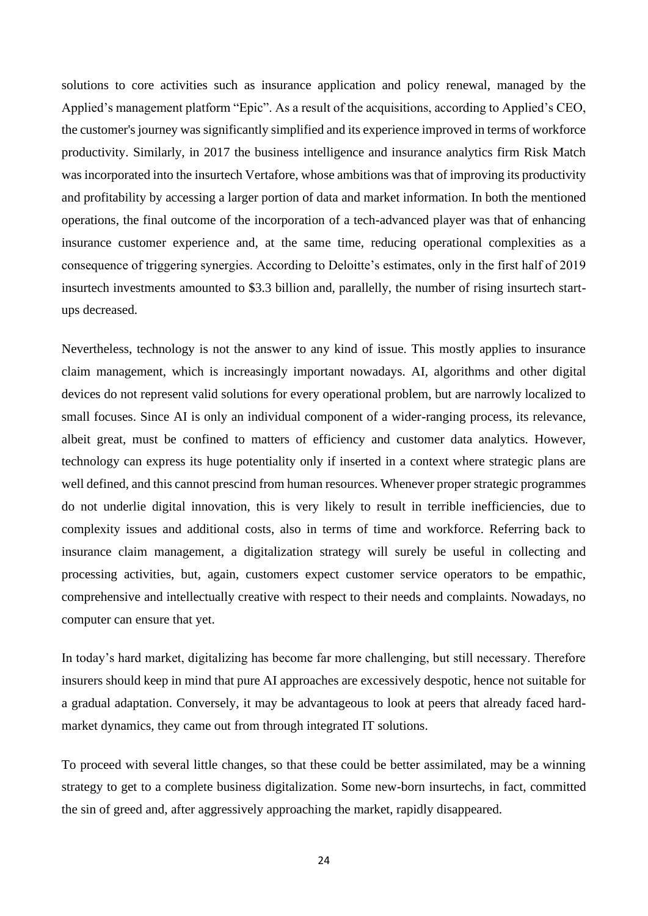solutions to core activities such as insurance application and policy renewal, managed by the Applied's management platform "Epic". As a result of the acquisitions, according to Applied's CEO, the customer's journey was significantly simplified and its experience improved in terms of workforce productivity. Similarly, in 2017 the business intelligence and insurance analytics firm Risk Match was incorporated into the insurtech Vertafore, whose ambitions was that of improving its productivity and profitability by accessing a larger portion of data and market information. In both the mentioned operations, the final outcome of the incorporation of a tech-advanced player was that of enhancing insurance customer experience and, at the same time, reducing operational complexities as a consequence of triggering synergies. According to Deloitte's estimates, only in the first half of 2019 insurtech investments amounted to \$3.3 billion and, parallelly, the number of rising insurtech startups decreased.

Nevertheless, technology is not the answer to any kind of issue. This mostly applies to insurance claim management, which is increasingly important nowadays. AI, algorithms and other digital devices do not represent valid solutions for every operational problem, but are narrowly localized to small focuses. Since AI is only an individual component of a wider-ranging process, its relevance, albeit great, must be confined to matters of efficiency and customer data analytics. However, technology can express its huge potentiality only if inserted in a context where strategic plans are well defined, and this cannot prescind from human resources. Whenever proper strategic programmes do not underlie digital innovation, this is very likely to result in terrible inefficiencies, due to complexity issues and additional costs, also in terms of time and workforce. Referring back to insurance claim management, a digitalization strategy will surely be useful in collecting and processing activities, but, again, customers expect customer service operators to be empathic, comprehensive and intellectually creative with respect to their needs and complaints. Nowadays, no computer can ensure that yet.

In today's hard market, digitalizing has become far more challenging, but still necessary. Therefore insurers should keep in mind that pure AI approaches are excessively despotic, hence not suitable for a gradual adaptation. Conversely, it may be advantageous to look at peers that already faced hardmarket dynamics, they came out from through integrated IT solutions.

To proceed with several little changes, so that these could be better assimilated, may be a winning strategy to get to a complete business digitalization. Some new-born insurtechs, in fact, committed the sin of greed and, after aggressively approaching the market, rapidly disappeared.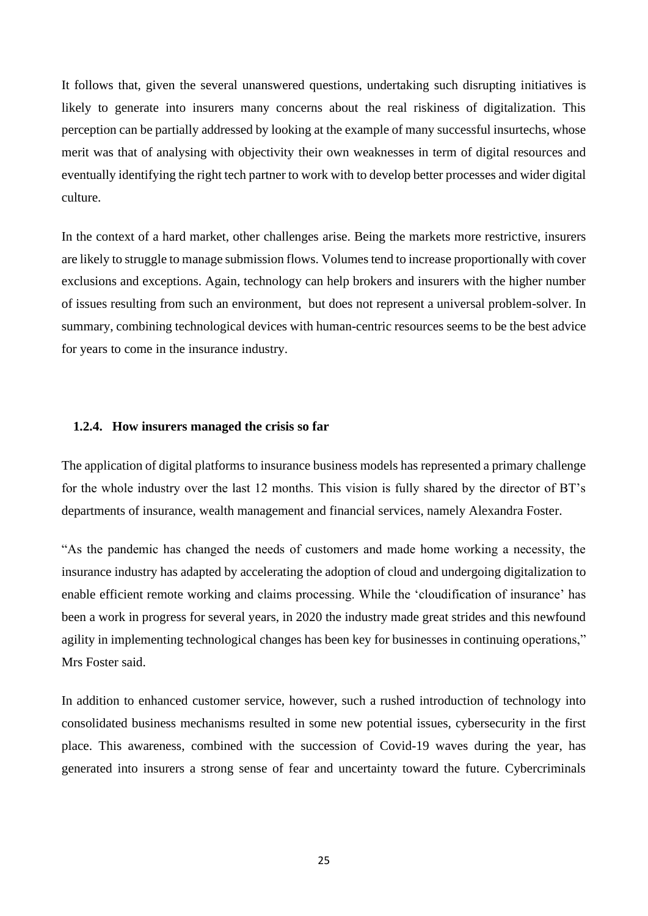It follows that, given the several unanswered questions, undertaking such disrupting initiatives is likely to generate into insurers many concerns about the real riskiness of digitalization. This perception can be partially addressed by looking at the example of many successful insurtechs, whose merit was that of analysing with objectivity their own weaknesses in term of digital resources and eventually identifying the right tech partner to work with to develop better processes and wider digital culture.

In the context of a hard market, other challenges arise. Being the markets more restrictive, insurers are likely to struggle to manage submission flows. Volumes tend to increase proportionally with cover exclusions and exceptions. Again, technology can help brokers and insurers with the higher number of issues resulting from such an environment, but does not represent a universal problem-solver. In summary, combining technological devices with human-centric resources seems to be the best advice for years to come in the insurance industry.

### <span id="page-24-0"></span>**1.2.4. How insurers managed the crisis so far**

The application of digital platforms to insurance business models has represented a primary challenge for the whole industry over the last 12 months. This vision is fully shared by the director of BT's departments of insurance, wealth management and financial services, namely Alexandra Foster.

"As the pandemic has changed the needs of customers and made home working a necessity, the insurance industry has adapted by accelerating the adoption of cloud and undergoing digitalization to enable efficient remote working and claims processing. While the 'cloudification of insurance' has been a work in progress for several years, in 2020 the industry made great strides and this newfound agility in implementing technological changes has been key for businesses in continuing operations," Mrs Foster said.

In addition to enhanced customer service, however, such a rushed introduction of technology into consolidated business mechanisms resulted in some new potential issues, cybersecurity in the first place. This awareness, combined with the succession of Covid-19 waves during the year, has generated into insurers a strong sense of fear and uncertainty toward the future. Cybercriminals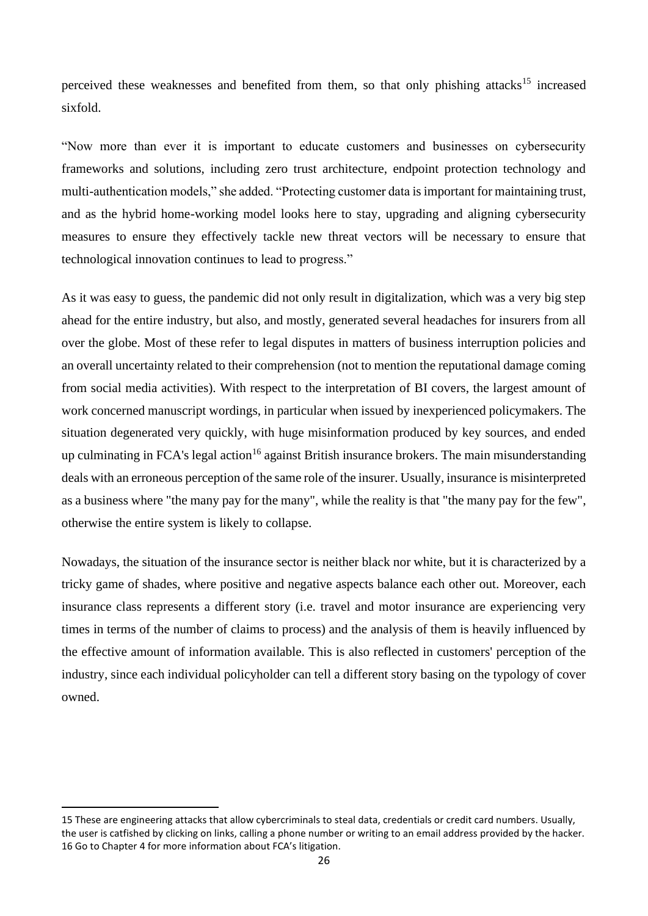perceived these weaknesses and benefited from them, so that only phishing attacks<sup>15</sup> increased sixfold.

"Now more than ever it is important to educate customers and businesses on cybersecurity frameworks and solutions, including zero trust architecture, endpoint protection technology and multi-authentication models," she added. "Protecting customer data is important for maintaining trust, and as the hybrid home-working model looks here to stay, upgrading and aligning cybersecurity measures to ensure they effectively tackle new threat vectors will be necessary to ensure that technological innovation continues to lead to progress."

As it was easy to guess, the pandemic did not only result in digitalization, which was a very big step ahead for the entire industry, but also, and mostly, generated several headaches for insurers from all over the globe. Most of these refer to legal disputes in matters of business interruption policies and an overall uncertainty related to their comprehension (not to mention the reputational damage coming from social media activities). With respect to the interpretation of BI covers, the largest amount of work concerned manuscript wordings, in particular when issued by inexperienced policymakers. The situation degenerated very quickly, with huge misinformation produced by key sources, and ended up culminating in FCA's legal action<sup>16</sup> against British insurance brokers. The main misunderstanding deals with an erroneous perception of the same role of the insurer. Usually, insurance is misinterpreted as a business where "the many pay for the many", while the reality is that "the many pay for the few", otherwise the entire system is likely to collapse.

Nowadays, the situation of the insurance sector is neither black nor white, but it is characterized by a tricky game of shades, where positive and negative aspects balance each other out. Moreover, each insurance class represents a different story (i.e. travel and motor insurance are experiencing very times in terms of the number of claims to process) and the analysis of them is heavily influenced by the effective amount of information available. This is also reflected in customers' perception of the industry, since each individual policyholder can tell a different story basing on the typology of cover owned.

<sup>15</sup> These are engineering attacks that allow cybercriminals to steal data, credentials or credit card numbers. Usually, the user is catfished by clicking on links, calling a phone number or writing to an email address provided by the hacker. 16 Go to Chapter 4 for more information about FCA's litigation.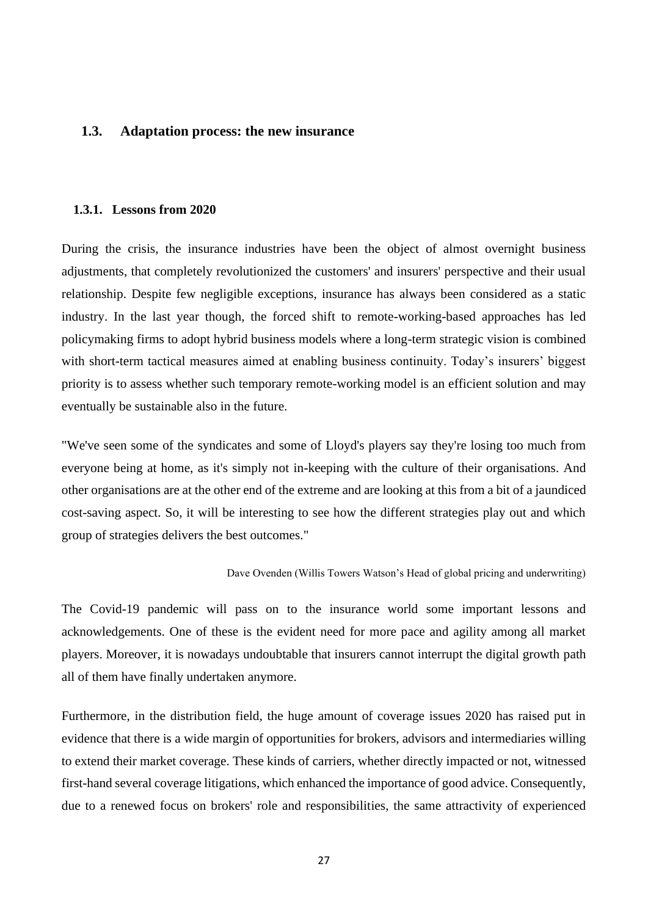### <span id="page-26-0"></span>**1.3. Adaptation process: the new insurance**

### <span id="page-26-1"></span>**1.3.1. Lessons from 2020**

During the crisis, the insurance industries have been the object of almost overnight business adjustments, that completely revolutionized the customers' and insurers' perspective and their usual relationship. Despite few negligible exceptions, insurance has always been considered as a static industry. In the last year though, the forced shift to remote-working-based approaches has led policymaking firms to adopt hybrid business models where a long-term strategic vision is combined with short-term tactical measures aimed at enabling business continuity. Today's insurers' biggest priority is to assess whether such temporary remote-working model is an efficient solution and may eventually be sustainable also in the future.

"We've seen some of the syndicates and some of Lloyd's players say they're losing too much from everyone being at home, as it's simply not in-keeping with the culture of their organisations. And other organisations are at the other end of the extreme and are looking at this from a bit of a jaundiced cost-saving aspect. So, it will be interesting to see how the different strategies play out and which group of strategies delivers the best outcomes."

### Dave Ovenden (Willis Towers Watson's Head of global pricing and underwriting)

The Covid-19 pandemic will pass on to the insurance world some important lessons and acknowledgements. One of these is the evident need for more pace and agility among all market players. Moreover, it is nowadays undoubtable that insurers cannot interrupt the digital growth path all of them have finally undertaken anymore.

Furthermore, in the distribution field, the huge amount of coverage issues 2020 has raised put in evidence that there is a wide margin of opportunities for brokers, advisors and intermediaries willing to extend their market coverage. These kinds of carriers, whether directly impacted or not, witnessed first-hand several coverage litigations, which enhanced the importance of good advice. Consequently, due to a renewed focus on brokers' role and responsibilities, the same attractivity of experienced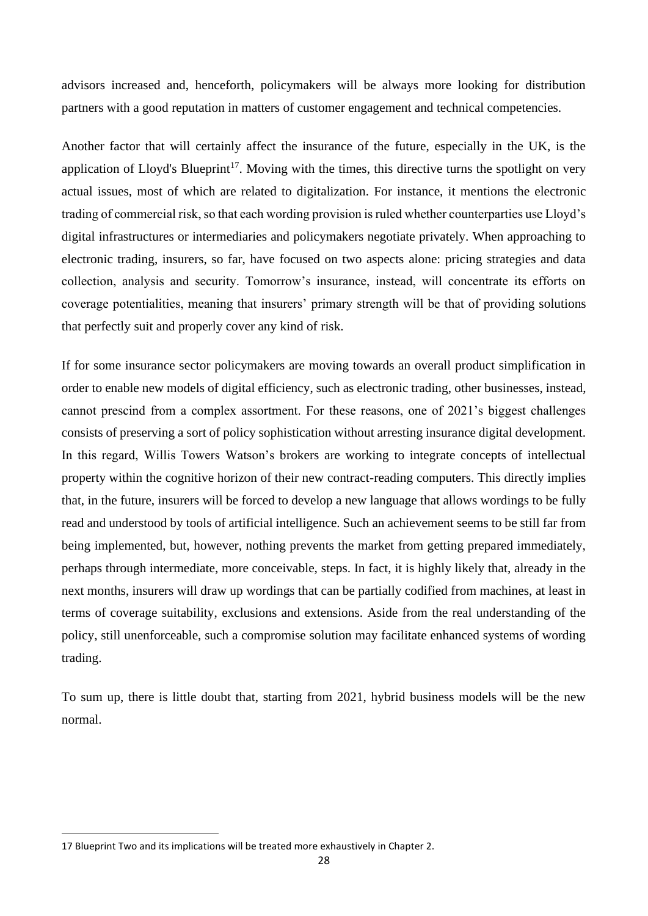advisors increased and, henceforth, policymakers will be always more looking for distribution partners with a good reputation in matters of customer engagement and technical competencies.

Another factor that will certainly affect the insurance of the future, especially in the UK, is the application of Lloyd's Blueprint<sup>17</sup>. Moving with the times, this directive turns the spotlight on very actual issues, most of which are related to digitalization. For instance, it mentions the electronic trading of commercial risk, so that each wording provision is ruled whether counterparties use Lloyd's digital infrastructures or intermediaries and policymakers negotiate privately. When approaching to electronic trading, insurers, so far, have focused on two aspects alone: pricing strategies and data collection, analysis and security. Tomorrow's insurance, instead, will concentrate its efforts on coverage potentialities, meaning that insurers' primary strength will be that of providing solutions that perfectly suit and properly cover any kind of risk.

If for some insurance sector policymakers are moving towards an overall product simplification in order to enable new models of digital efficiency, such as electronic trading, other businesses, instead, cannot prescind from a complex assortment. For these reasons, one of 2021's biggest challenges consists of preserving a sort of policy sophistication without arresting insurance digital development. In this regard, Willis Towers Watson's brokers are working to integrate concepts of intellectual property within the cognitive horizon of their new contract-reading computers. This directly implies that, in the future, insurers will be forced to develop a new language that allows wordings to be fully read and understood by tools of artificial intelligence. Such an achievement seems to be still far from being implemented, but, however, nothing prevents the market from getting prepared immediately, perhaps through intermediate, more conceivable, steps. In fact, it is highly likely that, already in the next months, insurers will draw up wordings that can be partially codified from machines, at least in terms of coverage suitability, exclusions and extensions. Aside from the real understanding of the policy, still unenforceable, such a compromise solution may facilitate enhanced systems of wording trading.

To sum up, there is little doubt that, starting from 2021, hybrid business models will be the new normal.

<sup>17</sup> Blueprint Two and its implications will be treated more exhaustively in Chapter 2.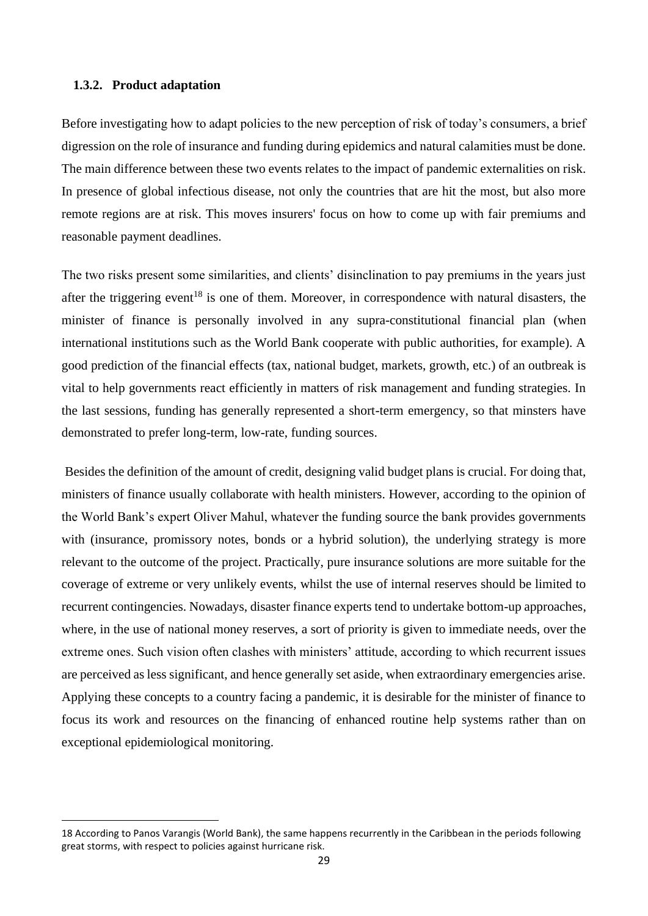### <span id="page-28-0"></span>**1.3.2. Product adaptation**

Before investigating how to adapt policies to the new perception of risk of today's consumers, a brief digression on the role of insurance and funding during epidemics and natural calamities must be done. The main difference between these two events relates to the impact of pandemic externalities on risk. In presence of global infectious disease, not only the countries that are hit the most, but also more remote regions are at risk. This moves insurers' focus on how to come up with fair premiums and reasonable payment deadlines.

The two risks present some similarities, and clients' disinclination to pay premiums in the years just after the triggering event<sup>18</sup> is one of them. Moreover, in correspondence with natural disasters, the minister of finance is personally involved in any supra-constitutional financial plan (when international institutions such as the World Bank cooperate with public authorities, for example). A good prediction of the financial effects (tax, national budget, markets, growth, etc.) of an outbreak is vital to help governments react efficiently in matters of risk management and funding strategies. In the last sessions, funding has generally represented a short-term emergency, so that minsters have demonstrated to prefer long-term, low-rate, funding sources.

Besides the definition of the amount of credit, designing valid budget plans is crucial. For doing that, ministers of finance usually collaborate with health ministers. However, according to the opinion of the World Bank's expert Oliver Mahul, whatever the funding source the bank provides governments with (insurance, promissory notes, bonds or a hybrid solution), the underlying strategy is more relevant to the outcome of the project. Practically, pure insurance solutions are more suitable for the coverage of extreme or very unlikely events, whilst the use of internal reserves should be limited to recurrent contingencies. Nowadays, disaster finance experts tend to undertake bottom-up approaches, where, in the use of national money reserves, a sort of priority is given to immediate needs, over the extreme ones. Such vision often clashes with ministers' attitude, according to which recurrent issues are perceived as less significant, and hence generally set aside, when extraordinary emergencies arise. Applying these concepts to a country facing a pandemic, it is desirable for the minister of finance to focus its work and resources on the financing of enhanced routine help systems rather than on exceptional epidemiological monitoring.

<sup>18</sup> According to Panos Varangis (World Bank), the same happens recurrently in the Caribbean in the periods following great storms, with respect to policies against hurricane risk.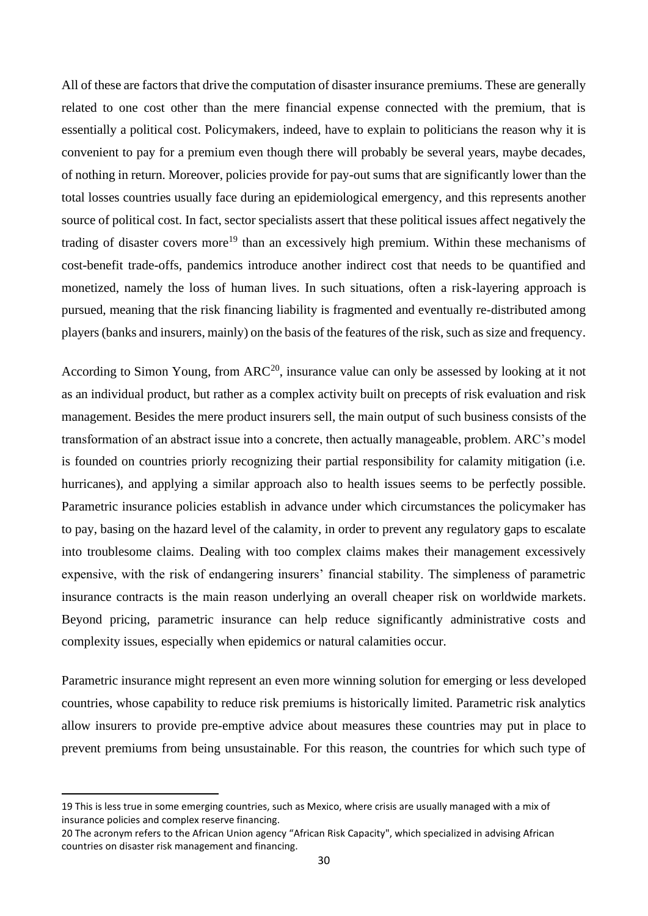All of these are factors that drive the computation of disaster insurance premiums. These are generally related to one cost other than the mere financial expense connected with the premium, that is essentially a political cost. Policymakers, indeed, have to explain to politicians the reason why it is convenient to pay for a premium even though there will probably be several years, maybe decades, of nothing in return. Moreover, policies provide for pay-out sums that are significantly lower than the total losses countries usually face during an epidemiological emergency, and this represents another source of political cost. In fact, sector specialists assert that these political issues affect negatively the trading of disaster covers more<sup>19</sup> than an excessively high premium. Within these mechanisms of cost-benefit trade-offs, pandemics introduce another indirect cost that needs to be quantified and monetized, namely the loss of human lives. In such situations, often a risk-layering approach is pursued, meaning that the risk financing liability is fragmented and eventually re-distributed among players (banks and insurers, mainly) on the basis of the features of the risk, such as size and frequency.

According to Simon Young, from  $ARC<sup>20</sup>$ , insurance value can only be assessed by looking at it not as an individual product, but rather as a complex activity built on precepts of risk evaluation and risk management. Besides the mere product insurers sell, the main output of such business consists of the transformation of an abstract issue into a concrete, then actually manageable, problem. ARC's model is founded on countries priorly recognizing their partial responsibility for calamity mitigation (i.e. hurricanes), and applying a similar approach also to health issues seems to be perfectly possible. Parametric insurance policies establish in advance under which circumstances the policymaker has to pay, basing on the hazard level of the calamity, in order to prevent any regulatory gaps to escalate into troublesome claims. Dealing with too complex claims makes their management excessively expensive, with the risk of endangering insurers' financial stability. The simpleness of parametric insurance contracts is the main reason underlying an overall cheaper risk on worldwide markets. Beyond pricing, parametric insurance can help reduce significantly administrative costs and complexity issues, especially when epidemics or natural calamities occur.

Parametric insurance might represent an even more winning solution for emerging or less developed countries, whose capability to reduce risk premiums is historically limited. Parametric risk analytics allow insurers to provide pre-emptive advice about measures these countries may put in place to prevent premiums from being unsustainable. For this reason, the countries for which such type of

<sup>19</sup> This is less true in some emerging countries, such as Mexico, where crisis are usually managed with a mix of insurance policies and complex reserve financing.

<sup>20</sup> The acronym refers to the African Union agency "African Risk Capacity", which specialized in advising African countries on disaster risk management and financing.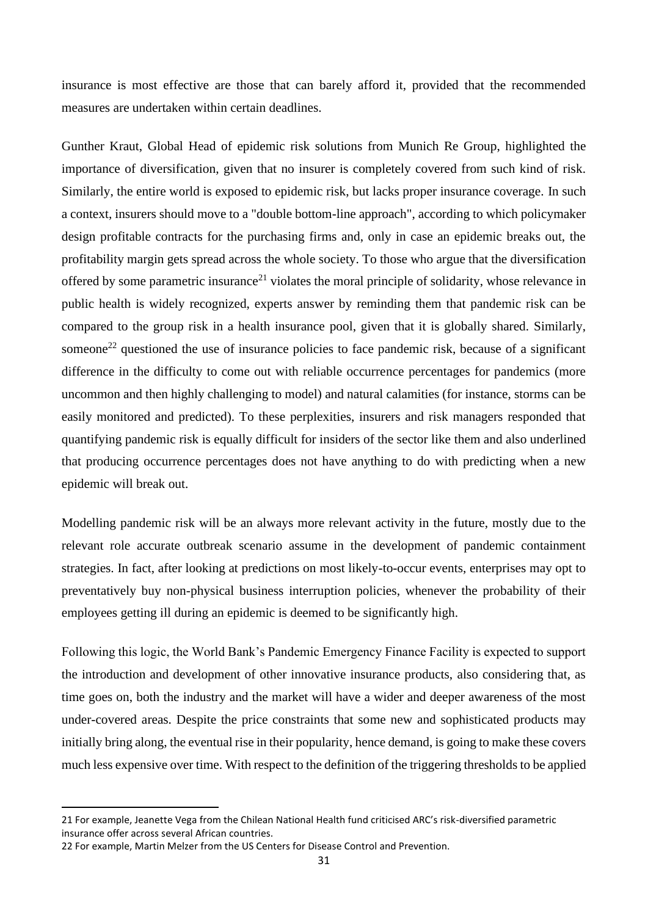insurance is most effective are those that can barely afford it, provided that the recommended measures are undertaken within certain deadlines.

Gunther Kraut, Global Head of epidemic risk solutions from Munich Re Group, highlighted the importance of diversification, given that no insurer is completely covered from such kind of risk. Similarly, the entire world is exposed to epidemic risk, but lacks proper insurance coverage. In such a context, insurers should move to a "double bottom-line approach", according to which policymaker design profitable contracts for the purchasing firms and, only in case an epidemic breaks out, the profitability margin gets spread across the whole society. To those who argue that the diversification offered by some parametric insurance<sup>21</sup> violates the moral principle of solidarity, whose relevance in public health is widely recognized, experts answer by reminding them that pandemic risk can be compared to the group risk in a health insurance pool, given that it is globally shared. Similarly, someone<sup>22</sup> questioned the use of insurance policies to face pandemic risk, because of a significant difference in the difficulty to come out with reliable occurrence percentages for pandemics (more uncommon and then highly challenging to model) and natural calamities (for instance, storms can be easily monitored and predicted). To these perplexities, insurers and risk managers responded that quantifying pandemic risk is equally difficult for insiders of the sector like them and also underlined that producing occurrence percentages does not have anything to do with predicting when a new epidemic will break out.

Modelling pandemic risk will be an always more relevant activity in the future, mostly due to the relevant role accurate outbreak scenario assume in the development of pandemic containment strategies. In fact, after looking at predictions on most likely-to-occur events, enterprises may opt to preventatively buy non-physical business interruption policies, whenever the probability of their employees getting ill during an epidemic is deemed to be significantly high.

Following this logic, the World Bank's Pandemic Emergency Finance Facility is expected to support the introduction and development of other innovative insurance products, also considering that, as time goes on, both the industry and the market will have a wider and deeper awareness of the most under-covered areas. Despite the price constraints that some new and sophisticated products may initially bring along, the eventual rise in their popularity, hence demand, is going to make these covers much less expensive over time. With respect to the definition of the triggering thresholds to be applied

<sup>21</sup> For example, Jeanette Vega from the Chilean National Health fund criticised ARC's risk-diversified parametric insurance offer across several African countries.

<sup>22</sup> For example, Martin Melzer from the US Centers for Disease Control and Prevention.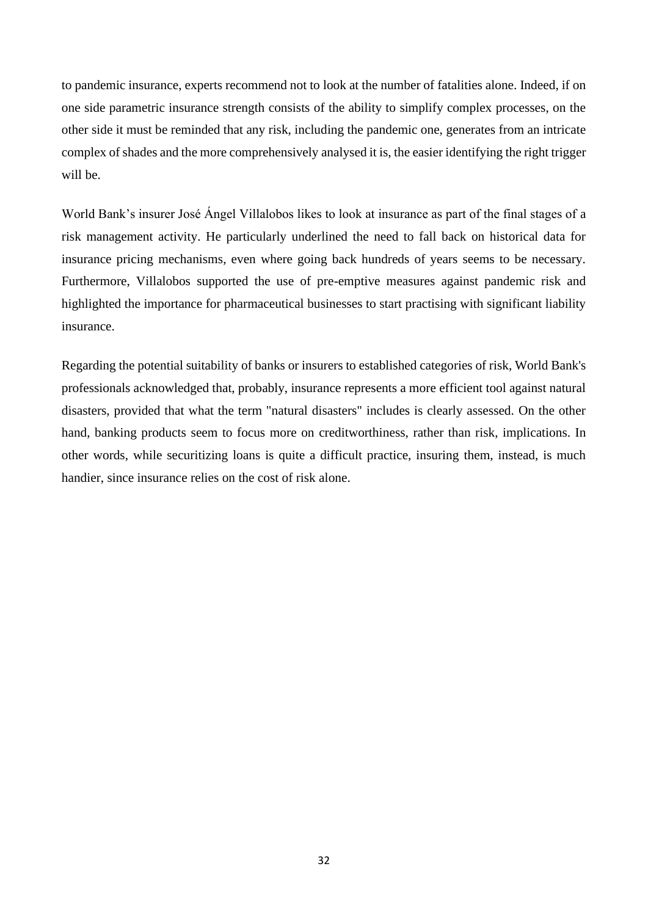to pandemic insurance, experts recommend not to look at the number of fatalities alone. Indeed, if on one side parametric insurance strength consists of the ability to simplify complex processes, on the other side it must be reminded that any risk, including the pandemic one, generates from an intricate complex of shades and the more comprehensively analysed it is, the easier identifying the right trigger will be.

World Bank's insurer José Ángel Villalobos likes to look at insurance as part of the final stages of a risk management activity. He particularly underlined the need to fall back on historical data for insurance pricing mechanisms, even where going back hundreds of years seems to be necessary. Furthermore, Villalobos supported the use of pre-emptive measures against pandemic risk and highlighted the importance for pharmaceutical businesses to start practising with significant liability insurance.

Regarding the potential suitability of banks or insurers to established categories of risk, World Bank's professionals acknowledged that, probably, insurance represents a more efficient tool against natural disasters, provided that what the term "natural disasters" includes is clearly assessed. On the other hand, banking products seem to focus more on creditworthiness, rather than risk, implications. In other words, while securitizing loans is quite a difficult practice, insuring them, instead, is much handier, since insurance relies on the cost of risk alone.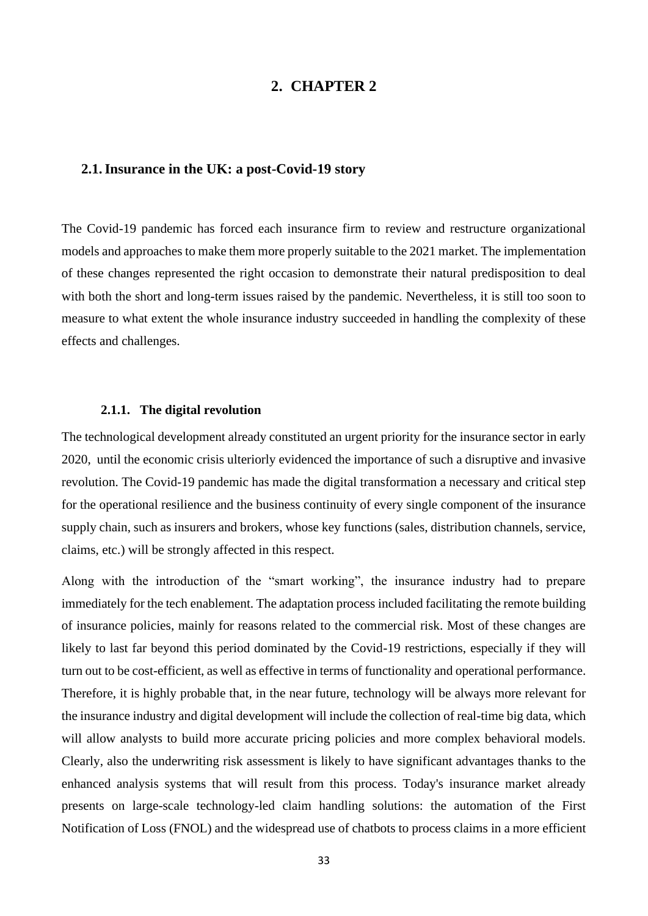### **2. CHAPTER 2**

### <span id="page-32-1"></span><span id="page-32-0"></span>**2.1.Insurance in the UK: a post-Covid-19 story**

The Covid-19 pandemic has forced each insurance firm to review and restructure organizational models and approaches to make them more properly suitable to the 2021 market. The implementation of these changes represented the right occasion to demonstrate their natural predisposition to deal with both the short and long-term issues raised by the pandemic. Nevertheless, it is still too soon to measure to what extent the whole insurance industry succeeded in handling the complexity of these effects and challenges.

### **2.1.1. The digital revolution**

<span id="page-32-2"></span>The technological development already constituted an urgent priority for the insurance sector in early 2020, until the economic crisis ulteriorly evidenced the importance of such a disruptive and invasive revolution. The Covid-19 pandemic has made the digital transformation a necessary and critical step for the operational resilience and the business continuity of every single component of the insurance supply chain, such as insurers and brokers, whose key functions (sales, distribution channels, service, claims, etc.) will be strongly affected in this respect.

Along with the introduction of the "smart working", the insurance industry had to prepare immediately for the tech enablement. The adaptation process included facilitating the remote building of insurance policies, mainly for reasons related to the commercial risk. Most of these changes are likely to last far beyond this period dominated by the Covid-19 restrictions, especially if they will turn out to be cost-efficient, as well as effective in terms of functionality and operational performance. Therefore, it is highly probable that, in the near future, technology will be always more relevant for the insurance industry and digital development will include the collection of real-time big data, which will allow analysts to build more accurate pricing policies and more complex behavioral models. Clearly, also the underwriting risk assessment is likely to have significant advantages thanks to the enhanced analysis systems that will result from this process. Today's insurance market already presents on large-scale technology-led claim handling solutions: the automation of the First Notification of Loss (FNOL) and the widespread use of chatbots to process claims in a more efficient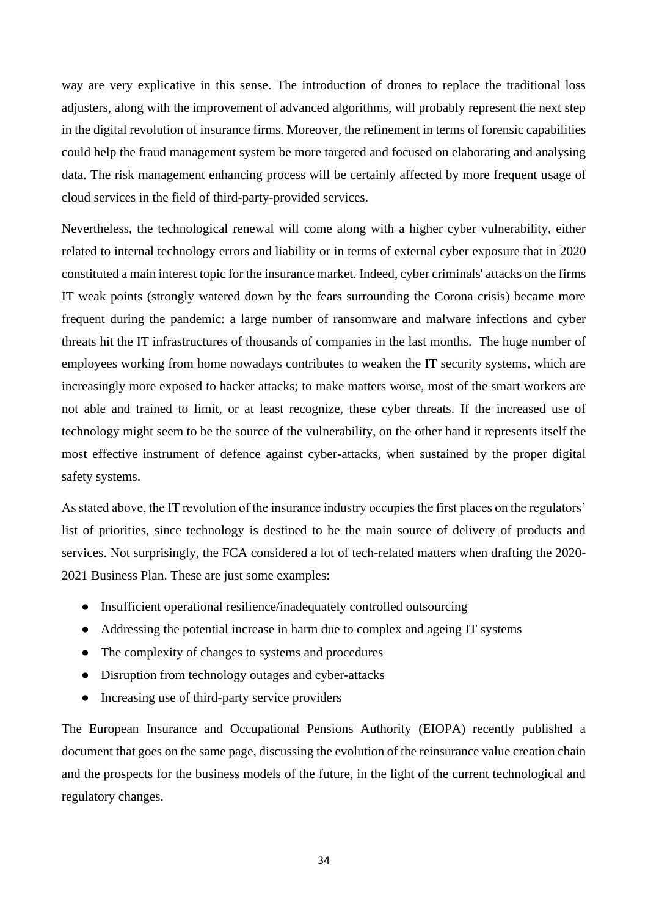way are very explicative in this sense. The introduction of drones to replace the traditional loss adjusters, along with the improvement of advanced algorithms, will probably represent the next step in the digital revolution of insurance firms. Moreover, the refinement in terms of forensic capabilities could help the fraud management system be more targeted and focused on elaborating and analysing data. The risk management enhancing process will be certainly affected by more frequent usage of cloud services in the field of third-party-provided services.

Nevertheless, the technological renewal will come along with a higher cyber vulnerability, either related to internal technology errors and liability or in terms of external cyber exposure that in 2020 constituted a main interest topic for the insurance market. Indeed, cyber criminals' attacks on the firms IT weak points (strongly watered down by the fears surrounding the Corona crisis) became more frequent during the pandemic: a large number of ransomware and malware infections and cyber threats hit the IT infrastructures of thousands of companies in the last months. The huge number of employees working from home nowadays contributes to weaken the IT security systems, which are increasingly more exposed to hacker attacks; to make matters worse, most of the smart workers are not able and trained to limit, or at least recognize, these cyber threats. If the increased use of technology might seem to be the source of the vulnerability, on the other hand it represents itself the most effective instrument of defence against cyber-attacks, when sustained by the proper digital safety systems.

As stated above, the IT revolution of the insurance industry occupies the first places on the regulators' list of priorities, since technology is destined to be the main source of delivery of products and services. Not surprisingly, the FCA considered a lot of tech-related matters when drafting the 2020- 2021 Business Plan. These are just some examples:

- Insufficient operational resilience/inadequately controlled outsourcing
- Addressing the potential increase in harm due to complex and ageing IT systems
- The complexity of changes to systems and procedures
- Disruption from technology outages and cyber-attacks
- Increasing use of third-party service providers

The European Insurance and Occupational Pensions Authority (EIOPA) recently published a document that goes on the same page, discussing the evolution of the reinsurance value creation chain and the prospects for the business models of the future, in the light of the current technological and regulatory changes.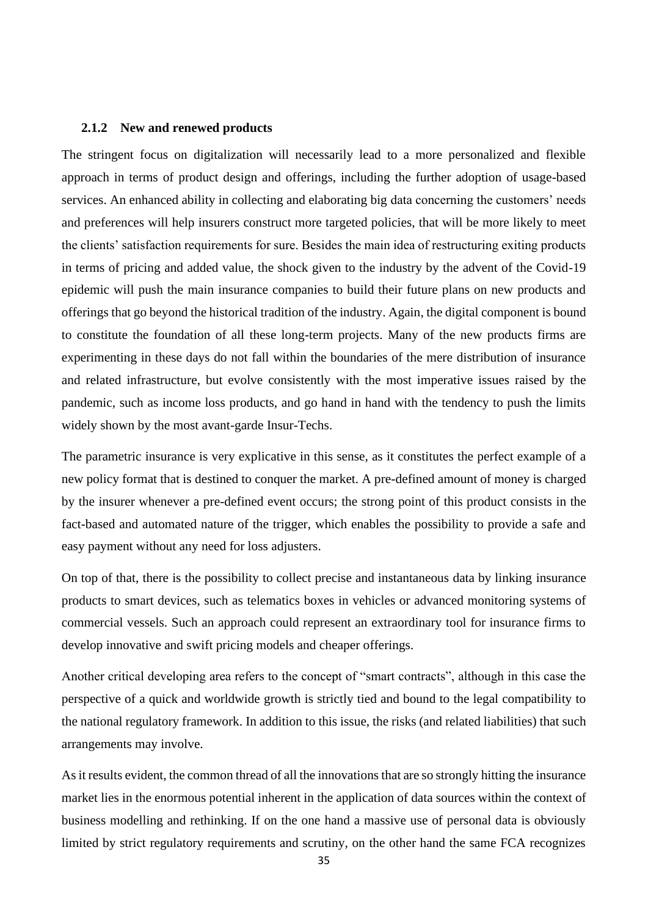### <span id="page-34-0"></span>**2.1.2 New and renewed products**

The stringent focus on digitalization will necessarily lead to a more personalized and flexible approach in terms of product design and offerings, including the further adoption of usage-based services. An enhanced ability in collecting and elaborating big data concerning the customers' needs and preferences will help insurers construct more targeted policies, that will be more likely to meet the clients' satisfaction requirements for sure. Besides the main idea of restructuring exiting products in terms of pricing and added value, the shock given to the industry by the advent of the Covid-19 epidemic will push the main insurance companies to build their future plans on new products and offerings that go beyond the historical tradition of the industry. Again, the digital component is bound to constitute the foundation of all these long-term projects. Many of the new products firms are experimenting in these days do not fall within the boundaries of the mere distribution of insurance and related infrastructure, but evolve consistently with the most imperative issues raised by the pandemic, such as income loss products, and go hand in hand with the tendency to push the limits widely shown by the most avant-garde Insur-Techs.

The parametric insurance is very explicative in this sense, as it constitutes the perfect example of a new policy format that is destined to conquer the market. A pre-defined amount of money is charged by the insurer whenever a pre-defined event occurs; the strong point of this product consists in the fact-based and automated nature of the trigger, which enables the possibility to provide a safe and easy payment without any need for loss adjusters.

On top of that, there is the possibility to collect precise and instantaneous data by linking insurance products to smart devices, such as telematics boxes in vehicles or advanced monitoring systems of commercial vessels. Such an approach could represent an extraordinary tool for insurance firms to develop innovative and swift pricing models and cheaper offerings.

Another critical developing area refers to the concept of "smart contracts", although in this case the perspective of a quick and worldwide growth is strictly tied and bound to the legal compatibility to the national regulatory framework. In addition to this issue, the risks (and related liabilities) that such arrangements may involve.

As it results evident, the common thread of all the innovations that are so strongly hitting the insurance market lies in the enormous potential inherent in the application of data sources within the context of business modelling and rethinking. If on the one hand a massive use of personal data is obviously limited by strict regulatory requirements and scrutiny, on the other hand the same FCA recognizes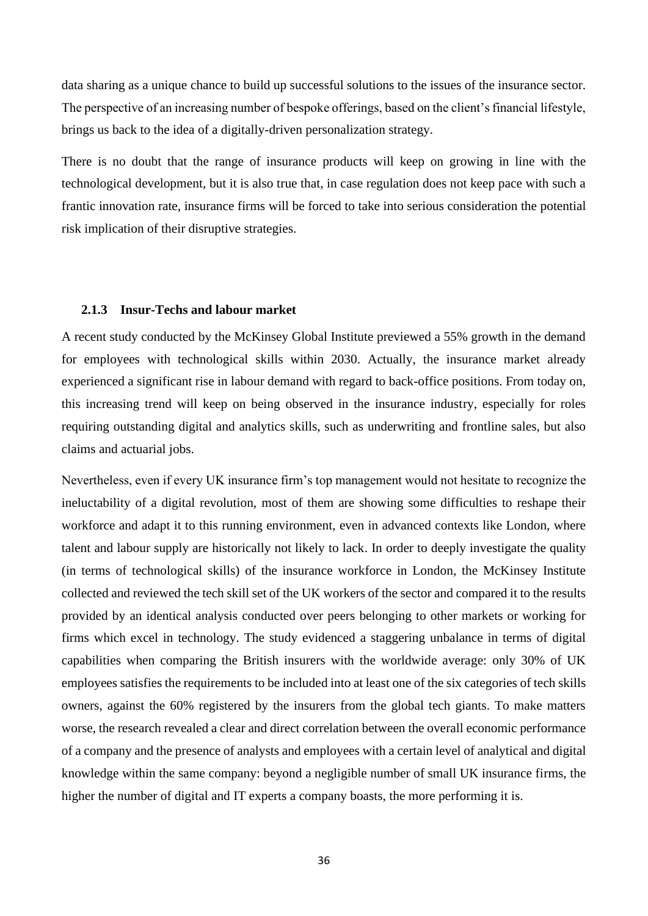data sharing as a unique chance to build up successful solutions to the issues of the insurance sector. The perspective of an increasing number of bespoke offerings, based on the client's financial lifestyle, brings us back to the idea of a digitally-driven personalization strategy.

There is no doubt that the range of insurance products will keep on growing in line with the technological development, but it is also true that, in case regulation does not keep pace with such a frantic innovation rate, insurance firms will be forced to take into serious consideration the potential risk implication of their disruptive strategies.

### <span id="page-35-0"></span>**2.1.3 Insur-Techs and labour market**

A recent study conducted by the McKinsey Global Institute previewed a 55% growth in the demand for employees with technological skills within 2030. Actually, the insurance market already experienced a significant rise in labour demand with regard to back-office positions. From today on, this increasing trend will keep on being observed in the insurance industry, especially for roles requiring outstanding digital and analytics skills, such as underwriting and frontline sales, but also claims and actuarial jobs.

Nevertheless, even if every UK insurance firm's top management would not hesitate to recognize the ineluctability of a digital revolution, most of them are showing some difficulties to reshape their workforce and adapt it to this running environment, even in advanced contexts like London, where talent and labour supply are historically not likely to lack. In order to deeply investigate the quality (in terms of technological skills) of the insurance workforce in London, the McKinsey Institute collected and reviewed the tech skill set of the UK workers of the sector and compared it to the results provided by an identical analysis conducted over peers belonging to other markets or working for firms which excel in technology. The study evidenced a staggering unbalance in terms of digital capabilities when comparing the British insurers with the worldwide average: only 30% of UK employees satisfies the requirements to be included into at least one of the six categories of tech skills owners, against the 60% registered by the insurers from the global tech giants. To make matters worse, the research revealed a clear and direct correlation between the overall economic performance of a company and the presence of analysts and employees with a certain level of analytical and digital knowledge within the same company: beyond a negligible number of small UK insurance firms, the higher the number of digital and IT experts a company boasts, the more performing it is.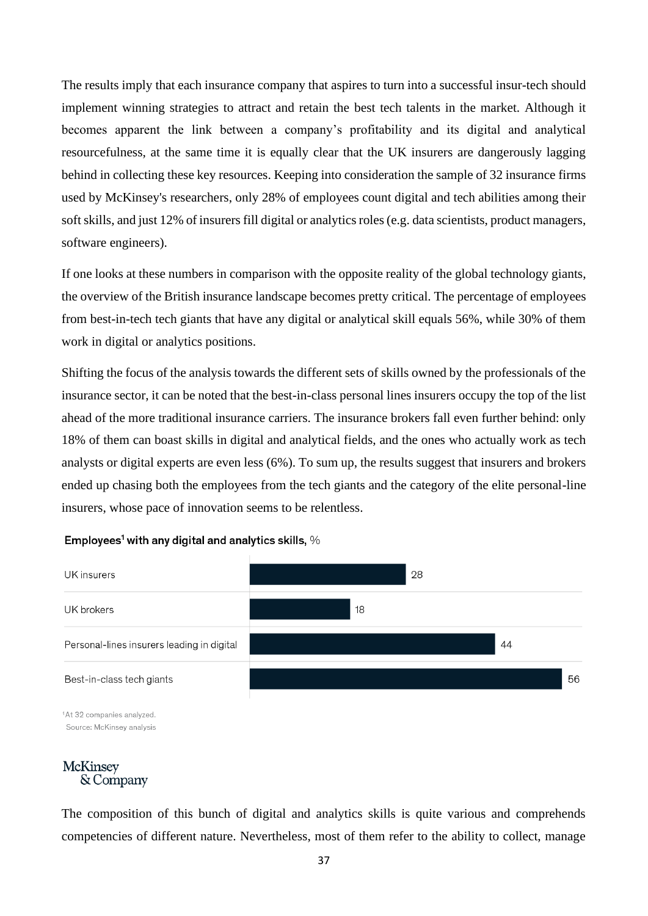The results imply that each insurance company that aspires to turn into a successful insur-tech should implement winning strategies to attract and retain the best tech talents in the market. Although it becomes apparent the link between a company's profitability and its digital and analytical resourcefulness, at the same time it is equally clear that the UK insurers are dangerously lagging behind in collecting these key resources. Keeping into consideration the sample of 32 insurance firms used by McKinsey's researchers, only 28% of employees count digital and tech abilities among their soft skills, and just 12% of insurers fill digital or analytics roles (e.g. data scientists, product managers, software engineers).

If one looks at these numbers in comparison with the opposite reality of the global technology giants, the overview of the British insurance landscape becomes pretty critical. The percentage of employees from best-in-tech tech giants that have any digital or analytical skill equals 56%, while 30% of them work in digital or analytics positions.

Shifting the focus of the analysis towards the different sets of skills owned by the professionals of the insurance sector, it can be noted that the best-in-class personal lines insurers occupy the top of the list ahead of the more traditional insurance carriers. The insurance brokers fall even further behind: only 18% of them can boast skills in digital and analytical fields, and the ones who actually work as tech analysts or digital experts are even less (6%). To sum up, the results suggest that insurers and brokers ended up chasing both the employees from the tech giants and the category of the elite personal-line insurers, whose pace of innovation seems to be relentless.

### Employees<sup>1</sup> with any digital and analytics skills,  $\%$



Source: McKinsey analysis

# **McKinsey** & Company

The composition of this bunch of digital and analytics skills is quite various and comprehends competencies of different nature. Nevertheless, most of them refer to the ability to collect, manage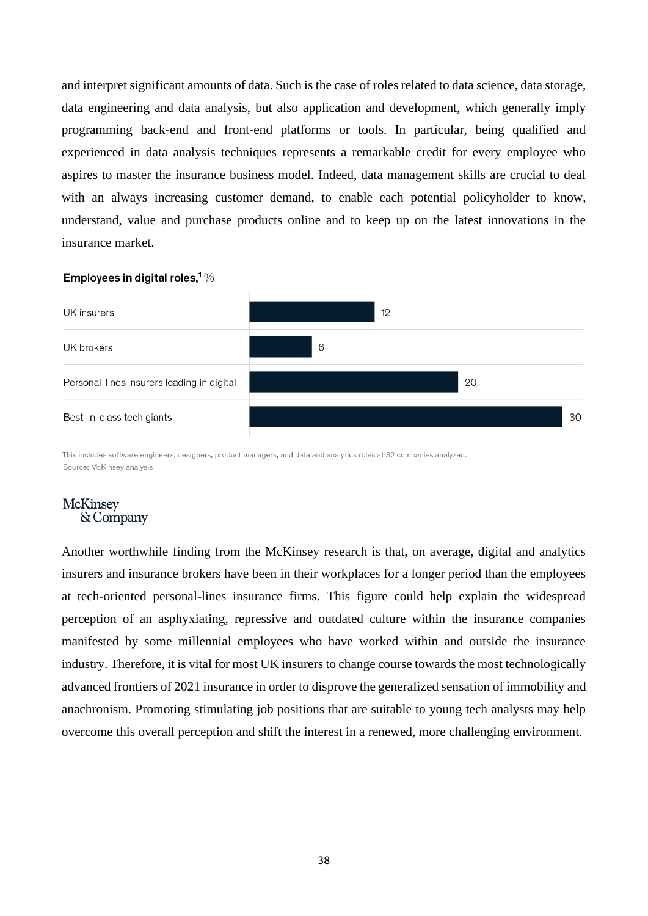and interpret significant amounts of data. Such is the case of roles related to data science, data storage, data engineering and data analysis, but also application and development, which generally imply programming back-end and front-end platforms or tools. In particular, being qualified and experienced in data analysis techniques represents a remarkable credit for every employee who aspires to master the insurance business model. Indeed, data management skills are crucial to deal with an always increasing customer demand, to enable each potential policyholder to know, understand, value and purchase products online and to keep up on the latest innovations in the insurance market.

### Employees in digital roles,  $1\%$



This includes software engineers, designers, product managers, and data and analytics roles at 32 companies analyzed. Source: McKinsey analysis

# **McKinsey** & Company

Another worthwhile finding from the McKinsey research is that, on average, digital and analytics insurers and insurance brokers have been in their workplaces for a longer period than the employees at tech-oriented personal-lines insurance firms. This figure could help explain the widespread perception of an asphyxiating, repressive and outdated culture within the insurance companies manifested by some millennial employees who have worked within and outside the insurance industry. Therefore, it is vital for most UK insurers to change course towards the most technologically advanced frontiers of 2021 insurance in order to disprove the generalized sensation of immobility and anachronism. Promoting stimulating job positions that are suitable to young tech analysts may help overcome this overall perception and shift the interest in a renewed, more challenging environment.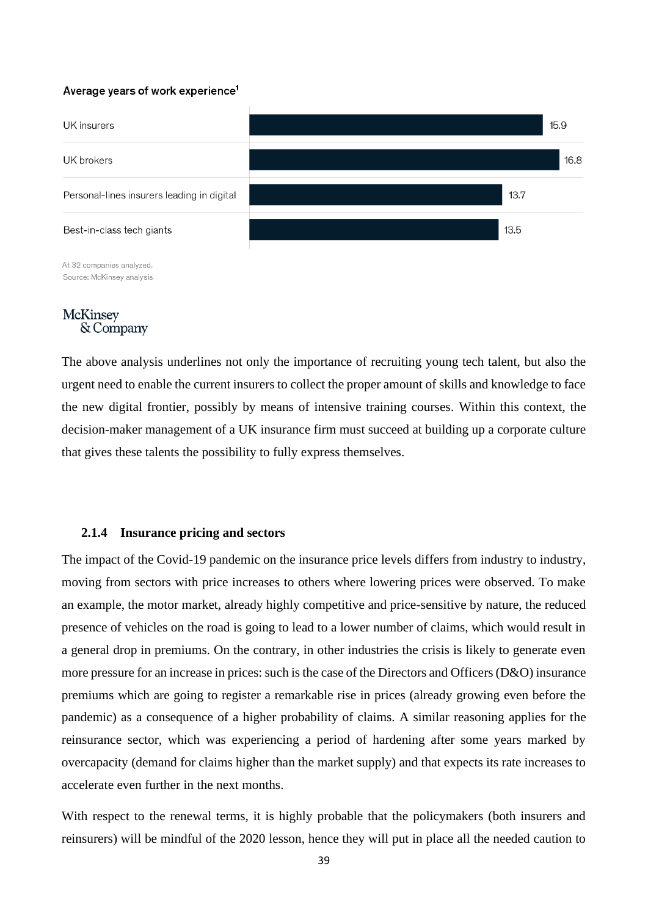### Average vears of work experience<sup>1</sup>



At 32 companies analyzed. Source: McKinsey analysis

# **McKinsey** & Company

The above analysis underlines not only the importance of recruiting young tech talent, but also the urgent need to enable the current insurers to collect the proper amount of skills and knowledge to face the new digital frontier, possibly by means of intensive training courses. Within this context, the decision-maker management of a UK insurance firm must succeed at building up a corporate culture that gives these talents the possibility to fully express themselves.

## **2.1.4 Insurance pricing and sectors**

The impact of the Covid-19 pandemic on the insurance price levels differs from industry to industry, moving from sectors with price increases to others where lowering prices were observed. To make an example, the motor market, already highly competitive and price-sensitive by nature, the reduced presence of vehicles on the road is going to lead to a lower number of claims, which would result in a general drop in premiums. On the contrary, in other industries the crisis is likely to generate even more pressure for an increase in prices: such is the case of the Directors and Officers (D&O) insurance premiums which are going to register a remarkable rise in prices (already growing even before the pandemic) as a consequence of a higher probability of claims. A similar reasoning applies for the reinsurance sector, which was experiencing a period of hardening after some years marked by overcapacity (demand for claims higher than the market supply) and that expects its rate increases to accelerate even further in the next months.

With respect to the renewal terms, it is highly probable that the policymakers (both insurers and reinsurers) will be mindful of the 2020 lesson, hence they will put in place all the needed caution to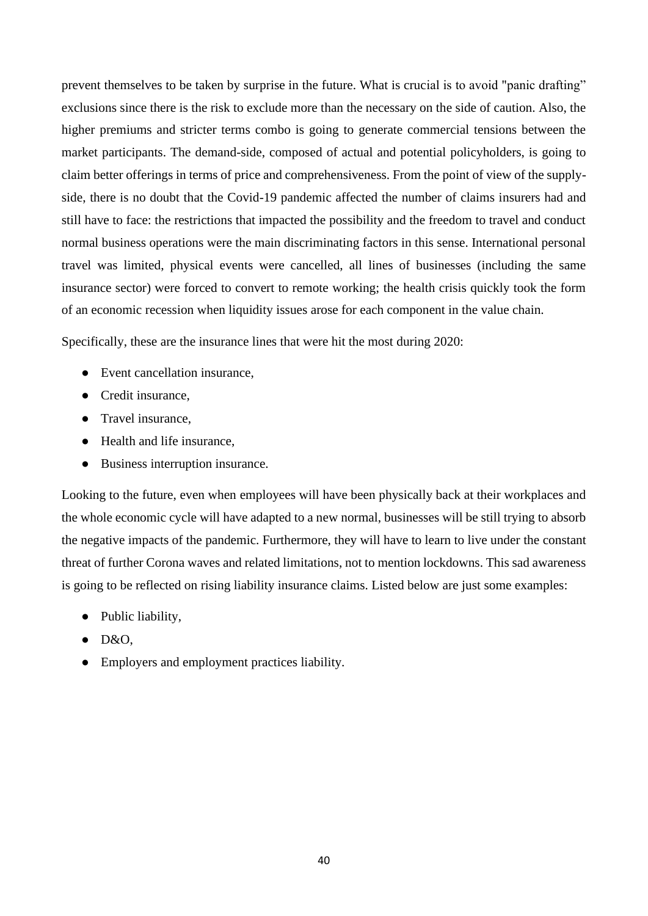prevent themselves to be taken by surprise in the future. What is crucial is to avoid "panic drafting" exclusions since there is the risk to exclude more than the necessary on the side of caution. Also, the higher premiums and stricter terms combo is going to generate commercial tensions between the market participants. The demand-side, composed of actual and potential policyholders, is going to claim better offerings in terms of price and comprehensiveness. From the point of view of the supplyside, there is no doubt that the Covid-19 pandemic affected the number of claims insurers had and still have to face: the restrictions that impacted the possibility and the freedom to travel and conduct normal business operations were the main discriminating factors in this sense. International personal travel was limited, physical events were cancelled, all lines of businesses (including the same insurance sector) were forced to convert to remote working; the health crisis quickly took the form of an economic recession when liquidity issues arose for each component in the value chain.

Specifically, these are the insurance lines that were hit the most during 2020:

- Event cancellation insurance,
- Credit insurance.
- Travel insurance.
- Health and life insurance,
- Business interruption insurance.

Looking to the future, even when employees will have been physically back at their workplaces and the whole economic cycle will have adapted to a new normal, businesses will be still trying to absorb the negative impacts of the pandemic. Furthermore, they will have to learn to live under the constant threat of further Corona waves and related limitations, not to mention lockdowns. This sad awareness is going to be reflected on rising liability insurance claims. Listed below are just some examples:

- Public liability,
- $\bullet$  D&O.
- Employers and employment practices liability.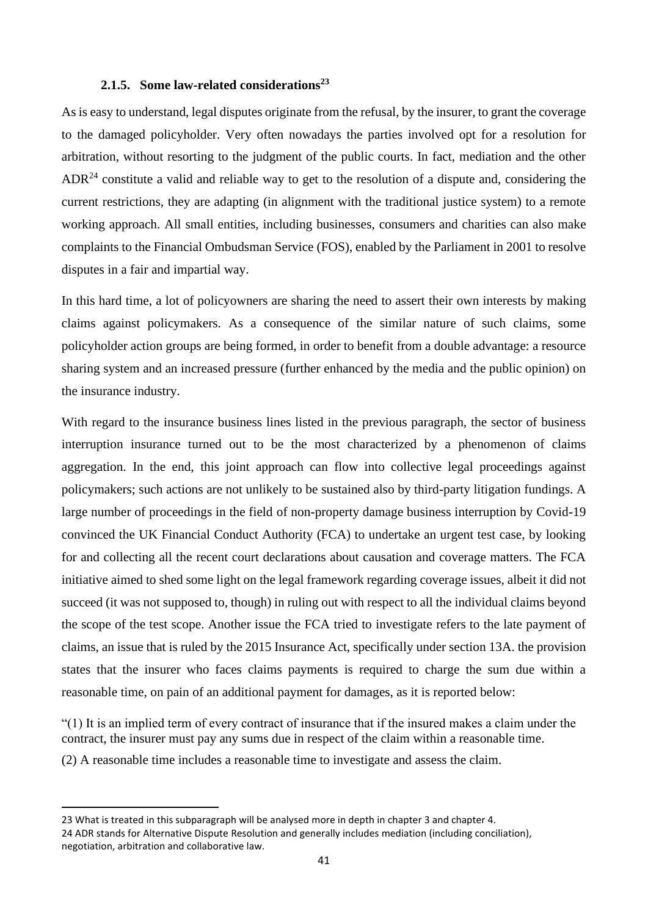# **2.1.5. Some law-related considerations<sup>23</sup>**

As is easy to understand, legal disputes originate from the refusal, by the insurer, to grant the coverage to the damaged policyholder. Very often nowadays the parties involved opt for a resolution for arbitration, without resorting to the judgment of the public courts. In fact, mediation and the other  $ADR<sup>24</sup>$  constitute a valid and reliable way to get to the resolution of a dispute and, considering the current restrictions, they are adapting (in alignment with the traditional justice system) to a remote working approach. All small entities, including businesses, consumers and charities can also make complaints to the Financial Ombudsman Service (FOS), enabled by the Parliament in 2001 to resolve disputes in a fair and impartial way.

In this hard time, a lot of policyowners are sharing the need to assert their own interests by making claims against policymakers. As a consequence of the similar nature of such claims, some policyholder action groups are being formed, in order to benefit from a double advantage: a resource sharing system and an increased pressure (further enhanced by the media and the public opinion) on the insurance industry.

With regard to the insurance business lines listed in the previous paragraph, the sector of business interruption insurance turned out to be the most characterized by a phenomenon of claims aggregation. In the end, this joint approach can flow into collective legal proceedings against policymakers; such actions are not unlikely to be sustained also by third-party litigation fundings. A large number of proceedings in the field of non-property damage business interruption by Covid-19 convinced the UK Financial Conduct Authority (FCA) to undertake an urgent test case, by looking for and collecting all the recent court declarations about causation and coverage matters. The FCA initiative aimed to shed some light on the legal framework regarding coverage issues, albeit it did not succeed (it was not supposed to, though) in ruling out with respect to all the individual claims beyond the scope of the test scope. Another issue the FCA tried to investigate refers to the late payment of claims, an issue that is ruled by the 2015 Insurance Act, specifically under section 13A. the provision states that the insurer who faces claims payments is required to charge the sum due within a reasonable time, on pain of an additional payment for damages, as it is reported below:

"(1) It is an implied term of every contract of insurance that if the insured makes a claim under the contract, the insurer must pay any sums due in respect of the claim within a reasonable time. (2) A reasonable time includes a reasonable time to investigate and assess the claim.

<sup>23</sup> What is treated in this subparagraph will be analysed more in depth in chapter 3 and chapter 4. 24 ADR stands for Alternative Dispute Resolution and generally includes mediation (including conciliation), negotiation, arbitration and collaborative law.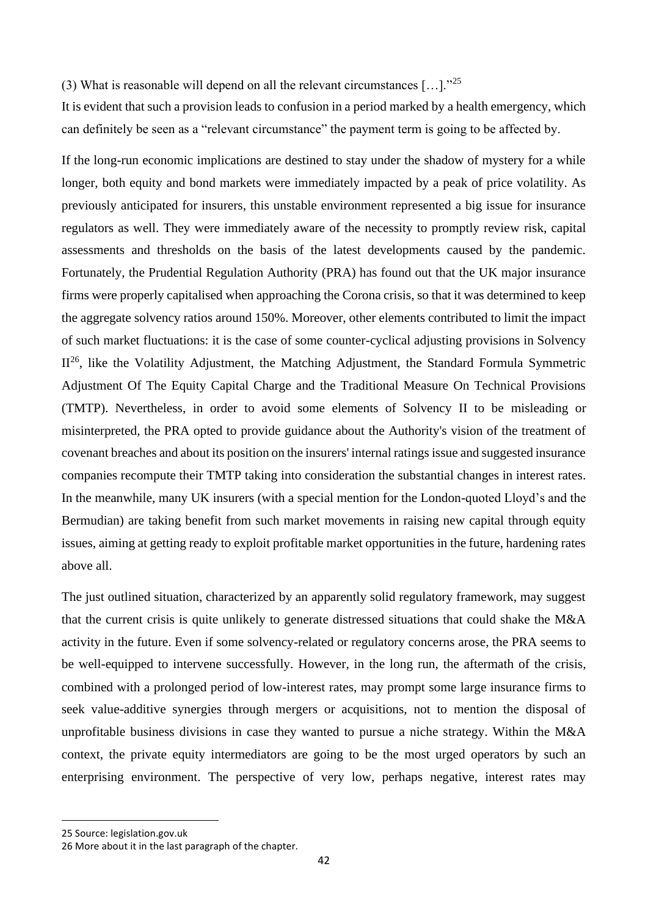(3) What is reasonable will depend on all the relevant circumstances  $[\dots]$ ."<sup>25</sup>

It is evident that such a provision leads to confusion in a period marked by a health emergency, which can definitely be seen as a "relevant circumstance" the payment term is going to be affected by.

If the long-run economic implications are destined to stay under the shadow of mystery for a while longer, both equity and bond markets were immediately impacted by a peak of price volatility. As previously anticipated for insurers, this unstable environment represented a big issue for insurance regulators as well. They were immediately aware of the necessity to promptly review risk, capital assessments and thresholds on the basis of the latest developments caused by the pandemic. Fortunately, the Prudential Regulation Authority (PRA) has found out that the UK major insurance firms were properly capitalised when approaching the Corona crisis, so that it was determined to keep the aggregate solvency ratios around 150%. Moreover, other elements contributed to limit the impact of such market fluctuations: it is the case of some counter-cyclical adjusting provisions in Solvency  $II^{26}$ , like the Volatility Adjustment, the Matching Adjustment, the Standard Formula Symmetric Adjustment Of The Equity Capital Charge and the Traditional Measure On Technical Provisions (TMTP). Nevertheless, in order to avoid some elements of Solvency II to be misleading or misinterpreted, the PRA opted to provide guidance about the Authority's vision of the treatment of covenant breaches and about its position on the insurers' internal ratings issue and suggested insurance companies recompute their TMTP taking into consideration the substantial changes in interest rates. In the meanwhile, many UK insurers (with a special mention for the London-quoted Lloyd's and the Bermudian) are taking benefit from such market movements in raising new capital through equity issues, aiming at getting ready to exploit profitable market opportunities in the future, hardening rates above all.

The just outlined situation, characterized by an apparently solid regulatory framework, may suggest that the current crisis is quite unlikely to generate distressed situations that could shake the M&A activity in the future. Even if some solvency-related or regulatory concerns arose, the PRA seems to be well-equipped to intervene successfully. However, in the long run, the aftermath of the crisis, combined with a prolonged period of low-interest rates, may prompt some large insurance firms to seek value-additive synergies through mergers or acquisitions, not to mention the disposal of unprofitable business divisions in case they wanted to pursue a niche strategy. Within the M&A context, the private equity intermediators are going to be the most urged operators by such an enterprising environment. The perspective of very low, perhaps negative, interest rates may

<sup>25</sup> Source: legislation.gov.uk

<sup>26</sup> More about it in the last paragraph of the chapter.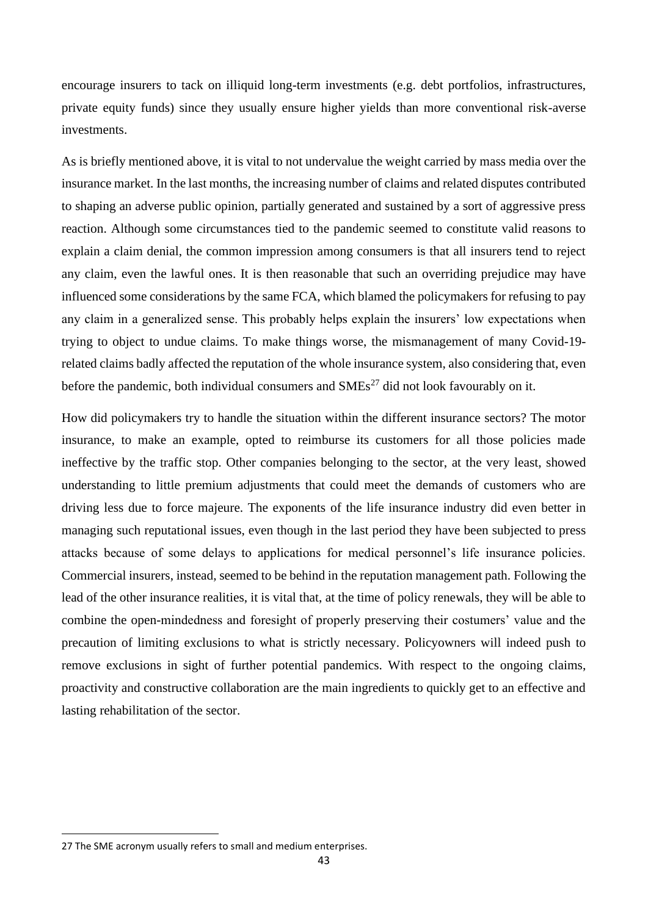encourage insurers to tack on illiquid long-term investments (e.g. debt portfolios, infrastructures, private equity funds) since they usually ensure higher yields than more conventional risk-averse investments.

As is briefly mentioned above, it is vital to not undervalue the weight carried by mass media over the insurance market. In the last months, the increasing number of claims and related disputes contributed to shaping an adverse public opinion, partially generated and sustained by a sort of aggressive press reaction. Although some circumstances tied to the pandemic seemed to constitute valid reasons to explain a claim denial, the common impression among consumers is that all insurers tend to reject any claim, even the lawful ones. It is then reasonable that such an overriding prejudice may have influenced some considerations by the same FCA, which blamed the policymakers for refusing to pay any claim in a generalized sense. This probably helps explain the insurers' low expectations when trying to object to undue claims. To make things worse, the mismanagement of many Covid-19 related claims badly affected the reputation of the whole insurance system, also considering that, even before the pandemic, both individual consumers and  $\text{SMEs}^{27}$  did not look favourably on it.

How did policymakers try to handle the situation within the different insurance sectors? The motor insurance, to make an example, opted to reimburse its customers for all those policies made ineffective by the traffic stop. Other companies belonging to the sector, at the very least, showed understanding to little premium adjustments that could meet the demands of customers who are driving less due to force majeure. The exponents of the life insurance industry did even better in managing such reputational issues, even though in the last period they have been subjected to press attacks because of some delays to applications for medical personnel's life insurance policies. Commercial insurers, instead, seemed to be behind in the reputation management path. Following the lead of the other insurance realities, it is vital that, at the time of policy renewals, they will be able to combine the open-mindedness and foresight of properly preserving their costumers' value and the precaution of limiting exclusions to what is strictly necessary. Policyowners will indeed push to remove exclusions in sight of further potential pandemics. With respect to the ongoing claims, proactivity and constructive collaboration are the main ingredients to quickly get to an effective and lasting rehabilitation of the sector.

<sup>27</sup> The SME acronym usually refers to small and medium enterprises.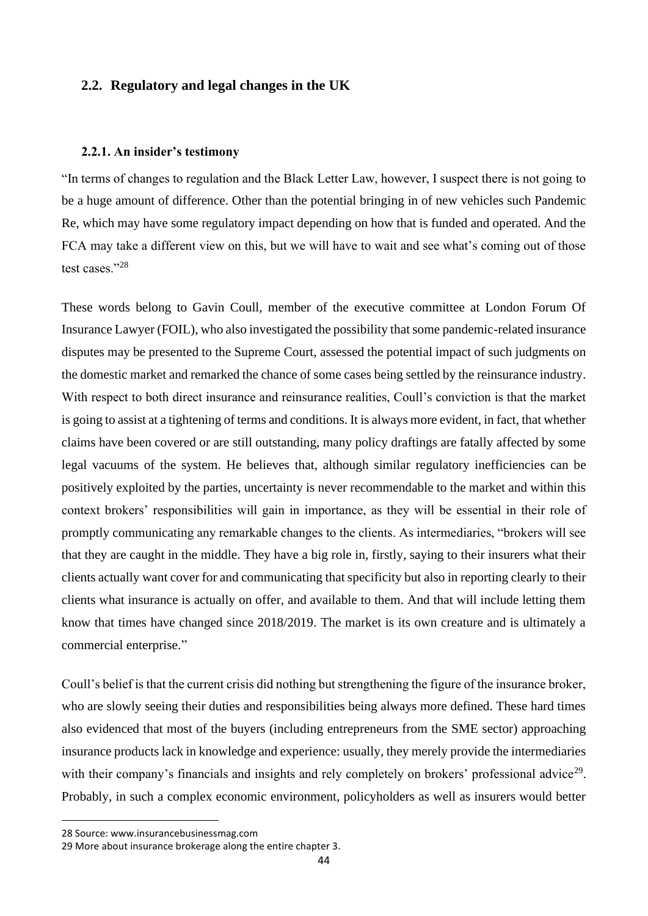# **2.2. Regulatory and legal changes in the UK**

## **2.2.1. An insider's testimony**

"In terms of changes to regulation and the Black Letter Law, however, I suspect there is not going to be a huge amount of difference. Other than the potential bringing in of new vehicles such Pandemic Re, which may have some regulatory impact depending on how that is funded and operated. And the FCA may take a different view on this, but we will have to wait and see what's coming out of those test cases."<sup>28</sup>

These words belong to Gavin Coull, member of the executive committee at London Forum Of Insurance Lawyer (FOIL), who also investigated the possibility that some pandemic-related insurance disputes may be presented to the Supreme Court, assessed the potential impact of such judgments on the domestic market and remarked the chance of some cases being settled by the reinsurance industry. With respect to both direct insurance and reinsurance realities, Coull's conviction is that the market is going to assist at a tightening of terms and conditions. It is always more evident, in fact, that whether claims have been covered or are still outstanding, many policy draftings are fatally affected by some legal vacuums of the system. He believes that, although similar regulatory inefficiencies can be positively exploited by the parties, uncertainty is never recommendable to the market and within this context brokers' responsibilities will gain in importance, as they will be essential in their role of promptly communicating any remarkable changes to the clients. As intermediaries, "brokers will see that they are caught in the middle. They have a big role in, firstly, saying to their insurers what their clients actually want cover for and communicating that specificity but also in reporting clearly to their clients what insurance is actually on offer, and available to them. And that will include letting them know that times have changed since 2018/2019. The market is its own creature and is ultimately a commercial enterprise."

Coull's belief is that the current crisis did nothing but strengthening the figure of the insurance broker, who are slowly seeing their duties and responsibilities being always more defined. These hard times also evidenced that most of the buyers (including entrepreneurs from the SME sector) approaching insurance products lack in knowledge and experience: usually, they merely provide the intermediaries with their company's financials and insights and rely completely on brokers' professional advice<sup>29</sup>. Probably, in such a complex economic environment, policyholders as well as insurers would better

<sup>28</sup> Source: www.insurancebusinessmag.com

<sup>29</sup> More about insurance brokerage along the entire chapter 3.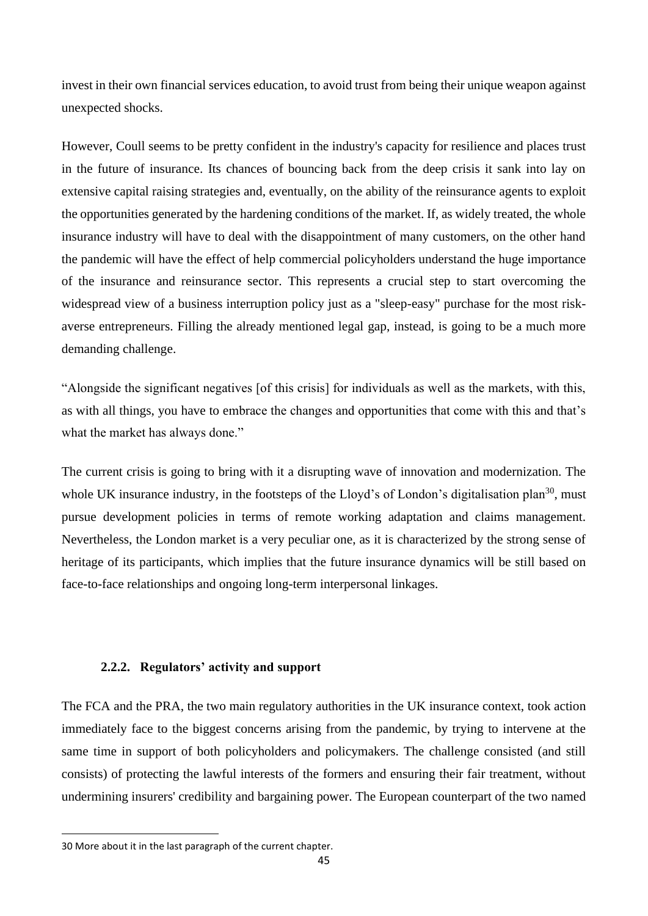invest in their own financial services education, to avoid trust from being their unique weapon against unexpected shocks.

However, Coull seems to be pretty confident in the industry's capacity for resilience and places trust in the future of insurance. Its chances of bouncing back from the deep crisis it sank into lay on extensive capital raising strategies and, eventually, on the ability of the reinsurance agents to exploit the opportunities generated by the hardening conditions of the market. If, as widely treated, the whole insurance industry will have to deal with the disappointment of many customers, on the other hand the pandemic will have the effect of help commercial policyholders understand the huge importance of the insurance and reinsurance sector. This represents a crucial step to start overcoming the widespread view of a business interruption policy just as a "sleep-easy" purchase for the most riskaverse entrepreneurs. Filling the already mentioned legal gap, instead, is going to be a much more demanding challenge.

"Alongside the significant negatives [of this crisis] for individuals as well as the markets, with this, as with all things, you have to embrace the changes and opportunities that come with this and that's what the market has always done."

The current crisis is going to bring with it a disrupting wave of innovation and modernization. The whole UK insurance industry, in the footsteps of the Lloyd's of London's digitalisation plan<sup>30</sup>, must pursue development policies in terms of remote working adaptation and claims management. Nevertheless, the London market is a very peculiar one, as it is characterized by the strong sense of heritage of its participants, which implies that the future insurance dynamics will be still based on face-to-face relationships and ongoing long-term interpersonal linkages.

# **2.2.2. Regulators' activity and support**

The FCA and the PRA, the two main regulatory authorities in the UK insurance context, took action immediately face to the biggest concerns arising from the pandemic, by trying to intervene at the same time in support of both policyholders and policymakers. The challenge consisted (and still consists) of protecting the lawful interests of the formers and ensuring their fair treatment, without undermining insurers' credibility and bargaining power. The European counterpart of the two named

<sup>30</sup> More about it in the last paragraph of the current chapter.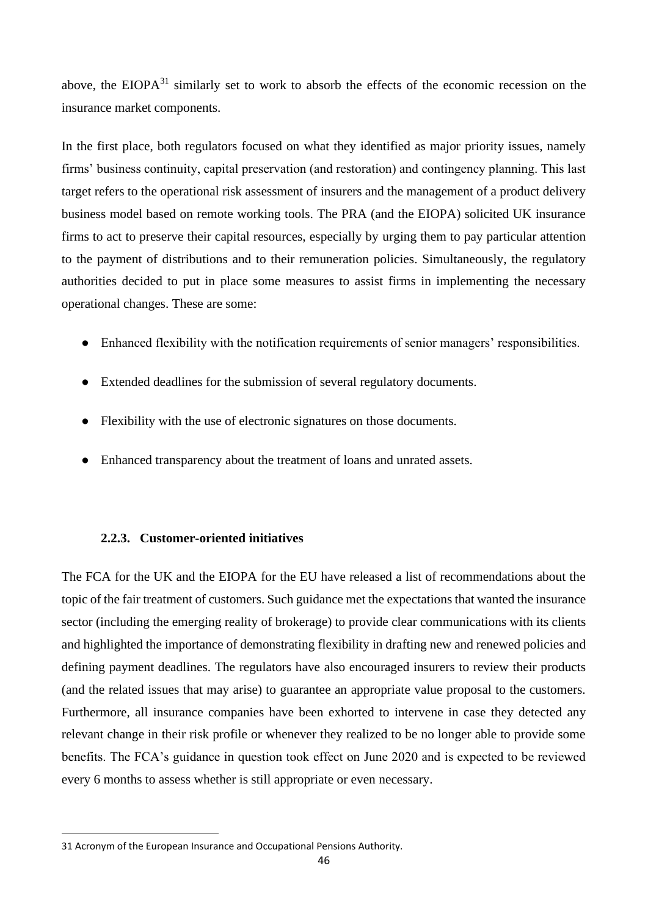above, the EIOP $A^{31}$  similarly set to work to absorb the effects of the economic recession on the insurance market components.

In the first place, both regulators focused on what they identified as major priority issues, namely firms' business continuity, capital preservation (and restoration) and contingency planning. This last target refers to the operational risk assessment of insurers and the management of a product delivery business model based on remote working tools. The PRA (and the EIOPA) solicited UK insurance firms to act to preserve their capital resources, especially by urging them to pay particular attention to the payment of distributions and to their remuneration policies. Simultaneously, the regulatory authorities decided to put in place some measures to assist firms in implementing the necessary operational changes. These are some:

- Enhanced flexibility with the notification requirements of senior managers' responsibilities.
- Extended deadlines for the submission of several regulatory documents.
- Flexibility with the use of electronic signatures on those documents.
- Enhanced transparency about the treatment of loans and unrated assets.

# **2.2.3. Customer-oriented initiatives**

The FCA for the UK and the EIOPA for the EU have released a list of recommendations about the topic of the fair treatment of customers. Such guidance met the expectations that wanted the insurance sector (including the emerging reality of brokerage) to provide clear communications with its clients and highlighted the importance of demonstrating flexibility in drafting new and renewed policies and defining payment deadlines. The regulators have also encouraged insurers to review their products (and the related issues that may arise) to guarantee an appropriate value proposal to the customers. Furthermore, all insurance companies have been exhorted to intervene in case they detected any relevant change in their risk profile or whenever they realized to be no longer able to provide some benefits. The FCA's guidance in question took effect on June 2020 and is expected to be reviewed every 6 months to assess whether is still appropriate or even necessary.

<sup>31</sup> Acronym of the European Insurance and Occupational Pensions Authority.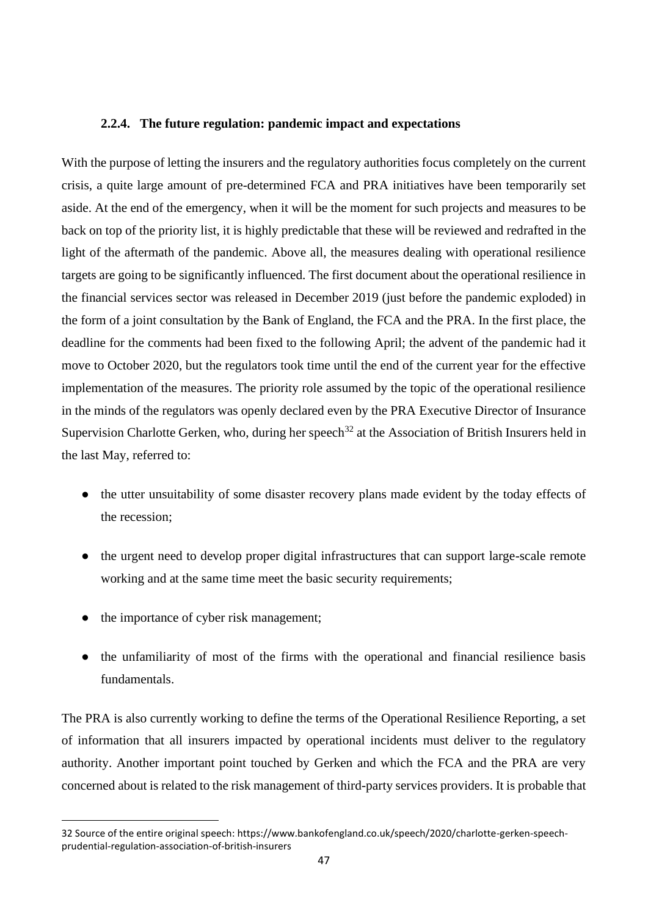## **2.2.4. The future regulation: pandemic impact and expectations**

With the purpose of letting the insurers and the regulatory authorities focus completely on the current crisis, a quite large amount of pre-determined FCA and PRA initiatives have been temporarily set aside. At the end of the emergency, when it will be the moment for such projects and measures to be back on top of the priority list, it is highly predictable that these will be reviewed and redrafted in the light of the aftermath of the pandemic. Above all, the measures dealing with operational resilience targets are going to be significantly influenced. The first document about the operational resilience in the financial services sector was released in December 2019 (just before the pandemic exploded) in the form of a joint consultation by the Bank of England, the FCA and the PRA. In the first place, the deadline for the comments had been fixed to the following April; the advent of the pandemic had it move to October 2020, but the regulators took time until the end of the current year for the effective implementation of the measures. The priority role assumed by the topic of the operational resilience in the minds of the regulators was openly declared even by the PRA Executive Director of Insurance Supervision Charlotte Gerken, who, during her speech<sup>32</sup> at the Association of British Insurers held in the last May, referred to:

- the utter unsuitability of some disaster recovery plans made evident by the today effects of the recession;
- the urgent need to develop proper digital infrastructures that can support large-scale remote working and at the same time meet the basic security requirements;
- the importance of cyber risk management;
- the unfamiliarity of most of the firms with the operational and financial resilience basis fundamentals.

The PRA is also currently working to define the terms of the Operational Resilience Reporting, a set of information that all insurers impacted by operational incidents must deliver to the regulatory authority. Another important point touched by Gerken and which the FCA and the PRA are very concerned about is related to the risk management of third-party services providers. It is probable that

<sup>32</sup> Source of the entire original speech: https://www.bankofengland.co.uk/speech/2020/charlotte-gerken-speechprudential-regulation-association-of-british-insurers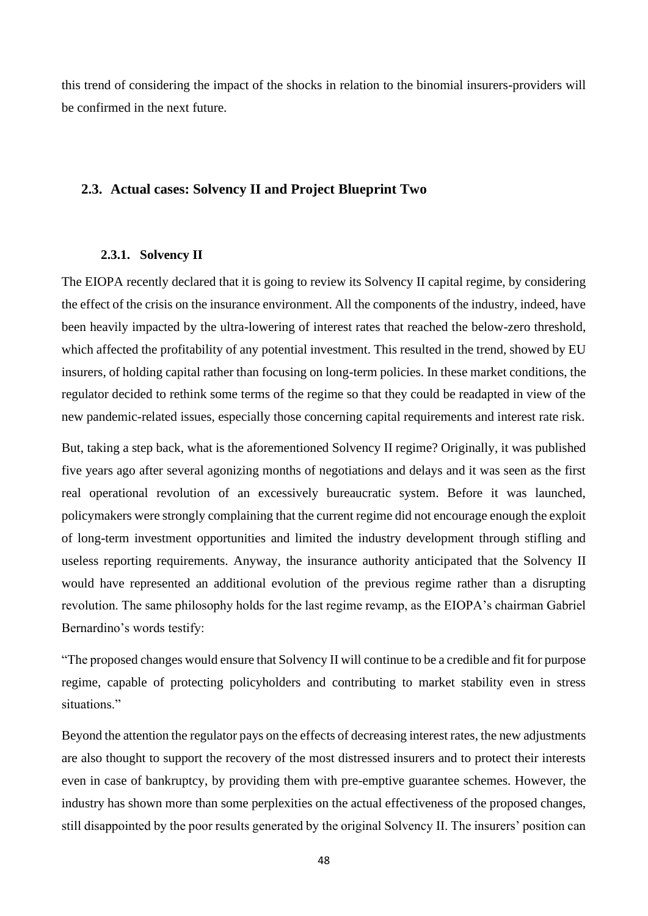this trend of considering the impact of the shocks in relation to the binomial insurers-providers will be confirmed in the next future.

# **2.3. Actual cases: Solvency II and Project Blueprint Two**

## **2.3.1. Solvency II**

The EIOPA recently declared that it is going to review its Solvency II capital regime, by considering the effect of the crisis on the insurance environment. All the components of the industry, indeed, have been heavily impacted by the ultra-lowering of interest rates that reached the below-zero threshold, which affected the profitability of any potential investment. This resulted in the trend, showed by EU insurers, of holding capital rather than focusing on long-term policies. In these market conditions, the regulator decided to rethink some terms of the regime so that they could be readapted in view of the new pandemic-related issues, especially those concerning capital requirements and interest rate risk.

But, taking a step back, what is the aforementioned Solvency II regime? Originally, it was published five years ago after several agonizing months of negotiations and delays and it was seen as the first real operational revolution of an excessively bureaucratic system. Before it was launched, policymakers were strongly complaining that the current regime did not encourage enough the exploit of long-term investment opportunities and limited the industry development through stifling and useless reporting requirements. Anyway, the insurance authority anticipated that the Solvency II would have represented an additional evolution of the previous regime rather than a disrupting revolution. The same philosophy holds for the last regime revamp, as the EIOPA's chairman Gabriel Bernardino's words testify:

"The proposed changes would ensure that Solvency II will continue to be a credible and fit for purpose regime, capable of protecting policyholders and contributing to market stability even in stress situations."

Beyond the attention the regulator pays on the effects of decreasing interest rates, the new adjustments are also thought to support the recovery of the most distressed insurers and to protect their interests even in case of bankruptcy, by providing them with pre-emptive guarantee schemes. However, the industry has shown more than some perplexities on the actual effectiveness of the proposed changes, still disappointed by the poor results generated by the original Solvency II. The insurers' position can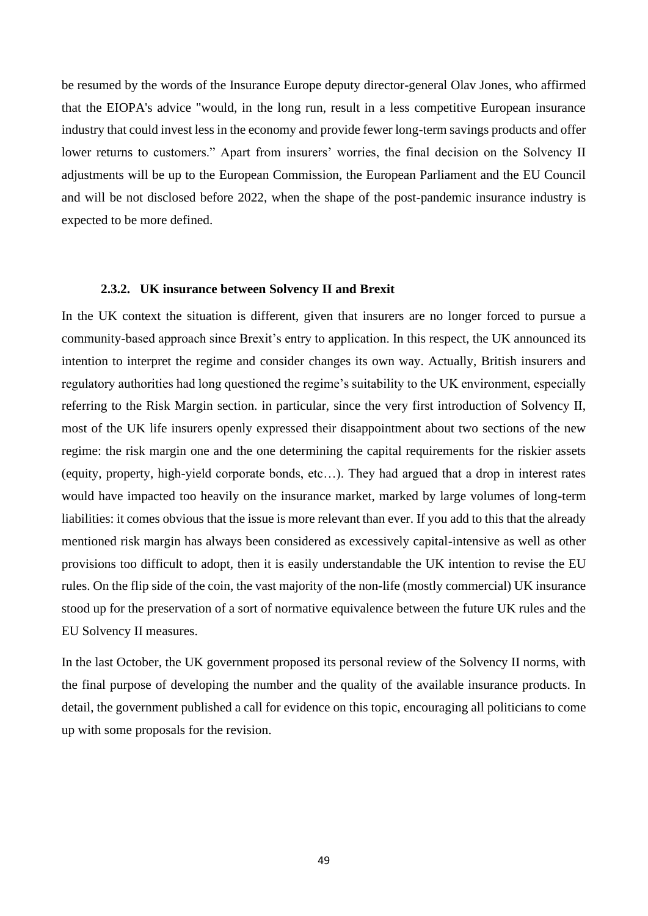be resumed by the words of the Insurance Europe deputy director-general Olav Jones, who affirmed that the EIOPA's advice "would, in the long run, result in a less competitive European insurance industry that could invest less in the economy and provide fewer long-term savings products and offer lower returns to customers." Apart from insurers' worries, the final decision on the Solvency II adjustments will be up to the European Commission, the European Parliament and the EU Council and will be not disclosed before 2022, when the shape of the post-pandemic insurance industry is expected to be more defined.

#### **2.3.2. UK insurance between Solvency II and Brexit**

In the UK context the situation is different, given that insurers are no longer forced to pursue a community-based approach since Brexit's entry to application. In this respect, the UK announced its intention to interpret the regime and consider changes its own way. Actually, British insurers and regulatory authorities had long questioned the regime's suitability to the UK environment, especially referring to the Risk Margin section. in particular, since the very first introduction of Solvency II, most of the UK life insurers openly expressed their disappointment about two sections of the new regime: the risk margin one and the one determining the capital requirements for the riskier assets (equity, property, high-yield corporate bonds, etc…). They had argued that a drop in interest rates would have impacted too heavily on the insurance market, marked by large volumes of long-term liabilities: it comes obvious that the issue is more relevant than ever. If you add to this that the already mentioned risk margin has always been considered as excessively capital-intensive as well as other provisions too difficult to adopt, then it is easily understandable the UK intention to revise the EU rules. On the flip side of the coin, the vast majority of the non-life (mostly commercial) UK insurance stood up for the preservation of a sort of normative equivalence between the future UK rules and the EU Solvency II measures.

In the last October, the UK government proposed its personal review of the Solvency II norms, with the final purpose of developing the number and the quality of the available insurance products. In detail, the government published a call for evidence on this topic, encouraging all politicians to come up with some proposals for the revision.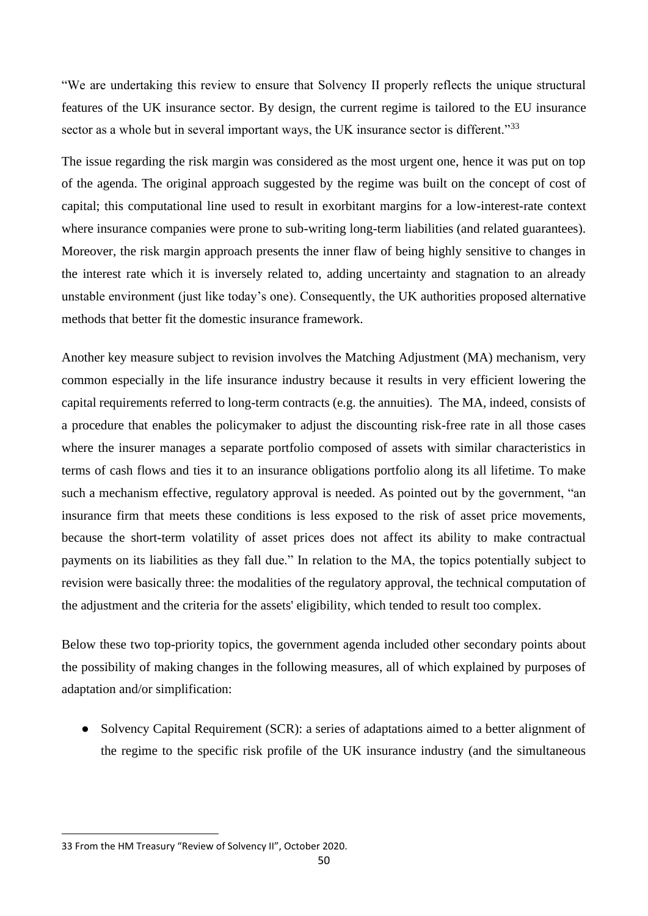"We are undertaking this review to ensure that Solvency II properly reflects the unique structural features of the UK insurance sector. By design, the current regime is tailored to the EU insurance sector as a whole but in several important ways, the UK insurance sector is different."<sup>33</sup>

The issue regarding the risk margin was considered as the most urgent one, hence it was put on top of the agenda. The original approach suggested by the regime was built on the concept of cost of capital; this computational line used to result in exorbitant margins for a low-interest-rate context where insurance companies were prone to sub-writing long-term liabilities (and related guarantees). Moreover, the risk margin approach presents the inner flaw of being highly sensitive to changes in the interest rate which it is inversely related to, adding uncertainty and stagnation to an already unstable environment (just like today's one). Consequently, the UK authorities proposed alternative methods that better fit the domestic insurance framework.

Another key measure subject to revision involves the Matching Adjustment (MA) mechanism, very common especially in the life insurance industry because it results in very efficient lowering the capital requirements referred to long-term contracts (e.g. the annuities). The MA, indeed, consists of a procedure that enables the policymaker to adjust the discounting risk-free rate in all those cases where the insurer manages a separate portfolio composed of assets with similar characteristics in terms of cash flows and ties it to an insurance obligations portfolio along its all lifetime. To make such a mechanism effective, regulatory approval is needed. As pointed out by the government, "an insurance firm that meets these conditions is less exposed to the risk of asset price movements, because the short-term volatility of asset prices does not affect its ability to make contractual payments on its liabilities as they fall due." In relation to the MA, the topics potentially subject to revision were basically three: the modalities of the regulatory approval, the technical computation of the adjustment and the criteria for the assets' eligibility, which tended to result too complex.

Below these two top-priority topics, the government agenda included other secondary points about the possibility of making changes in the following measures, all of which explained by purposes of adaptation and/or simplification:

• Solvency Capital Requirement (SCR): a series of adaptations aimed to a better alignment of the regime to the specific risk profile of the UK insurance industry (and the simultaneous

<sup>33</sup> From the HM Treasury "Review of Solvency II", October 2020.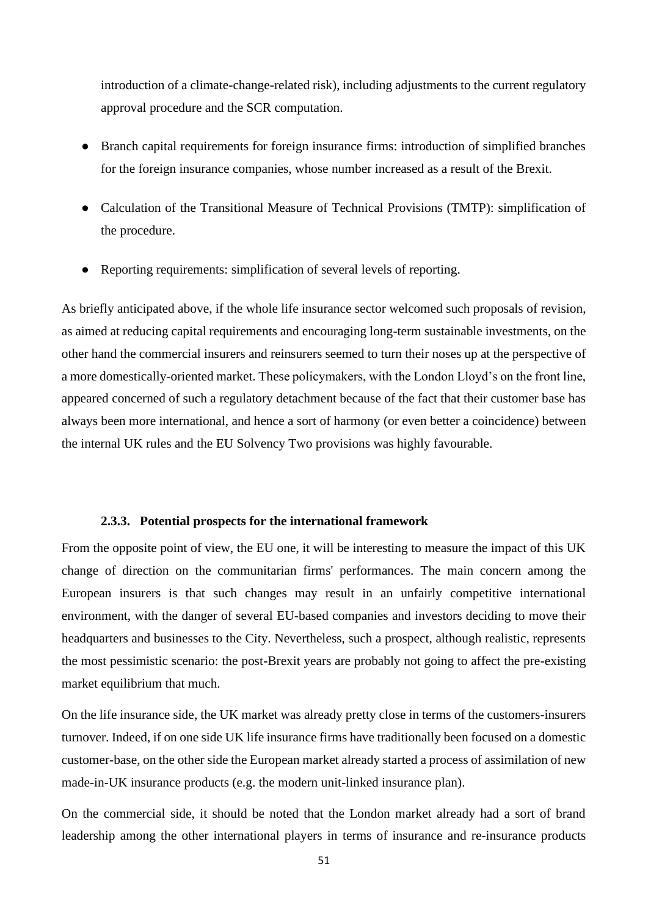introduction of a climate-change-related risk), including adjustments to the current regulatory approval procedure and the SCR computation.

- Branch capital requirements for foreign insurance firms: introduction of simplified branches for the foreign insurance companies, whose number increased as a result of the Brexit.
- Calculation of the Transitional Measure of Technical Provisions (TMTP): simplification of the procedure.
- Reporting requirements: simplification of several levels of reporting.

As briefly anticipated above, if the whole life insurance sector welcomed such proposals of revision, as aimed at reducing capital requirements and encouraging long-term sustainable investments, on the other hand the commercial insurers and reinsurers seemed to turn their noses up at the perspective of a more domestically-oriented market. These policymakers, with the London Lloyd's on the front line, appeared concerned of such a regulatory detachment because of the fact that their customer base has always been more international, and hence a sort of harmony (or even better a coincidence) between the internal UK rules and the EU Solvency Two provisions was highly favourable.

### **2.3.3. Potential prospects for the international framework**

From the opposite point of view, the EU one, it will be interesting to measure the impact of this UK change of direction on the communitarian firms' performances. The main concern among the European insurers is that such changes may result in an unfairly competitive international environment, with the danger of several EU-based companies and investors deciding to move their headquarters and businesses to the City. Nevertheless, such a prospect, although realistic, represents the most pessimistic scenario: the post-Brexit years are probably not going to affect the pre-existing market equilibrium that much.

On the life insurance side, the UK market was already pretty close in terms of the customers-insurers turnover. Indeed, if on one side UK life insurance firms have traditionally been focused on a domestic customer-base, on the other side the European market already started a process of assimilation of new made-in-UK insurance products (e.g. the modern unit-linked insurance plan).

On the commercial side, it should be noted that the London market already had a sort of brand leadership among the other international players in terms of insurance and re-insurance products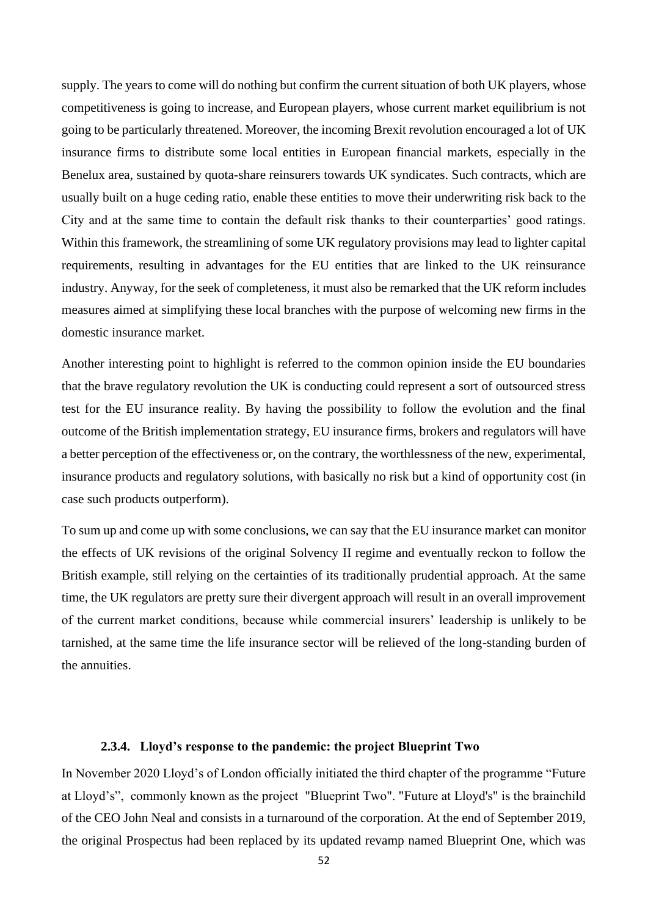supply. The years to come will do nothing but confirm the current situation of both UK players, whose competitiveness is going to increase, and European players, whose current market equilibrium is not going to be particularly threatened. Moreover, the incoming Brexit revolution encouraged a lot of UK insurance firms to distribute some local entities in European financial markets, especially in the Benelux area, sustained by quota-share reinsurers towards UK syndicates. Such contracts, which are usually built on a huge ceding ratio, enable these entities to move their underwriting risk back to the City and at the same time to contain the default risk thanks to their counterparties' good ratings. Within this framework, the streamlining of some UK regulatory provisions may lead to lighter capital requirements, resulting in advantages for the EU entities that are linked to the UK reinsurance industry. Anyway, for the seek of completeness, it must also be remarked that the UK reform includes measures aimed at simplifying these local branches with the purpose of welcoming new firms in the domestic insurance market.

Another interesting point to highlight is referred to the common opinion inside the EU boundaries that the brave regulatory revolution the UK is conducting could represent a sort of outsourced stress test for the EU insurance reality. By having the possibility to follow the evolution and the final outcome of the British implementation strategy, EU insurance firms, brokers and regulators will have a better perception of the effectiveness or, on the contrary, the worthlessness of the new, experimental, insurance products and regulatory solutions, with basically no risk but a kind of opportunity cost (in case such products outperform).

To sum up and come up with some conclusions, we can say that the EU insurance market can monitor the effects of UK revisions of the original Solvency II regime and eventually reckon to follow the British example, still relying on the certainties of its traditionally prudential approach. At the same time, the UK regulators are pretty sure their divergent approach will result in an overall improvement of the current market conditions, because while commercial insurers' leadership is unlikely to be tarnished, at the same time the life insurance sector will be relieved of the long-standing burden of the annuities.

# **2.3.4. Lloyd's response to the pandemic: the project Blueprint Two**

In November 2020 Lloyd's of London officially initiated the third chapter of the programme "Future at Lloyd's", commonly known as the project "Blueprint Two". "Future at Lloyd's" is the brainchild of the CEO John Neal and consists in a turnaround of the corporation. At the end of September 2019, the original Prospectus had been replaced by its updated revamp named Blueprint One, which was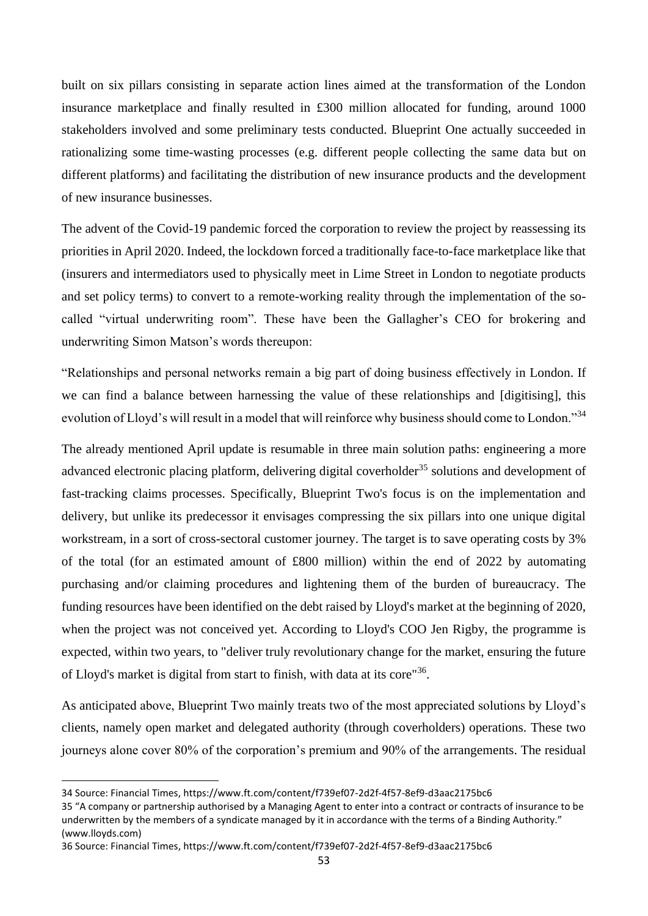built on six pillars consisting in separate action lines aimed at the transformation of the London insurance marketplace and finally resulted in £300 million allocated for funding, around 1000 stakeholders involved and some preliminary tests conducted. Blueprint One actually succeeded in rationalizing some time-wasting processes (e.g. different people collecting the same data but on different platforms) and facilitating the distribution of new insurance products and the development of new insurance businesses.

The advent of the Covid-19 pandemic forced the corporation to review the project by reassessing its priorities in April 2020. Indeed, the lockdown forced a traditionally face-to-face marketplace like that (insurers and intermediators used to physically meet in Lime Street in London to negotiate products and set policy terms) to convert to a remote-working reality through the implementation of the socalled "virtual underwriting room". These have been the Gallagher's CEO for brokering and underwriting Simon Matson's words thereupon:

"Relationships and personal networks remain a big part of doing business effectively in London. If we can find a balance between harnessing the value of these relationships and [digitising], this evolution of Lloyd's will result in a model that will reinforce why business should come to London."<sup>34</sup>

The already mentioned April update is resumable in three main solution paths: engineering a more advanced electronic placing platform, delivering digital coverholder<sup>35</sup> solutions and development of fast-tracking claims processes. Specifically, Blueprint Two's focus is on the implementation and delivery, but unlike its predecessor it envisages compressing the six pillars into one unique digital workstream, in a sort of cross-sectoral customer journey. The target is to save operating costs by 3% of the total (for an estimated amount of £800 million) within the end of 2022 by automating purchasing and/or claiming procedures and lightening them of the burden of bureaucracy. The funding resources have been identified on the debt raised by Lloyd's market at the beginning of 2020, when the project was not conceived yet. According to Lloyd's COO Jen Rigby, the programme is expected, within two years, to "deliver truly revolutionary change for the market, ensuring the future of Lloyd's market is digital from start to finish, with data at its core<sup>"36</sup>.

As anticipated above, Blueprint Two mainly treats two of the most appreciated solutions by Lloyd's clients, namely open market and delegated authority (through coverholders) operations. These two journeys alone cover 80% of the corporation's premium and 90% of the arrangements. The residual

<sup>34</sup> Source: Financial Times, https://www.ft.com/content/f739ef07-2d2f-4f57-8ef9-d3aac2175bc6

<sup>35</sup> "A company or partnership authorised by a Managing Agent to enter into a contract or contracts of insurance to be underwritten by the members of a syndicate managed by it in accordance with the terms of a Binding Authority." (www.lloyds.com)

<sup>36</sup> Source: Financial Times, https://www.ft.com/content/f739ef07-2d2f-4f57-8ef9-d3aac2175bc6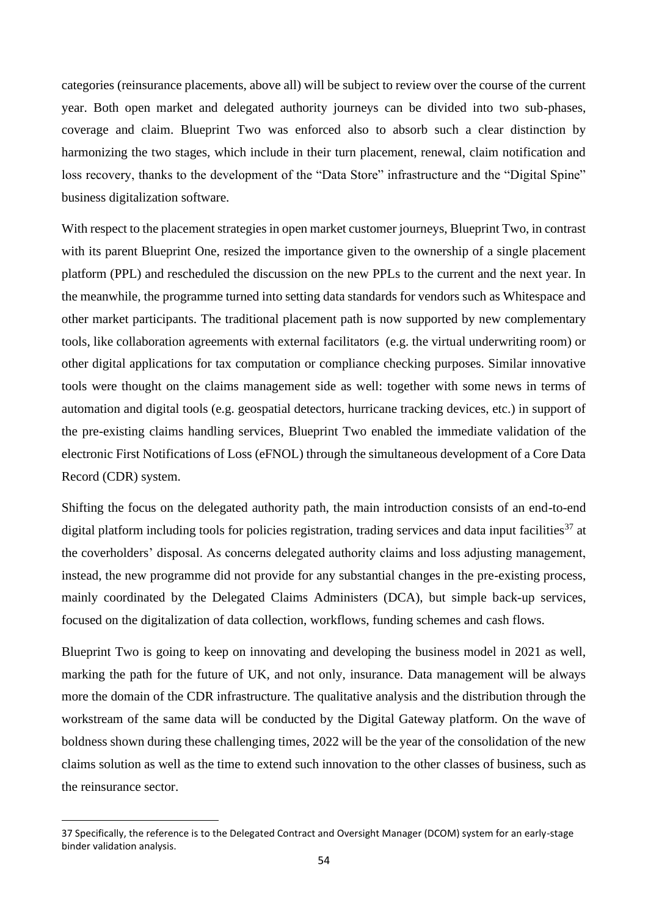categories (reinsurance placements, above all) will be subject to review over the course of the current year. Both open market and delegated authority journeys can be divided into two sub-phases, coverage and claim. Blueprint Two was enforced also to absorb such a clear distinction by harmonizing the two stages, which include in their turn placement, renewal, claim notification and loss recovery, thanks to the development of the "Data Store" infrastructure and the "Digital Spine" business digitalization software.

With respect to the placement strategies in open market customer journeys, Blueprint Two, in contrast with its parent Blueprint One, resized the importance given to the ownership of a single placement platform (PPL) and rescheduled the discussion on the new PPLs to the current and the next year. In the meanwhile, the programme turned into setting data standards for vendors such as Whitespace and other market participants. The traditional placement path is now supported by new complementary tools, like collaboration agreements with external facilitators (e.g. the virtual underwriting room) or other digital applications for tax computation or compliance checking purposes. Similar innovative tools were thought on the claims management side as well: together with some news in terms of automation and digital tools (e.g. geospatial detectors, hurricane tracking devices, etc.) in support of the pre-existing claims handling services, Blueprint Two enabled the immediate validation of the electronic First Notifications of Loss (eFNOL) through the simultaneous development of a Core Data Record (CDR) system.

Shifting the focus on the delegated authority path, the main introduction consists of an end-to-end digital platform including tools for policies registration, trading services and data input facilities<sup>37</sup> at the coverholders' disposal. As concerns delegated authority claims and loss adjusting management, instead, the new programme did not provide for any substantial changes in the pre-existing process, mainly coordinated by the Delegated Claims Administers (DCA), but simple back-up services, focused on the digitalization of data collection, workflows, funding schemes and cash flows.

Blueprint Two is going to keep on innovating and developing the business model in 2021 as well, marking the path for the future of UK, and not only, insurance. Data management will be always more the domain of the CDR infrastructure. The qualitative analysis and the distribution through the workstream of the same data will be conducted by the Digital Gateway platform. On the wave of boldness shown during these challenging times, 2022 will be the year of the consolidation of the new claims solution as well as the time to extend such innovation to the other classes of business, such as the reinsurance sector.

<sup>37</sup> Specifically, the reference is to the Delegated Contract and Oversight Manager (DCOM) system for an early-stage binder validation analysis.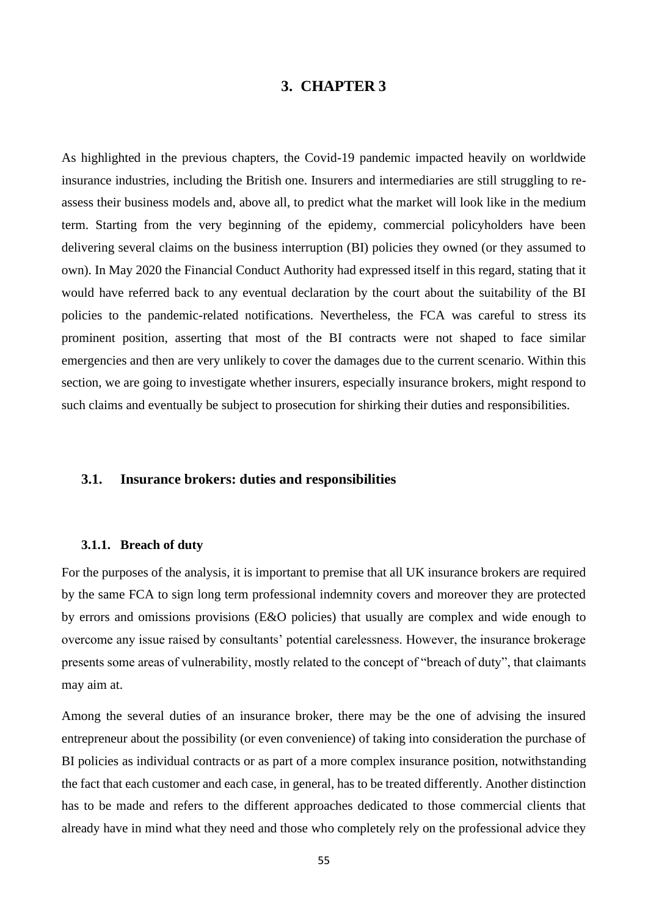# **3. CHAPTER 3**

As highlighted in the previous chapters, the Covid-19 pandemic impacted heavily on worldwide insurance industries, including the British one. Insurers and intermediaries are still struggling to reassess their business models and, above all, to predict what the market will look like in the medium term. Starting from the very beginning of the epidemy, commercial policyholders have been delivering several claims on the business interruption (BI) policies they owned (or they assumed to own). In May 2020 the Financial Conduct Authority had expressed itself in this regard, stating that it would have referred back to any eventual declaration by the court about the suitability of the BI policies to the pandemic-related notifications. Nevertheless, the FCA was careful to stress its prominent position, asserting that most of the BI contracts were not shaped to face similar emergencies and then are very unlikely to cover the damages due to the current scenario. Within this section, we are going to investigate whether insurers, especially insurance brokers, might respond to such claims and eventually be subject to prosecution for shirking their duties and responsibilities.

### **3.1. Insurance brokers: duties and responsibilities**

### **3.1.1. Breach of duty**

For the purposes of the analysis, it is important to premise that all UK insurance brokers are required by the same FCA to sign long term professional indemnity covers and moreover they are protected by errors and omissions provisions (E&O policies) that usually are complex and wide enough to overcome any issue raised by consultants' potential carelessness. However, the insurance brokerage presents some areas of vulnerability, mostly related to the concept of "breach of duty", that claimants may aim at.

Among the several duties of an insurance broker, there may be the one of advising the insured entrepreneur about the possibility (or even convenience) of taking into consideration the purchase of BI policies as individual contracts or as part of a more complex insurance position, notwithstanding the fact that each customer and each case, in general, has to be treated differently. Another distinction has to be made and refers to the different approaches dedicated to those commercial clients that already have in mind what they need and those who completely rely on the professional advice they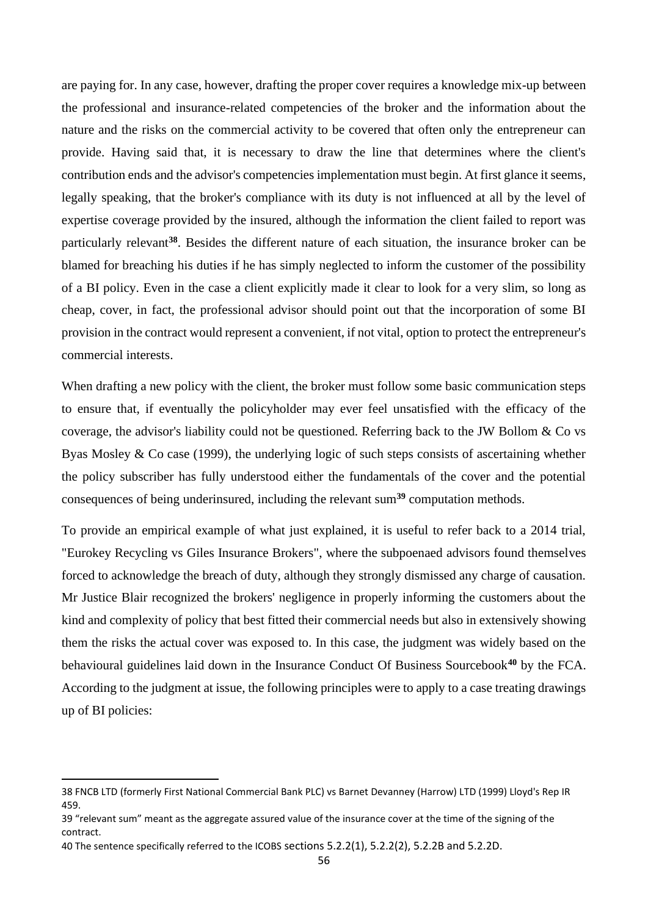are paying for. In any case, however, drafting the proper cover requires a knowledge mix-up between the professional and insurance-related competencies of the broker and the information about the nature and the risks on the commercial activity to be covered that often only the entrepreneur can provide. Having said that, it is necessary to draw the line that determines where the client's contribution ends and the advisor's competencies implementation must begin. At first glance it seems, legally speaking, that the broker's compliance with its duty is not influenced at all by the level of expertise coverage provided by the insured, although the information the client failed to report was particularly relevant**<sup>38</sup>**. Besides the different nature of each situation, the insurance broker can be blamed for breaching his duties if he has simply neglected to inform the customer of the possibility of a BI policy. Even in the case a client explicitly made it clear to look for a very slim, so long as cheap, cover, in fact, the professional advisor should point out that the incorporation of some BI provision in the contract would represent a convenient, if not vital, option to protect the entrepreneur's commercial interests.

When drafting a new policy with the client, the broker must follow some basic communication steps to ensure that, if eventually the policyholder may ever feel unsatisfied with the efficacy of the coverage, the advisor's liability could not be questioned. Referring back to the JW Bollom & Co vs Byas Mosley & Co case (1999), the underlying logic of such steps consists of ascertaining whether the policy subscriber has fully understood either the fundamentals of the cover and the potential consequences of being underinsured, including the relevant sum**<sup>39</sup>** computation methods.

To provide an empirical example of what just explained, it is useful to refer back to a 2014 trial, "Eurokey Recycling vs Giles Insurance Brokers", where the subpoenaed advisors found themselves forced to acknowledge the breach of duty, although they strongly dismissed any charge of causation. Mr Justice Blair recognized the brokers' negligence in properly informing the customers about the kind and complexity of policy that best fitted their commercial needs but also in extensively showing them the risks the actual cover was exposed to. In this case, the judgment was widely based on the behavioural guidelines laid down in the Insurance Conduct Of Business Sourcebook**<sup>40</sup>** by the FCA. According to the judgment at issue, the following principles were to apply to a case treating drawings up of BI policies:

<sup>38</sup> FNCB LTD (formerly First National Commercial Bank PLC) vs Barnet Devanney (Harrow) LTD (1999) Lloyd's Rep IR 459.

<sup>39</sup> "relevant sum" meant as the aggregate assured value of the insurance cover at the time of the signing of the contract.

<sup>40</sup> The sentence specifically referred to the ICOBS sections 5.2.2(1), 5.2.2(2), 5.2.2B and 5.2.2D.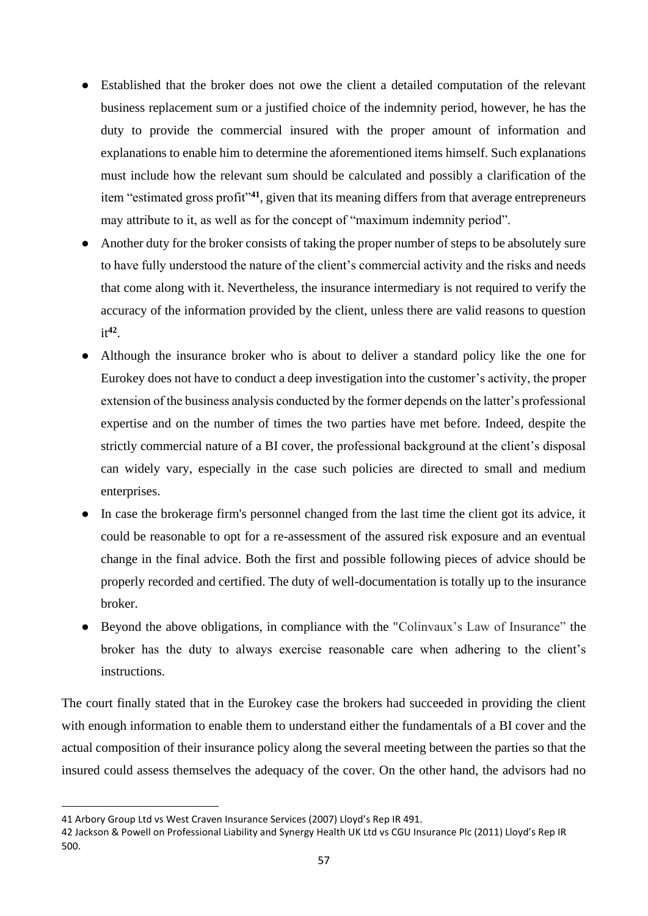- Established that the broker does not owe the client a detailed computation of the relevant business replacement sum or a justified choice of the indemnity period, however, he has the duty to provide the commercial insured with the proper amount of information and explanations to enable him to determine the aforementioned items himself. Such explanations must include how the relevant sum should be calculated and possibly a clarification of the item "estimated gross profit"**<sup>41</sup>**, given that its meaning differs from that average entrepreneurs may attribute to it, as well as for the concept of "maximum indemnity period".
- Another duty for the broker consists of taking the proper number of steps to be absolutely sure to have fully understood the nature of the client's commercial activity and the risks and needs that come along with it. Nevertheless, the insurance intermediary is not required to verify the accuracy of the information provided by the client, unless there are valid reasons to question it**<sup>42</sup>** .
- Although the insurance broker who is about to deliver a standard policy like the one for Eurokey does not have to conduct a deep investigation into the customer's activity, the proper extension of the business analysis conducted by the former depends on the latter's professional expertise and on the number of times the two parties have met before. Indeed, despite the strictly commercial nature of a BI cover, the professional background at the client's disposal can widely vary, especially in the case such policies are directed to small and medium enterprises.
- In case the brokerage firm's personnel changed from the last time the client got its advice, it could be reasonable to opt for a re-assessment of the assured risk exposure and an eventual change in the final advice. Both the first and possible following pieces of advice should be properly recorded and certified. The duty of well-documentation is totally up to the insurance broker.
- Beyond the above obligations, in compliance with the "Colinvaux's Law of Insurance" the broker has the duty to always exercise reasonable care when adhering to the client's instructions.

The court finally stated that in the Eurokey case the brokers had succeeded in providing the client with enough information to enable them to understand either the fundamentals of a BI cover and the actual composition of their insurance policy along the several meeting between the parties so that the insured could assess themselves the adequacy of the cover. On the other hand, the advisors had no

<sup>41</sup> Arbory Group Ltd vs West Craven Insurance Services (2007) Lloyd's Rep IR 491.

<sup>42</sup> Jackson & Powell on Professional Liability and Synergy Health UK Ltd vs CGU Insurance Plc (2011) Lloyd's Rep IR 500.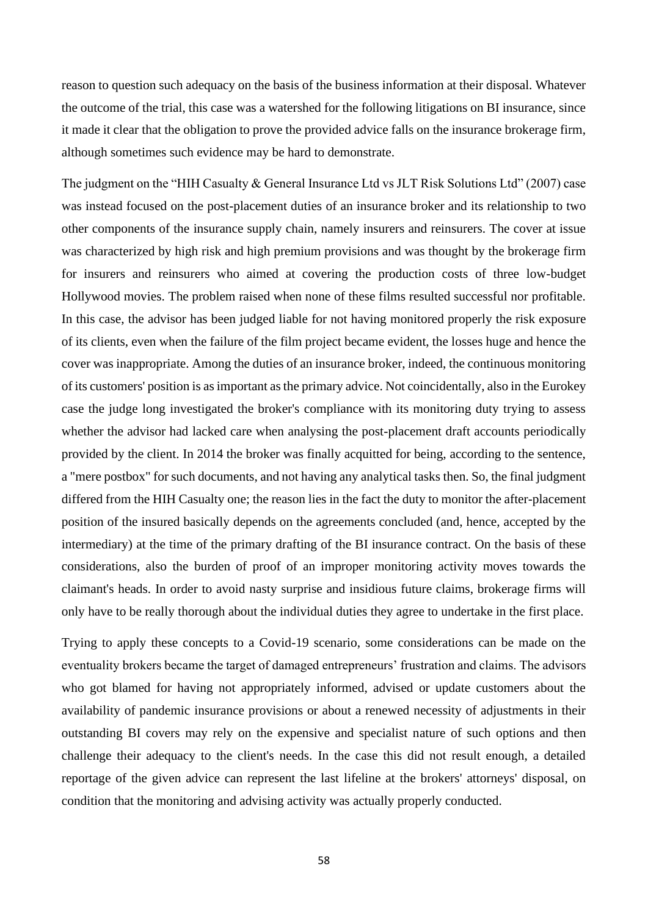reason to question such adequacy on the basis of the business information at their disposal. Whatever the outcome of the trial, this case was a watershed for the following litigations on BI insurance, since it made it clear that the obligation to prove the provided advice falls on the insurance brokerage firm, although sometimes such evidence may be hard to demonstrate.

The judgment on the "HIH Casualty & General Insurance Ltd vs JLT Risk Solutions Ltd" (2007) case was instead focused on the post-placement duties of an insurance broker and its relationship to two other components of the insurance supply chain, namely insurers and reinsurers. The cover at issue was characterized by high risk and high premium provisions and was thought by the brokerage firm for insurers and reinsurers who aimed at covering the production costs of three low-budget Hollywood movies. The problem raised when none of these films resulted successful nor profitable. In this case, the advisor has been judged liable for not having monitored properly the risk exposure of its clients, even when the failure of the film project became evident, the losses huge and hence the cover was inappropriate. Among the duties of an insurance broker, indeed, the continuous monitoring of its customers' position is as important as the primary advice. Not coincidentally, also in the Eurokey case the judge long investigated the broker's compliance with its monitoring duty trying to assess whether the advisor had lacked care when analysing the post-placement draft accounts periodically provided by the client. In 2014 the broker was finally acquitted for being, according to the sentence, a "mere postbox" for such documents, and not having any analytical tasks then. So, the final judgment differed from the HIH Casualty one; the reason lies in the fact the duty to monitor the after-placement position of the insured basically depends on the agreements concluded (and, hence, accepted by the intermediary) at the time of the primary drafting of the BI insurance contract. On the basis of these considerations, also the burden of proof of an improper monitoring activity moves towards the claimant's heads. In order to avoid nasty surprise and insidious future claims, brokerage firms will only have to be really thorough about the individual duties they agree to undertake in the first place.

Trying to apply these concepts to a Covid-19 scenario, some considerations can be made on the eventuality brokers became the target of damaged entrepreneurs' frustration and claims. The advisors who got blamed for having not appropriately informed, advised or update customers about the availability of pandemic insurance provisions or about a renewed necessity of adjustments in their outstanding BI covers may rely on the expensive and specialist nature of such options and then challenge their adequacy to the client's needs. In the case this did not result enough, a detailed reportage of the given advice can represent the last lifeline at the brokers' attorneys' disposal, on condition that the monitoring and advising activity was actually properly conducted.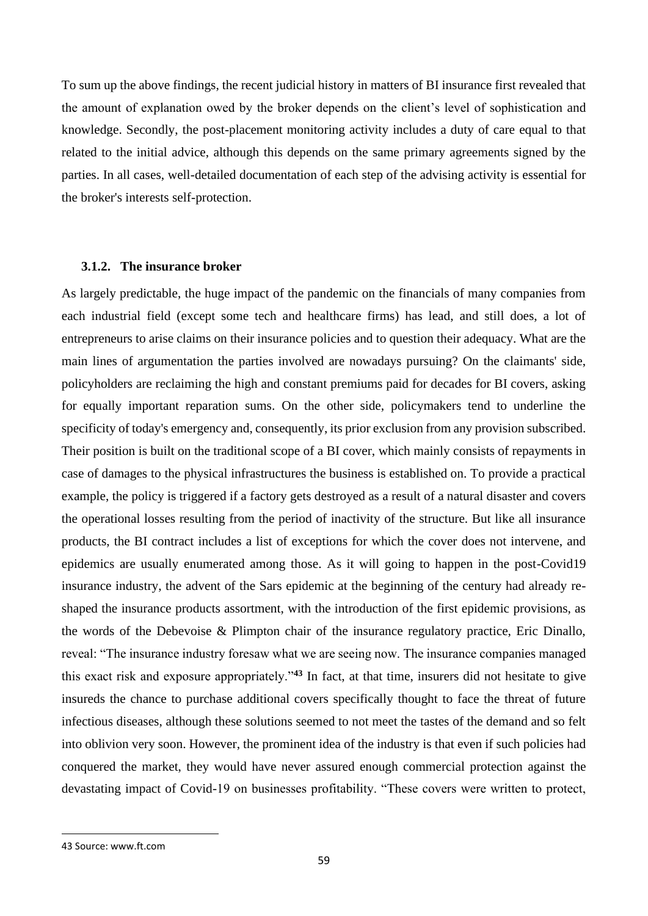To sum up the above findings, the recent judicial history in matters of BI insurance first revealed that the amount of explanation owed by the broker depends on the client's level of sophistication and knowledge. Secondly, the post-placement monitoring activity includes a duty of care equal to that related to the initial advice, although this depends on the same primary agreements signed by the parties. In all cases, well-detailed documentation of each step of the advising activity is essential for the broker's interests self-protection.

### **3.1.2. The insurance broker**

As largely predictable, the huge impact of the pandemic on the financials of many companies from each industrial field (except some tech and healthcare firms) has lead, and still does, a lot of entrepreneurs to arise claims on their insurance policies and to question their adequacy. What are the main lines of argumentation the parties involved are nowadays pursuing? On the claimants' side, policyholders are reclaiming the high and constant premiums paid for decades for BI covers, asking for equally important reparation sums. On the other side, policymakers tend to underline the specificity of today's emergency and, consequently, its prior exclusion from any provision subscribed. Their position is built on the traditional scope of a BI cover, which mainly consists of repayments in case of damages to the physical infrastructures the business is established on. To provide a practical example, the policy is triggered if a factory gets destroyed as a result of a natural disaster and covers the operational losses resulting from the period of inactivity of the structure. But like all insurance products, the BI contract includes a list of exceptions for which the cover does not intervene, and epidemics are usually enumerated among those. As it will going to happen in the post-Covid19 insurance industry, the advent of the Sars epidemic at the beginning of the century had already reshaped the insurance products assortment, with the introduction of the first epidemic provisions, as the words of the Debevoise & Plimpton chair of the insurance regulatory practice, Eric Dinallo, reveal: "The insurance industry foresaw what we are seeing now. The insurance companies managed this exact risk and exposure appropriately."**<sup>43</sup>** In fact, at that time, insurers did not hesitate to give insureds the chance to purchase additional covers specifically thought to face the threat of future infectious diseases, although these solutions seemed to not meet the tastes of the demand and so felt into oblivion very soon. However, the prominent idea of the industry is that even if such policies had conquered the market, they would have never assured enough commercial protection against the devastating impact of Covid-19 on businesses profitability. "These covers were written to protect,

<sup>43</sup> Source: www.ft.com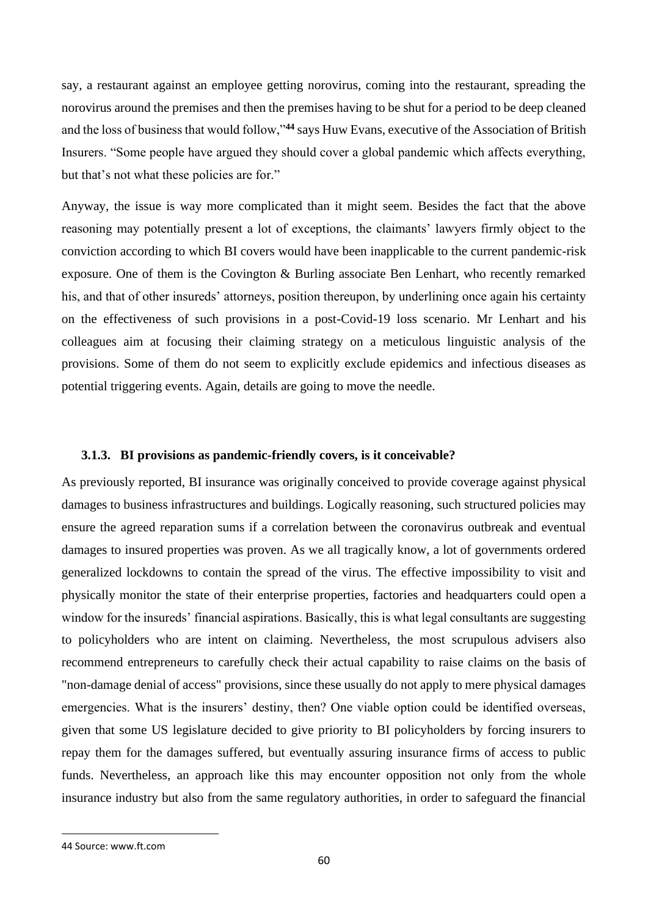say, a restaurant against an employee getting norovirus, coming into the restaurant, spreading the norovirus around the premises and then the premises having to be shut for a period to be deep cleaned and the loss of business that would follow,"**<sup>44</sup>** says Huw Evans, executive of the Association of British Insurers. "Some people have argued they should cover a global pandemic which affects everything, but that's not what these policies are for."

Anyway, the issue is way more complicated than it might seem. Besides the fact that the above reasoning may potentially present a lot of exceptions, the claimants' lawyers firmly object to the conviction according to which BI covers would have been inapplicable to the current pandemic-risk exposure. One of them is the Covington & Burling associate Ben Lenhart, who recently remarked his, and that of other insureds' attorneys, position thereupon, by underlining once again his certainty on the effectiveness of such provisions in a post-Covid-19 loss scenario. Mr Lenhart and his colleagues aim at focusing their claiming strategy on a meticulous linguistic analysis of the provisions. Some of them do not seem to explicitly exclude epidemics and infectious diseases as potential triggering events. Again, details are going to move the needle.

## **3.1.3. BI provisions as pandemic-friendly covers, is it conceivable?**

As previously reported, BI insurance was originally conceived to provide coverage against physical damages to business infrastructures and buildings. Logically reasoning, such structured policies may ensure the agreed reparation sums if a correlation between the coronavirus outbreak and eventual damages to insured properties was proven. As we all tragically know, a lot of governments ordered generalized lockdowns to contain the spread of the virus. The effective impossibility to visit and physically monitor the state of their enterprise properties, factories and headquarters could open a window for the insureds' financial aspirations. Basically, this is what legal consultants are suggesting to policyholders who are intent on claiming. Nevertheless, the most scrupulous advisers also recommend entrepreneurs to carefully check their actual capability to raise claims on the basis of "non-damage denial of access" provisions, since these usually do not apply to mere physical damages emergencies. What is the insurers' destiny, then? One viable option could be identified overseas, given that some US legislature decided to give priority to BI policyholders by forcing insurers to repay them for the damages suffered, but eventually assuring insurance firms of access to public funds. Nevertheless, an approach like this may encounter opposition not only from the whole insurance industry but also from the same regulatory authorities, in order to safeguard the financial

<sup>44</sup> Source: www.ft.com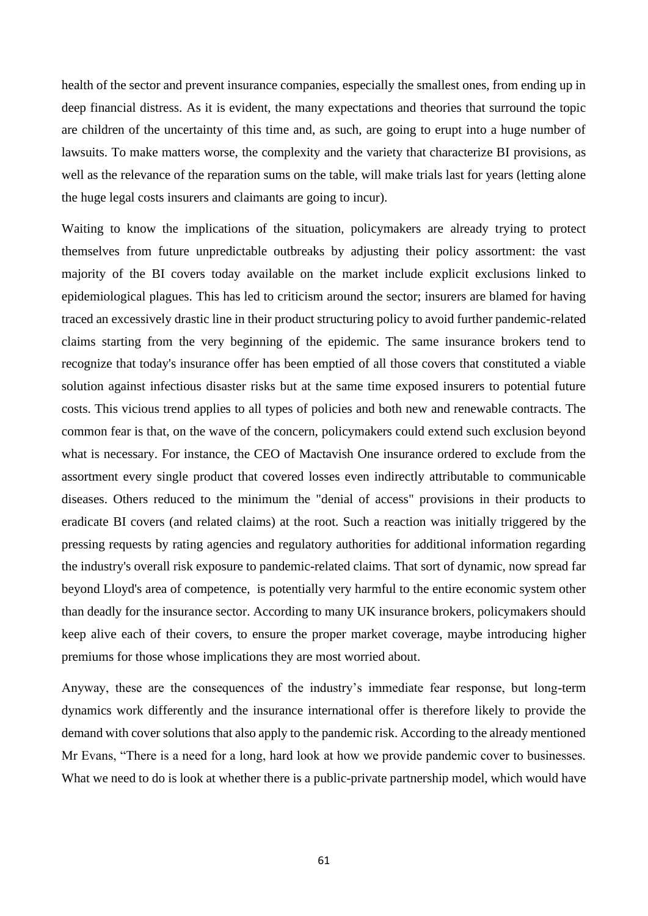health of the sector and prevent insurance companies, especially the smallest ones, from ending up in deep financial distress. As it is evident, the many expectations and theories that surround the topic are children of the uncertainty of this time and, as such, are going to erupt into a huge number of lawsuits. To make matters worse, the complexity and the variety that characterize BI provisions, as well as the relevance of the reparation sums on the table, will make trials last for years (letting alone the huge legal costs insurers and claimants are going to incur).

Waiting to know the implications of the situation, policymakers are already trying to protect themselves from future unpredictable outbreaks by adjusting their policy assortment: the vast majority of the BI covers today available on the market include explicit exclusions linked to epidemiological plagues. This has led to criticism around the sector; insurers are blamed for having traced an excessively drastic line in their product structuring policy to avoid further pandemic-related claims starting from the very beginning of the epidemic. The same insurance brokers tend to recognize that today's insurance offer has been emptied of all those covers that constituted a viable solution against infectious disaster risks but at the same time exposed insurers to potential future costs. This vicious trend applies to all types of policies and both new and renewable contracts. The common fear is that, on the wave of the concern, policymakers could extend such exclusion beyond what is necessary. For instance, the CEO of Mactavish One insurance ordered to exclude from the assortment every single product that covered losses even indirectly attributable to communicable diseases. Others reduced to the minimum the "denial of access" provisions in their products to eradicate BI covers (and related claims) at the root. Such a reaction was initially triggered by the pressing requests by rating agencies and regulatory authorities for additional information regarding the industry's overall risk exposure to pandemic-related claims. That sort of dynamic, now spread far beyond Lloyd's area of competence, is potentially very harmful to the entire economic system other than deadly for the insurance sector. According to many UK insurance brokers, policymakers should keep alive each of their covers, to ensure the proper market coverage, maybe introducing higher premiums for those whose implications they are most worried about.

Anyway, these are the consequences of the industry's immediate fear response, but long-term dynamics work differently and the insurance international offer is therefore likely to provide the demand with cover solutions that also apply to the pandemic risk. According to the already mentioned Mr Evans, "There is a need for a long, hard look at how we provide pandemic cover to businesses. What we need to do is look at whether there is a public-private partnership model, which would have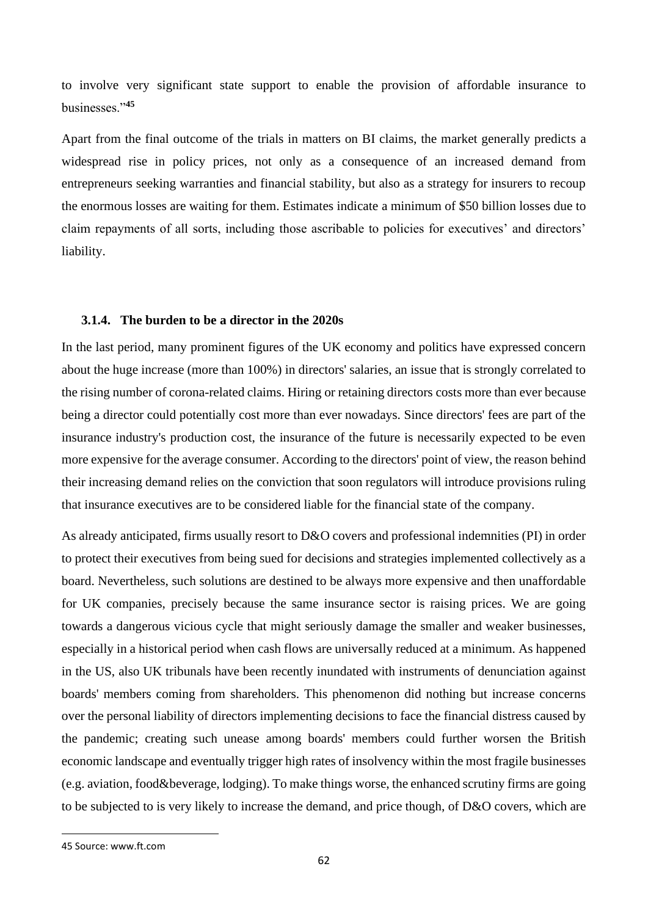to involve very significant state support to enable the provision of affordable insurance to businesses."**<sup>45</sup>**

Apart from the final outcome of the trials in matters on BI claims, the market generally predicts a widespread rise in policy prices, not only as a consequence of an increased demand from entrepreneurs seeking warranties and financial stability, but also as a strategy for insurers to recoup the enormous losses are waiting for them. Estimates indicate a minimum of \$50 billion losses due to claim repayments of all sorts, including those ascribable to policies for executives' and directors' liability.

### **3.1.4. The burden to be a director in the 2020s**

In the last period, many prominent figures of the UK economy and politics have expressed concern about the huge increase (more than 100%) in directors' salaries, an issue that is strongly correlated to the rising number of corona-related claims. Hiring or retaining directors costs more than ever because being a director could potentially cost more than ever nowadays. Since directors' fees are part of the insurance industry's production cost, the insurance of the future is necessarily expected to be even more expensive for the average consumer. According to the directors' point of view, the reason behind their increasing demand relies on the conviction that soon regulators will introduce provisions ruling that insurance executives are to be considered liable for the financial state of the company.

As already anticipated, firms usually resort to D&O covers and professional indemnities (PI) in order to protect their executives from being sued for decisions and strategies implemented collectively as a board. Nevertheless, such solutions are destined to be always more expensive and then unaffordable for UK companies, precisely because the same insurance sector is raising prices. We are going towards a dangerous vicious cycle that might seriously damage the smaller and weaker businesses, especially in a historical period when cash flows are universally reduced at a minimum. As happened in the US, also UK tribunals have been recently inundated with instruments of denunciation against boards' members coming from shareholders. This phenomenon did nothing but increase concerns over the personal liability of directors implementing decisions to face the financial distress caused by the pandemic; creating such unease among boards' members could further worsen the British economic landscape and eventually trigger high rates of insolvency within the most fragile businesses (e.g. aviation, food&beverage, lodging). To make things worse, the enhanced scrutiny firms are going to be subjected to is very likely to increase the demand, and price though, of D&O covers, which are

<sup>45</sup> Source: www.ft.com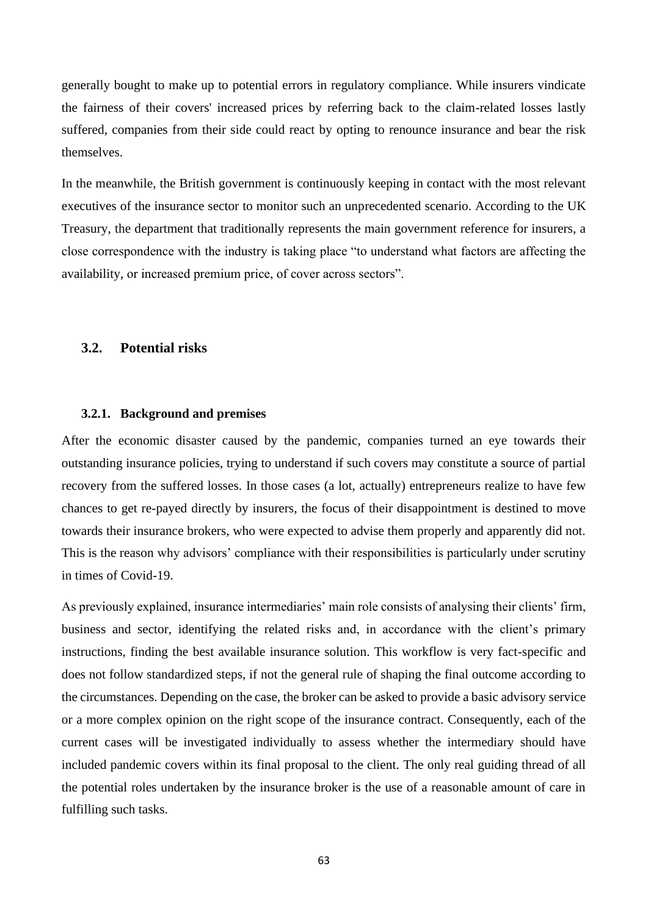generally bought to make up to potential errors in regulatory compliance. While insurers vindicate the fairness of their covers' increased prices by referring back to the claim-related losses lastly suffered, companies from their side could react by opting to renounce insurance and bear the risk themselves.

In the meanwhile, the British government is continuously keeping in contact with the most relevant executives of the insurance sector to monitor such an unprecedented scenario. According to the UK Treasury, the department that traditionally represents the main government reference for insurers, a close correspondence with the industry is taking place "to understand what factors are affecting the availability, or increased premium price, of cover across sectors".

# **3.2. Potential risks**

### **3.2.1. Background and premises**

After the economic disaster caused by the pandemic, companies turned an eye towards their outstanding insurance policies, trying to understand if such covers may constitute a source of partial recovery from the suffered losses. In those cases (a lot, actually) entrepreneurs realize to have few chances to get re-payed directly by insurers, the focus of their disappointment is destined to move towards their insurance brokers, who were expected to advise them properly and apparently did not. This is the reason why advisors' compliance with their responsibilities is particularly under scrutiny in times of Covid-19.

As previously explained, insurance intermediaries' main role consists of analysing their clients' firm, business and sector, identifying the related risks and, in accordance with the client's primary instructions, finding the best available insurance solution. This workflow is very fact-specific and does not follow standardized steps, if not the general rule of shaping the final outcome according to the circumstances. Depending on the case, the broker can be asked to provide a basic advisory service or a more complex opinion on the right scope of the insurance contract. Consequently, each of the current cases will be investigated individually to assess whether the intermediary should have included pandemic covers within its final proposal to the client. The only real guiding thread of all the potential roles undertaken by the insurance broker is the use of a reasonable amount of care in fulfilling such tasks.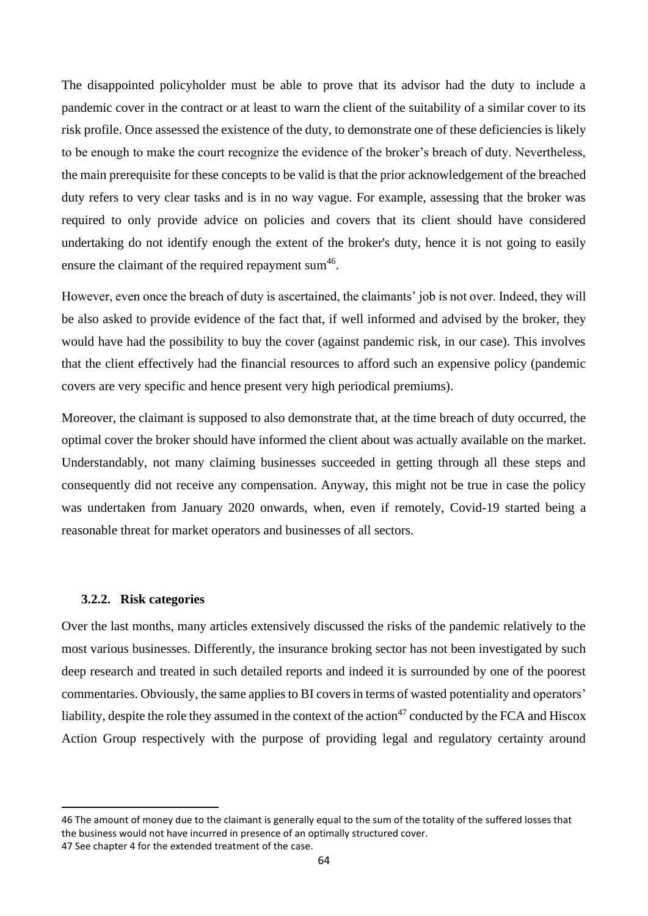The disappointed policyholder must be able to prove that its advisor had the duty to include a pandemic cover in the contract or at least to warn the client of the suitability of a similar cover to its risk profile. Once assessed the existence of the duty, to demonstrate one of these deficiencies is likely to be enough to make the court recognize the evidence of the broker's breach of duty. Nevertheless, the main prerequisite for these concepts to be valid is that the prior acknowledgement of the breached duty refers to very clear tasks and is in no way vague. For example, assessing that the broker was required to only provide advice on policies and covers that its client should have considered undertaking do not identify enough the extent of the broker's duty, hence it is not going to easily ensure the claimant of the required repayment sum $46$ .

However, even once the breach of duty is ascertained, the claimants' job is not over. Indeed, they will be also asked to provide evidence of the fact that, if well informed and advised by the broker, they would have had the possibility to buy the cover (against pandemic risk, in our case). This involves that the client effectively had the financial resources to afford such an expensive policy (pandemic covers are very specific and hence present very high periodical premiums).

Moreover, the claimant is supposed to also demonstrate that, at the time breach of duty occurred, the optimal cover the broker should have informed the client about was actually available on the market. Understandably, not many claiming businesses succeeded in getting through all these steps and consequently did not receive any compensation. Anyway, this might not be true in case the policy was undertaken from January 2020 onwards, when, even if remotely, Covid-19 started being a reasonable threat for market operators and businesses of all sectors.

## **3.2.2. Risk categories**

Over the last months, many articles extensively discussed the risks of the pandemic relatively to the most various businesses. Differently, the insurance broking sector has not been investigated by such deep research and treated in such detailed reports and indeed it is surrounded by one of the poorest commentaries. Obviously, the same applies to BI covers in terms of wasted potentiality and operators' liability, despite the role they assumed in the context of the action<sup>47</sup> conducted by the FCA and Hiscox Action Group respectively with the purpose of providing legal and regulatory certainty around

<sup>46</sup> The amount of money due to the claimant is generally equal to the sum of the totality of the suffered losses that the business would not have incurred in presence of an optimally structured cover. 47 See chapter 4 for the extended treatment of the case.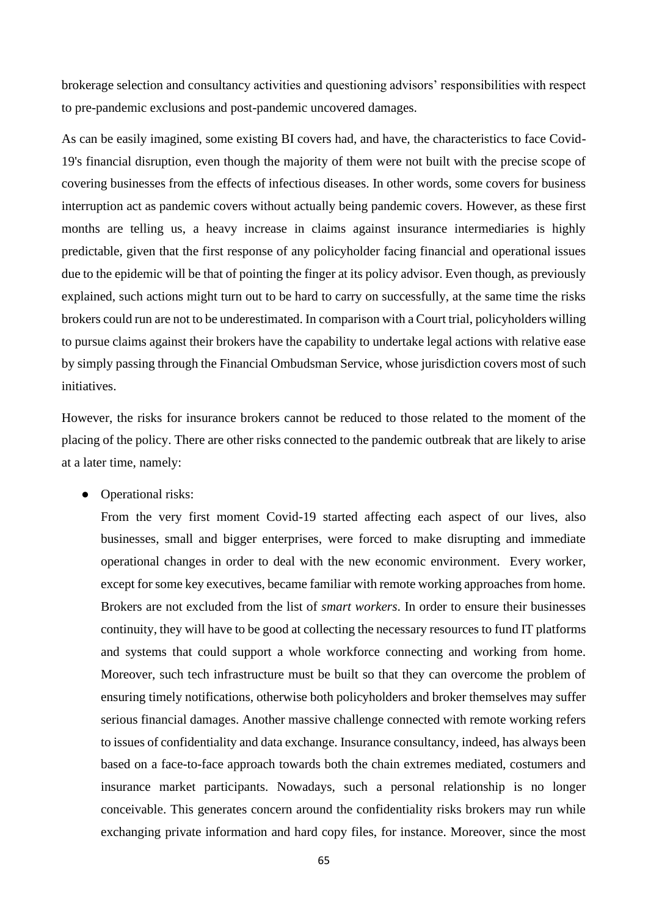brokerage selection and consultancy activities and questioning advisors' responsibilities with respect to pre-pandemic exclusions and post-pandemic uncovered damages.

As can be easily imagined, some existing BI covers had, and have, the characteristics to face Covid-19's financial disruption, even though the majority of them were not built with the precise scope of covering businesses from the effects of infectious diseases. In other words, some covers for business interruption act as pandemic covers without actually being pandemic covers. However, as these first months are telling us, a heavy increase in claims against insurance intermediaries is highly predictable, given that the first response of any policyholder facing financial and operational issues due to the epidemic will be that of pointing the finger at its policy advisor. Even though, as previously explained, such actions might turn out to be hard to carry on successfully, at the same time the risks brokers could run are not to be underestimated. In comparison with a Court trial, policyholders willing to pursue claims against their brokers have the capability to undertake legal actions with relative ease by simply passing through the Financial Ombudsman Service, whose jurisdiction covers most of such initiatives.

However, the risks for insurance brokers cannot be reduced to those related to the moment of the placing of the policy. There are other risks connected to the pandemic outbreak that are likely to arise at a later time, namely:

• Operational risks:

From the very first moment Covid-19 started affecting each aspect of our lives, also businesses, small and bigger enterprises, were forced to make disrupting and immediate operational changes in order to deal with the new economic environment. Every worker, except for some key executives, became familiar with remote working approaches from home. Brokers are not excluded from the list of *smart workers*. In order to ensure their businesses continuity, they will have to be good at collecting the necessary resources to fund IT platforms and systems that could support a whole workforce connecting and working from home. Moreover, such tech infrastructure must be built so that they can overcome the problem of ensuring timely notifications, otherwise both policyholders and broker themselves may suffer serious financial damages. Another massive challenge connected with remote working refers to issues of confidentiality and data exchange. Insurance consultancy, indeed, has always been based on a face-to-face approach towards both the chain extremes mediated, costumers and insurance market participants. Nowadays, such a personal relationship is no longer conceivable. This generates concern around the confidentiality risks brokers may run while exchanging private information and hard copy files, for instance. Moreover, since the most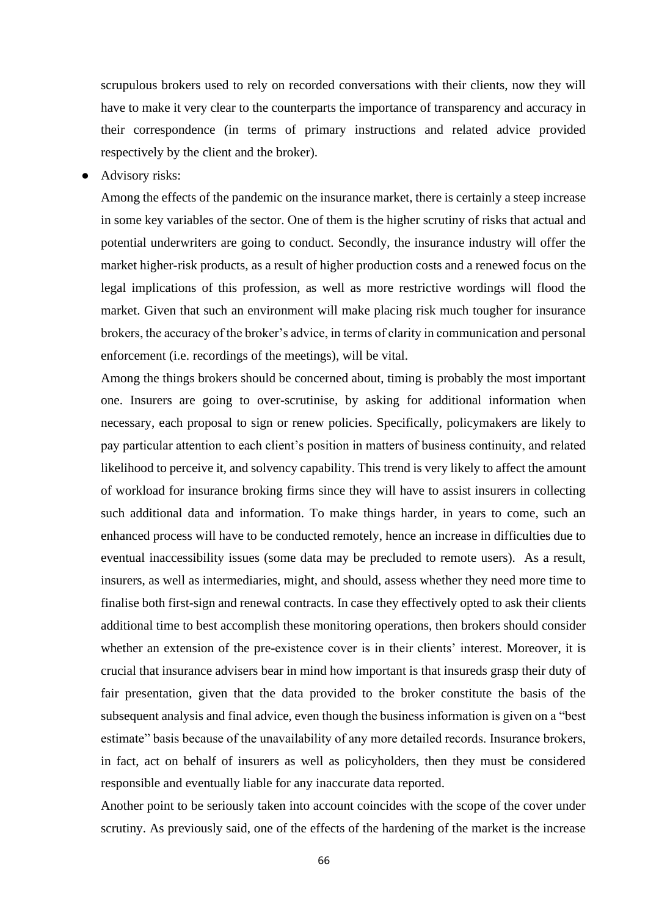scrupulous brokers used to rely on recorded conversations with their clients, now they will have to make it very clear to the counterparts the importance of transparency and accuracy in their correspondence (in terms of primary instructions and related advice provided respectively by the client and the broker).

Advisory risks:

Among the effects of the pandemic on the insurance market, there is certainly a steep increase in some key variables of the sector. One of them is the higher scrutiny of risks that actual and potential underwriters are going to conduct. Secondly, the insurance industry will offer the market higher-risk products, as a result of higher production costs and a renewed focus on the legal implications of this profession, as well as more restrictive wordings will flood the market. Given that such an environment will make placing risk much tougher for insurance brokers, the accuracy of the broker's advice, in terms of clarity in communication and personal enforcement (i.e. recordings of the meetings), will be vital.

Among the things brokers should be concerned about, timing is probably the most important one. Insurers are going to over-scrutinise, by asking for additional information when necessary, each proposal to sign or renew policies. Specifically, policymakers are likely to pay particular attention to each client's position in matters of business continuity, and related likelihood to perceive it, and solvency capability. This trend is very likely to affect the amount of workload for insurance broking firms since they will have to assist insurers in collecting such additional data and information. To make things harder, in years to come, such an enhanced process will have to be conducted remotely, hence an increase in difficulties due to eventual inaccessibility issues (some data may be precluded to remote users). As a result, insurers, as well as intermediaries, might, and should, assess whether they need more time to finalise both first-sign and renewal contracts. In case they effectively opted to ask their clients additional time to best accomplish these monitoring operations, then brokers should consider whether an extension of the pre-existence cover is in their clients' interest. Moreover, it is crucial that insurance advisers bear in mind how important is that insureds grasp their duty of fair presentation, given that the data provided to the broker constitute the basis of the subsequent analysis and final advice, even though the business information is given on a "best estimate" basis because of the unavailability of any more detailed records. Insurance brokers, in fact, act on behalf of insurers as well as policyholders, then they must be considered responsible and eventually liable for any inaccurate data reported.

Another point to be seriously taken into account coincides with the scope of the cover under scrutiny. As previously said, one of the effects of the hardening of the market is the increase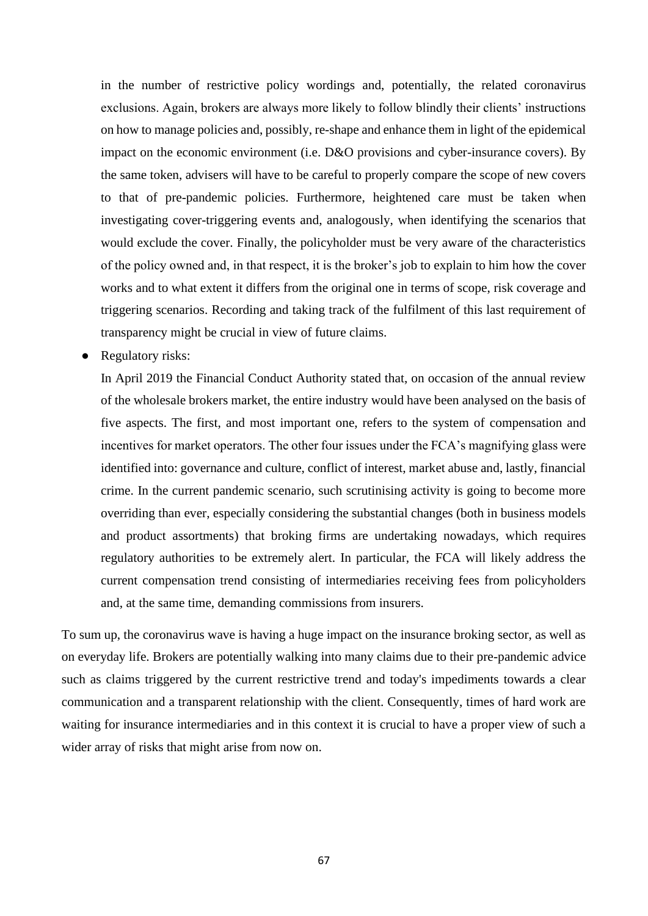in the number of restrictive policy wordings and, potentially, the related coronavirus exclusions. Again, brokers are always more likely to follow blindly their clients' instructions on how to manage policies and, possibly, re-shape and enhance them in light of the epidemical impact on the economic environment (i.e. D&O provisions and cyber-insurance covers). By the same token, advisers will have to be careful to properly compare the scope of new covers to that of pre-pandemic policies. Furthermore, heightened care must be taken when investigating cover-triggering events and, analogously, when identifying the scenarios that would exclude the cover. Finally, the policyholder must be very aware of the characteristics of the policy owned and, in that respect, it is the broker's job to explain to him how the cover works and to what extent it differs from the original one in terms of scope, risk coverage and triggering scenarios. Recording and taking track of the fulfilment of this last requirement of transparency might be crucial in view of future claims.

Regulatory risks:

In April 2019 the Financial Conduct Authority stated that, on occasion of the annual review of the wholesale brokers market, the entire industry would have been analysed on the basis of five aspects. The first, and most important one, refers to the system of compensation and incentives for market operators. The other four issues under the FCA's magnifying glass were identified into: governance and culture, conflict of interest, market abuse and, lastly, financial crime. In the current pandemic scenario, such scrutinising activity is going to become more overriding than ever, especially considering the substantial changes (both in business models and product assortments) that broking firms are undertaking nowadays, which requires regulatory authorities to be extremely alert. In particular, the FCA will likely address the current compensation trend consisting of intermediaries receiving fees from policyholders and, at the same time, demanding commissions from insurers.

To sum up, the coronavirus wave is having a huge impact on the insurance broking sector, as well as on everyday life. Brokers are potentially walking into many claims due to their pre-pandemic advice such as claims triggered by the current restrictive trend and today's impediments towards a clear communication and a transparent relationship with the client. Consequently, times of hard work are waiting for insurance intermediaries and in this context it is crucial to have a proper view of such a wider array of risks that might arise from now on.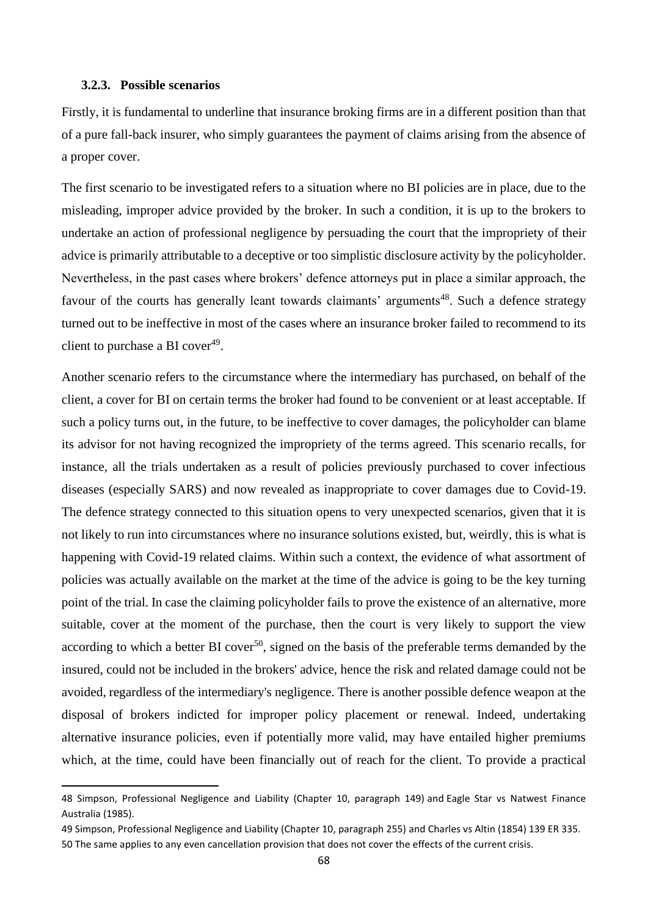### **3.2.3. Possible scenarios**

Firstly, it is fundamental to underline that insurance broking firms are in a different position than that of a pure fall-back insurer, who simply guarantees the payment of claims arising from the absence of a proper cover.

The first scenario to be investigated refers to a situation where no BI policies are in place, due to the misleading, improper advice provided by the broker. In such a condition, it is up to the brokers to undertake an action of professional negligence by persuading the court that the impropriety of their advice is primarily attributable to a deceptive or too simplistic disclosure activity by the policyholder. Nevertheless, in the past cases where brokers' defence attorneys put in place a similar approach, the favour of the courts has generally leant towards claimants' arguments<sup>48</sup>. Such a defence strategy turned out to be ineffective in most of the cases where an insurance broker failed to recommend to its client to purchase a BI cover $49$ .

Another scenario refers to the circumstance where the intermediary has purchased, on behalf of the client, a cover for BI on certain terms the broker had found to be convenient or at least acceptable. If such a policy turns out, in the future, to be ineffective to cover damages, the policyholder can blame its advisor for not having recognized the impropriety of the terms agreed. This scenario recalls, for instance, all the trials undertaken as a result of policies previously purchased to cover infectious diseases (especially SARS) and now revealed as inappropriate to cover damages due to Covid-19. The defence strategy connected to this situation opens to very unexpected scenarios, given that it is not likely to run into circumstances where no insurance solutions existed, but, weirdly, this is what is happening with Covid-19 related claims. Within such a context, the evidence of what assortment of policies was actually available on the market at the time of the advice is going to be the key turning point of the trial. In case the claiming policyholder fails to prove the existence of an alternative, more suitable, cover at the moment of the purchase, then the court is very likely to support the view according to which a better BI cover<sup>50</sup>, signed on the basis of the preferable terms demanded by the insured, could not be included in the brokers' advice, hence the risk and related damage could not be avoided, regardless of the intermediary's negligence. There is another possible defence weapon at the disposal of brokers indicted for improper policy placement or renewal. Indeed, undertaking alternative insurance policies, even if potentially more valid, may have entailed higher premiums which, at the time, could have been financially out of reach for the client. To provide a practical

<sup>48</sup> Simpson, Professional Negligence and Liability (Chapter 10, paragraph 149) and Eagle Star vs Natwest Finance Australia (1985).

<sup>49</sup> Simpson, Professional Negligence and Liability (Chapter 10, paragraph 255) and Charles vs Altin (1854) 139 ER 335. 50 The same applies to any even cancellation provision that does not cover the effects of the current crisis.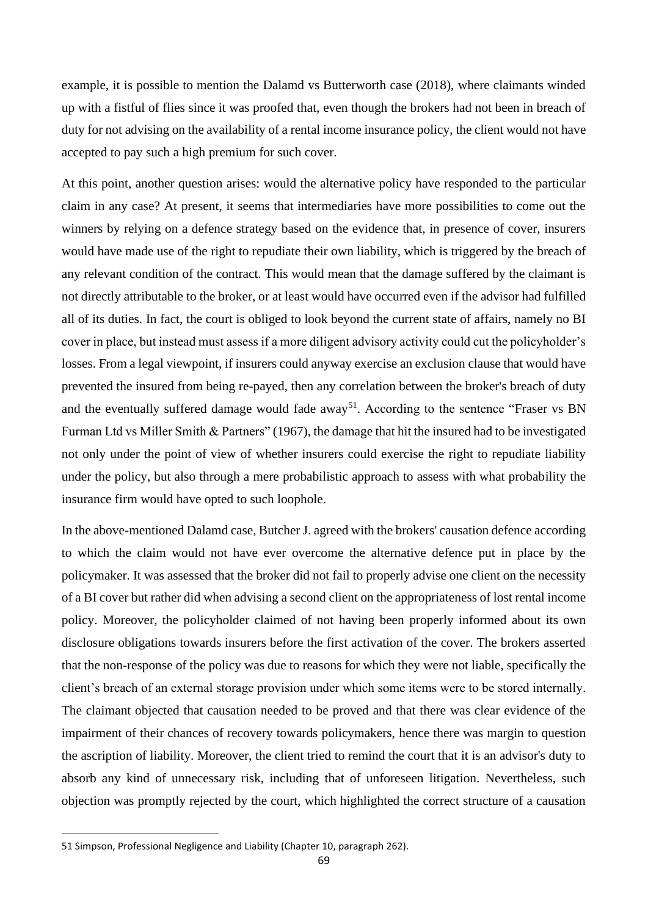example, it is possible to mention the Dalamd vs Butterworth case (2018), where claimants winded up with a fistful of flies since it was proofed that, even though the brokers had not been in breach of duty for not advising on the availability of a rental income insurance policy, the client would not have accepted to pay such a high premium for such cover.

At this point, another question arises: would the alternative policy have responded to the particular claim in any case? At present, it seems that intermediaries have more possibilities to come out the winners by relying on a defence strategy based on the evidence that, in presence of cover, insurers would have made use of the right to repudiate their own liability, which is triggered by the breach of any relevant condition of the contract. This would mean that the damage suffered by the claimant is not directly attributable to the broker, or at least would have occurred even if the advisor had fulfilled all of its duties. In fact, the court is obliged to look beyond the current state of affairs, namely no BI cover in place, but instead must assess if a more diligent advisory activity could cut the policyholder's losses. From a legal viewpoint, if insurers could anyway exercise an exclusion clause that would have prevented the insured from being re-payed, then any correlation between the broker's breach of duty and the eventually suffered damage would fade away<sup>51</sup>. According to the sentence "Fraser vs BN Furman Ltd vs Miller Smith & Partners" (1967), the damage that hit the insured had to be investigated not only under the point of view of whether insurers could exercise the right to repudiate liability under the policy, but also through a mere probabilistic approach to assess with what probability the insurance firm would have opted to such loophole.

In the above-mentioned Dalamd case, Butcher J. agreed with the brokers' causation defence according to which the claim would not have ever overcome the alternative defence put in place by the policymaker. It was assessed that the broker did not fail to properly advise one client on the necessity of a BI cover but rather did when advising a second client on the appropriateness of lost rental income policy. Moreover, the policyholder claimed of not having been properly informed about its own disclosure obligations towards insurers before the first activation of the cover. The brokers asserted that the non-response of the policy was due to reasons for which they were not liable, specifically the client's breach of an external storage provision under which some items were to be stored internally. The claimant objected that causation needed to be proved and that there was clear evidence of the impairment of their chances of recovery towards policymakers, hence there was margin to question the ascription of liability. Moreover, the client tried to remind the court that it is an advisor's duty to absorb any kind of unnecessary risk, including that of unforeseen litigation. Nevertheless, such objection was promptly rejected by the court, which highlighted the correct structure of a causation

<sup>51</sup> Simpson, Professional Negligence and Liability (Chapter 10, paragraph 262).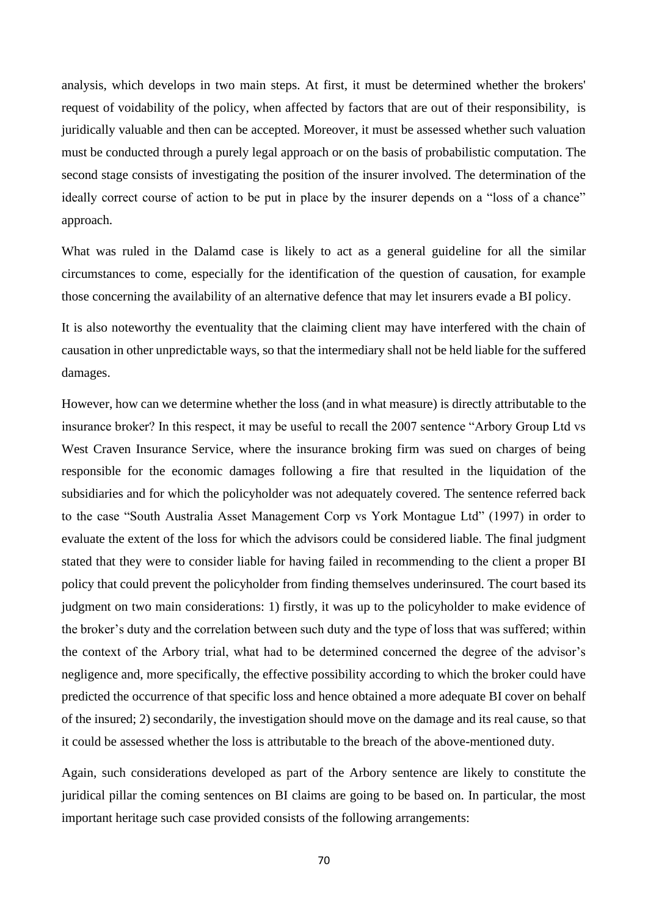analysis, which develops in two main steps. At first, it must be determined whether the brokers' request of voidability of the policy, when affected by factors that are out of their responsibility, is juridically valuable and then can be accepted. Moreover, it must be assessed whether such valuation must be conducted through a purely legal approach or on the basis of probabilistic computation. The second stage consists of investigating the position of the insurer involved. The determination of the ideally correct course of action to be put in place by the insurer depends on a "loss of a chance" approach.

What was ruled in the Dalamd case is likely to act as a general guideline for all the similar circumstances to come, especially for the identification of the question of causation, for example those concerning the availability of an alternative defence that may let insurers evade a BI policy.

It is also noteworthy the eventuality that the claiming client may have interfered with the chain of causation in other unpredictable ways, so that the intermediary shall not be held liable for the suffered damages.

However, how can we determine whether the loss (and in what measure) is directly attributable to the insurance broker? In this respect, it may be useful to recall the 2007 sentence "Arbory Group Ltd vs West Craven Insurance Service, where the insurance broking firm was sued on charges of being responsible for the economic damages following a fire that resulted in the liquidation of the subsidiaries and for which the policyholder was not adequately covered. The sentence referred back to the case "South Australia Asset Management Corp vs York Montague Ltd" (1997) in order to evaluate the extent of the loss for which the advisors could be considered liable. The final judgment stated that they were to consider liable for having failed in recommending to the client a proper BI policy that could prevent the policyholder from finding themselves underinsured. The court based its judgment on two main considerations: 1) firstly, it was up to the policyholder to make evidence of the broker's duty and the correlation between such duty and the type of loss that was suffered; within the context of the Arbory trial, what had to be determined concerned the degree of the advisor's negligence and, more specifically, the effective possibility according to which the broker could have predicted the occurrence of that specific loss and hence obtained a more adequate BI cover on behalf of the insured; 2) secondarily, the investigation should move on the damage and its real cause, so that it could be assessed whether the loss is attributable to the breach of the above-mentioned duty.

Again, such considerations developed as part of the Arbory sentence are likely to constitute the juridical pillar the coming sentences on BI claims are going to be based on. In particular, the most important heritage such case provided consists of the following arrangements: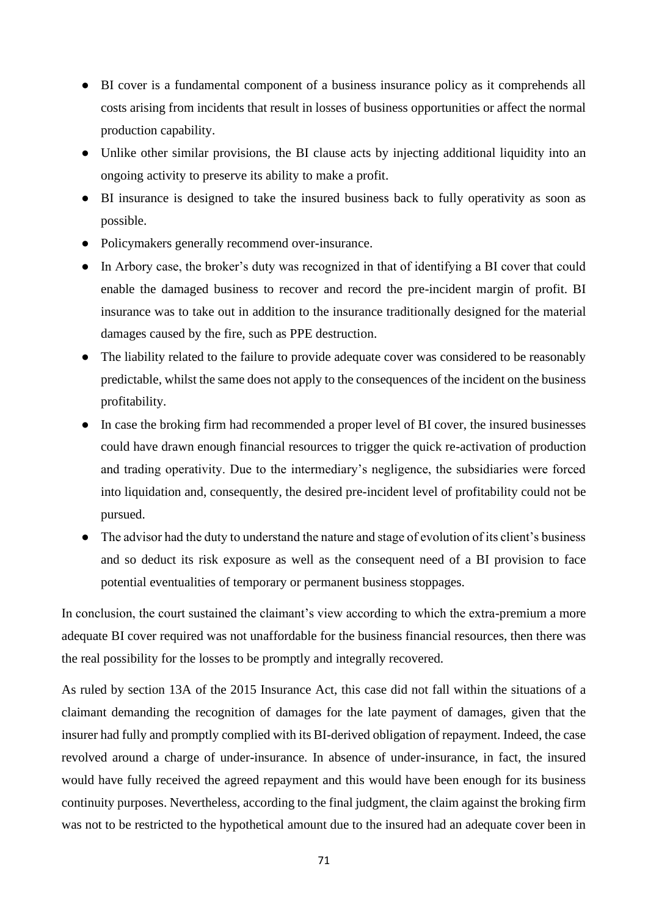- BI cover is a fundamental component of a business insurance policy as it comprehends all costs arising from incidents that result in losses of business opportunities or affect the normal production capability.
- Unlike other similar provisions, the BI clause acts by injecting additional liquidity into an ongoing activity to preserve its ability to make a profit.
- BI insurance is designed to take the insured business back to fully operativity as soon as possible.
- Policymakers generally recommend over-insurance.
- In Arbory case, the broker's duty was recognized in that of identifying a BI cover that could enable the damaged business to recover and record the pre-incident margin of profit. BI insurance was to take out in addition to the insurance traditionally designed for the material damages caused by the fire, such as PPE destruction.
- The liability related to the failure to provide adequate cover was considered to be reasonably predictable, whilst the same does not apply to the consequences of the incident on the business profitability.
- In case the broking firm had recommended a proper level of BI cover, the insured businesses could have drawn enough financial resources to trigger the quick re-activation of production and trading operativity. Due to the intermediary's negligence, the subsidiaries were forced into liquidation and, consequently, the desired pre-incident level of profitability could not be pursued.
- The advisor had the duty to understand the nature and stage of evolution of its client's business and so deduct its risk exposure as well as the consequent need of a BI provision to face potential eventualities of temporary or permanent business stoppages.

In conclusion, the court sustained the claimant's view according to which the extra-premium a more adequate BI cover required was not unaffordable for the business financial resources, then there was the real possibility for the losses to be promptly and integrally recovered.

As ruled by section 13A of the 2015 Insurance Act, this case did not fall within the situations of a claimant demanding the recognition of damages for the late payment of damages, given that the insurer had fully and promptly complied with its BI-derived obligation of repayment. Indeed, the case revolved around a charge of under-insurance. In absence of under-insurance, in fact, the insured would have fully received the agreed repayment and this would have been enough for its business continuity purposes. Nevertheless, according to the final judgment, the claim against the broking firm was not to be restricted to the hypothetical amount due to the insured had an adequate cover been in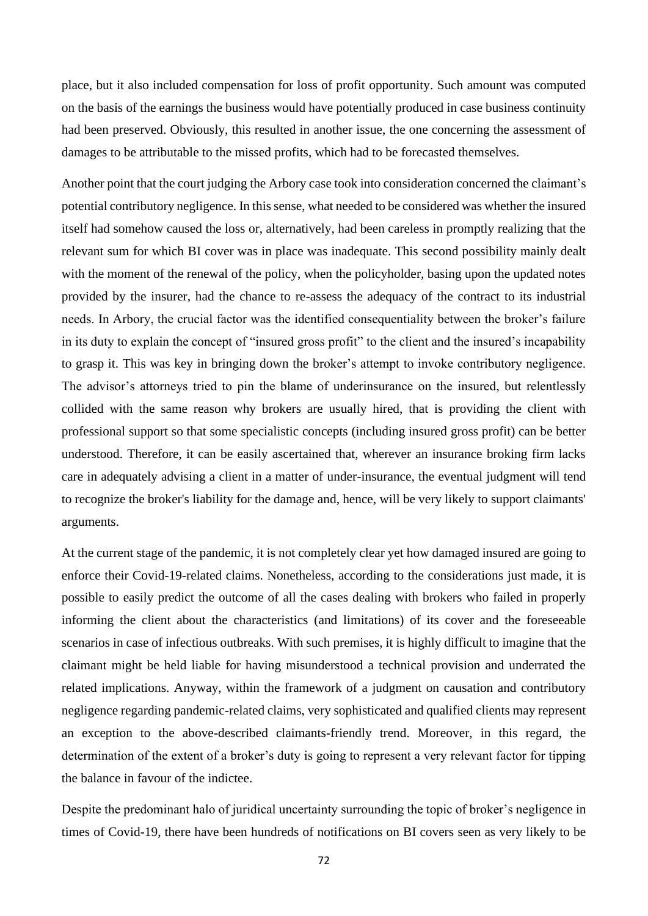place, but it also included compensation for loss of profit opportunity. Such amount was computed on the basis of the earnings the business would have potentially produced in case business continuity had been preserved. Obviously, this resulted in another issue, the one concerning the assessment of damages to be attributable to the missed profits, which had to be forecasted themselves.

Another point that the court judging the Arbory case took into consideration concerned the claimant's potential contributory negligence. In this sense, what needed to be considered was whether the insured itself had somehow caused the loss or, alternatively, had been careless in promptly realizing that the relevant sum for which BI cover was in place was inadequate. This second possibility mainly dealt with the moment of the renewal of the policy, when the policyholder, basing upon the updated notes provided by the insurer, had the chance to re-assess the adequacy of the contract to its industrial needs. In Arbory, the crucial factor was the identified consequentiality between the broker's failure in its duty to explain the concept of "insured gross profit" to the client and the insured's incapability to grasp it. This was key in bringing down the broker's attempt to invoke contributory negligence. The advisor's attorneys tried to pin the blame of underinsurance on the insured, but relentlessly collided with the same reason why brokers are usually hired, that is providing the client with professional support so that some specialistic concepts (including insured gross profit) can be better understood. Therefore, it can be easily ascertained that, wherever an insurance broking firm lacks care in adequately advising a client in a matter of under-insurance, the eventual judgment will tend to recognize the broker's liability for the damage and, hence, will be very likely to support claimants' arguments.

At the current stage of the pandemic, it is not completely clear yet how damaged insured are going to enforce their Covid-19-related claims. Nonetheless, according to the considerations just made, it is possible to easily predict the outcome of all the cases dealing with brokers who failed in properly informing the client about the characteristics (and limitations) of its cover and the foreseeable scenarios in case of infectious outbreaks. With such premises, it is highly difficult to imagine that the claimant might be held liable for having misunderstood a technical provision and underrated the related implications. Anyway, within the framework of a judgment on causation and contributory negligence regarding pandemic-related claims, very sophisticated and qualified clients may represent an exception to the above-described claimants-friendly trend. Moreover, in this regard, the determination of the extent of a broker's duty is going to represent a very relevant factor for tipping the balance in favour of the indictee.

Despite the predominant halo of juridical uncertainty surrounding the topic of broker's negligence in times of Covid-19, there have been hundreds of notifications on BI covers seen as very likely to be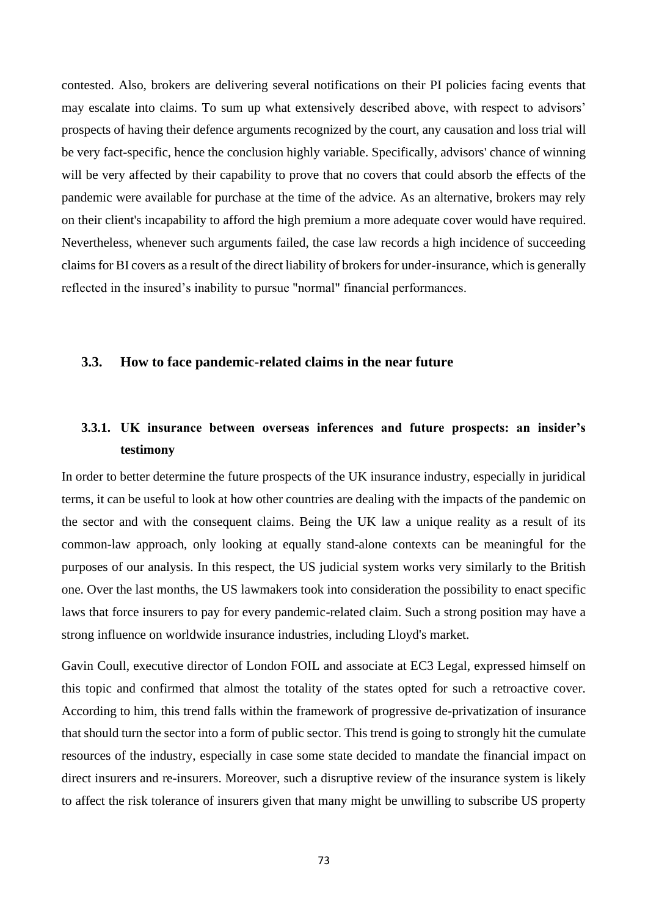contested. Also, brokers are delivering several notifications on their PI policies facing events that may escalate into claims. To sum up what extensively described above, with respect to advisors' prospects of having their defence arguments recognized by the court, any causation and loss trial will be very fact-specific, hence the conclusion highly variable. Specifically, advisors' chance of winning will be very affected by their capability to prove that no covers that could absorb the effects of the pandemic were available for purchase at the time of the advice. As an alternative, brokers may rely on their client's incapability to afford the high premium a more adequate cover would have required. Nevertheless, whenever such arguments failed, the case law records a high incidence of succeeding claims for BI covers as a result of the direct liability of brokers for under-insurance, which is generally reflected in the insured's inability to pursue "normal" financial performances.

#### **3.3. How to face pandemic-related claims in the near future**

# **3.3.1. UK insurance between overseas inferences and future prospects: an insider's testimony**

In order to better determine the future prospects of the UK insurance industry, especially in juridical terms, it can be useful to look at how other countries are dealing with the impacts of the pandemic on the sector and with the consequent claims. Being the UK law a unique reality as a result of its common-law approach, only looking at equally stand-alone contexts can be meaningful for the purposes of our analysis. In this respect, the US judicial system works very similarly to the British one. Over the last months, the US lawmakers took into consideration the possibility to enact specific laws that force insurers to pay for every pandemic-related claim. Such a strong position may have a strong influence on worldwide insurance industries, including Lloyd's market.

Gavin Coull, executive director of London FOIL and associate at EC3 Legal, expressed himself on this topic and confirmed that almost the totality of the states opted for such a retroactive cover. According to him, this trend falls within the framework of progressive de-privatization of insurance that should turn the sector into a form of public sector. This trend is going to strongly hit the cumulate resources of the industry, especially in case some state decided to mandate the financial impact on direct insurers and re-insurers. Moreover, such a disruptive review of the insurance system is likely to affect the risk tolerance of insurers given that many might be unwilling to subscribe US property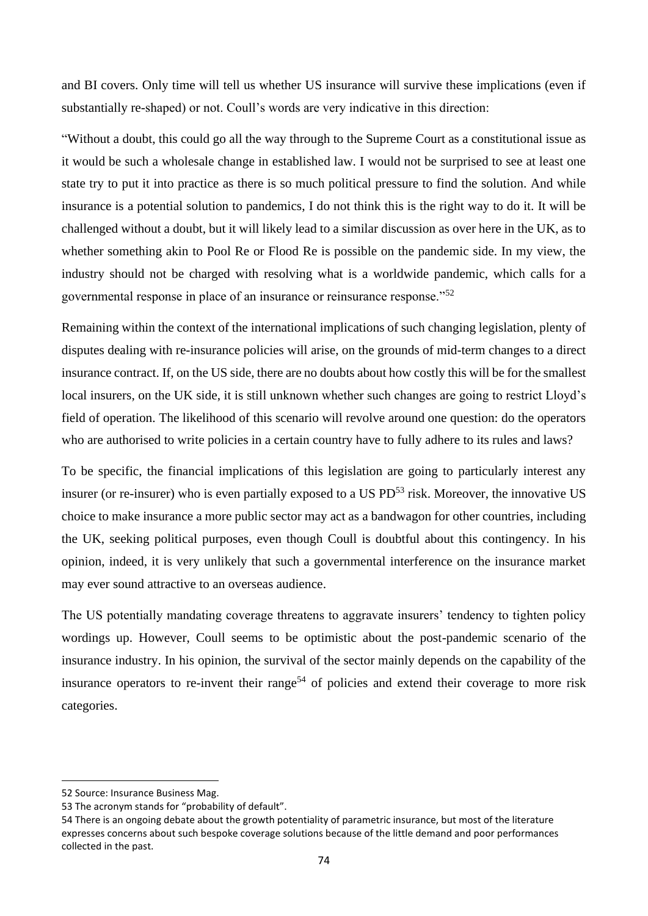and BI covers. Only time will tell us whether US insurance will survive these implications (even if substantially re-shaped) or not. Coull's words are very indicative in this direction:

"Without a doubt, this could go all the way through to the Supreme Court as a constitutional issue as it would be such a wholesale change in established law. I would not be surprised to see at least one state try to put it into practice as there is so much political pressure to find the solution. And while insurance is a potential solution to pandemics, I do not think this is the right way to do it. It will be challenged without a doubt, but it will likely lead to a similar discussion as over here in the UK, as to whether something akin to Pool Re or Flood Re is possible on the pandemic side. In my view, the industry should not be charged with resolving what is a worldwide pandemic, which calls for a governmental response in place of an insurance or reinsurance response."<sup>52</sup>

Remaining within the context of the international implications of such changing legislation, plenty of disputes dealing with re-insurance policies will arise, on the grounds of mid-term changes to a direct insurance contract. If, on the US side, there are no doubts about how costly this will be for the smallest local insurers, on the UK side, it is still unknown whether such changes are going to restrict Lloyd's field of operation. The likelihood of this scenario will revolve around one question: do the operators who are authorised to write policies in a certain country have to fully adhere to its rules and laws?

To be specific, the financial implications of this legislation are going to particularly interest any insurer (or re-insurer) who is even partially exposed to a US PD<sup>53</sup> risk. Moreover, the innovative US choice to make insurance a more public sector may act as a bandwagon for other countries, including the UK, seeking political purposes, even though Coull is doubtful about this contingency. In his opinion, indeed, it is very unlikely that such a governmental interference on the insurance market may ever sound attractive to an overseas audience.

The US potentially mandating coverage threatens to aggravate insurers' tendency to tighten policy wordings up. However, Coull seems to be optimistic about the post-pandemic scenario of the insurance industry. In his opinion, the survival of the sector mainly depends on the capability of the insurance operators to re-invent their range<sup>54</sup> of policies and extend their coverage to more risk categories.

<sup>52</sup> Source: Insurance Business Mag.

<sup>53</sup> The acronym stands for "probability of default".

<sup>54</sup> There is an ongoing debate about the growth potentiality of parametric insurance, but most of the literature expresses concerns about such bespoke coverage solutions because of the little demand and poor performances collected in the past.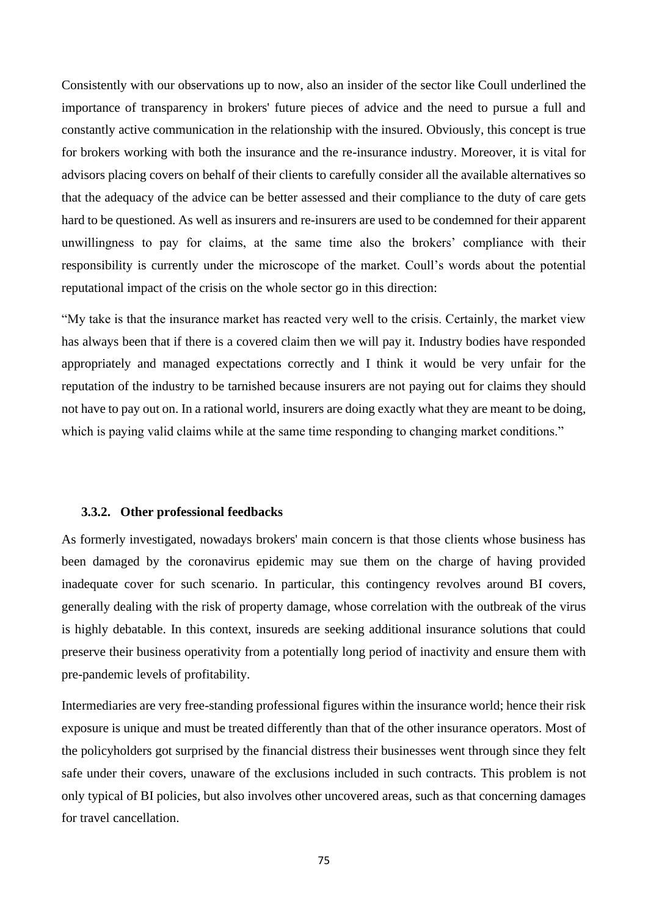Consistently with our observations up to now, also an insider of the sector like Coull underlined the importance of transparency in brokers' future pieces of advice and the need to pursue a full and constantly active communication in the relationship with the insured. Obviously, this concept is true for brokers working with both the insurance and the re-insurance industry. Moreover, it is vital for advisors placing covers on behalf of their clients to carefully consider all the available alternatives so that the adequacy of the advice can be better assessed and their compliance to the duty of care gets hard to be questioned. As well as insurers and re-insurers are used to be condemned for their apparent unwillingness to pay for claims, at the same time also the brokers' compliance with their responsibility is currently under the microscope of the market. Coull's words about the potential reputational impact of the crisis on the whole sector go in this direction:

"My take is that the insurance market has reacted very well to the crisis. Certainly, the market view has always been that if there is a covered claim then we will pay it. Industry bodies have responded appropriately and managed expectations correctly and I think it would be very unfair for the reputation of the industry to be tarnished because insurers are not paying out for claims they should not have to pay out on. In a rational world, insurers are doing exactly what they are meant to be doing, which is paying valid claims while at the same time responding to changing market conditions."

#### **3.3.2. Other professional feedbacks**

As formerly investigated, nowadays brokers' main concern is that those clients whose business has been damaged by the coronavirus epidemic may sue them on the charge of having provided inadequate cover for such scenario. In particular, this contingency revolves around BI covers, generally dealing with the risk of property damage, whose correlation with the outbreak of the virus is highly debatable. In this context, insureds are seeking additional insurance solutions that could preserve their business operativity from a potentially long period of inactivity and ensure them with pre-pandemic levels of profitability.

Intermediaries are very free-standing professional figures within the insurance world; hence their risk exposure is unique and must be treated differently than that of the other insurance operators. Most of the policyholders got surprised by the financial distress their businesses went through since they felt safe under their covers, unaware of the exclusions included in such contracts. This problem is not only typical of BI policies, but also involves other uncovered areas, such as that concerning damages for travel cancellation.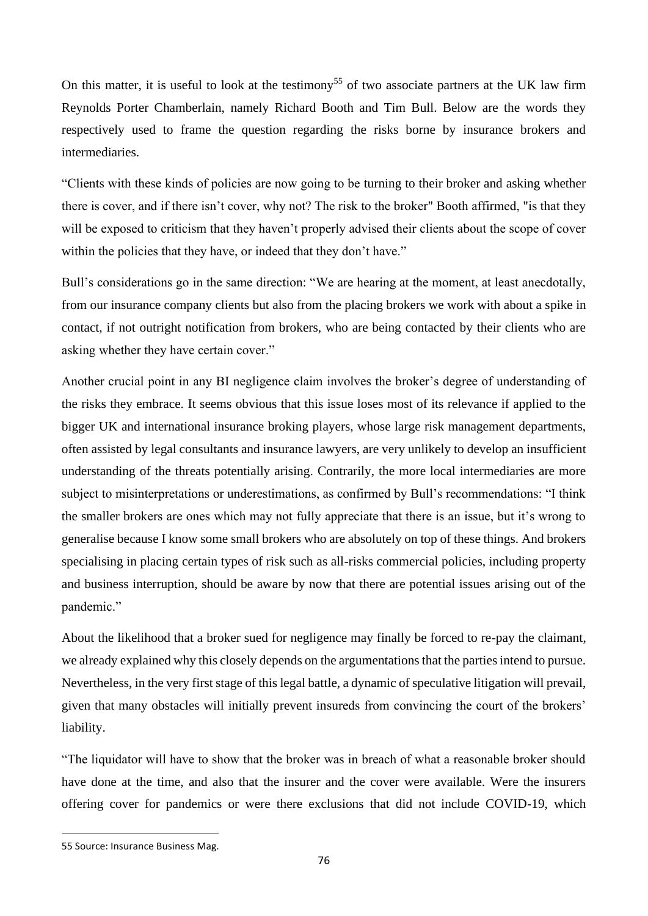On this matter, it is useful to look at the testimony<sup>55</sup> of two associate partners at the UK law firm Reynolds Porter Chamberlain, namely Richard Booth and Tim Bull. Below are the words they respectively used to frame the question regarding the risks borne by insurance brokers and intermediaries.

"Clients with these kinds of policies are now going to be turning to their broker and asking whether there is cover, and if there isn't cover, why not? The risk to the broker" Booth affirmed, "is that they will be exposed to criticism that they haven't properly advised their clients about the scope of cover within the policies that they have, or indeed that they don't have."

Bull's considerations go in the same direction: "We are hearing at the moment, at least anecdotally, from our insurance company clients but also from the placing brokers we work with about a spike in contact, if not outright notification from brokers, who are being contacted by their clients who are asking whether they have certain cover."

Another crucial point in any BI negligence claim involves the broker's degree of understanding of the risks they embrace. It seems obvious that this issue loses most of its relevance if applied to the bigger UK and international insurance broking players, whose large risk management departments, often assisted by legal consultants and insurance lawyers, are very unlikely to develop an insufficient understanding of the threats potentially arising. Contrarily, the more local intermediaries are more subject to misinterpretations or underestimations, as confirmed by Bull's recommendations: "I think the smaller brokers are ones which may not fully appreciate that there is an issue, but it's wrong to generalise because I know some small brokers who are absolutely on top of these things. And brokers specialising in placing certain types of risk such as all-risks commercial policies, including property and business interruption, should be aware by now that there are potential issues arising out of the pandemic."

About the likelihood that a broker sued for negligence may finally be forced to re-pay the claimant, we already explained why this closely depends on the argumentations that the parties intend to pursue. Nevertheless, in the very first stage of this legal battle, a dynamic of speculative litigation will prevail, given that many obstacles will initially prevent insureds from convincing the court of the brokers' liability.

"The liquidator will have to show that the broker was in breach of what a reasonable broker should have done at the time, and also that the insurer and the cover were available. Were the insurers offering cover for pandemics or were there exclusions that did not include COVID-19, which

<sup>55</sup> Source: Insurance Business Mag.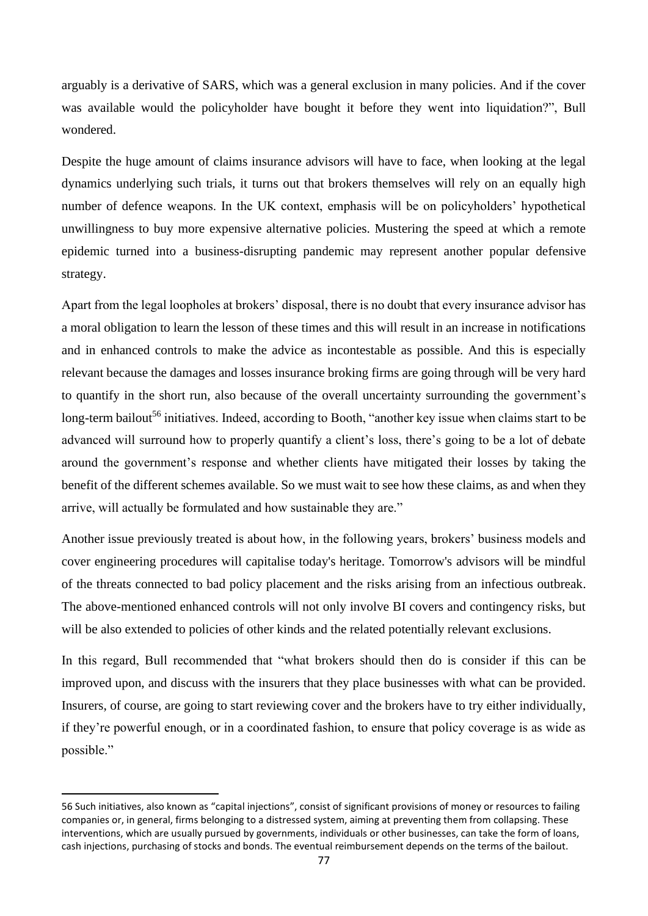arguably is a derivative of SARS, which was a general exclusion in many policies. And if the cover was available would the policyholder have bought it before they went into liquidation?", Bull wondered.

Despite the huge amount of claims insurance advisors will have to face, when looking at the legal dynamics underlying such trials, it turns out that brokers themselves will rely on an equally high number of defence weapons. In the UK context, emphasis will be on policyholders' hypothetical unwillingness to buy more expensive alternative policies. Mustering the speed at which a remote epidemic turned into a business-disrupting pandemic may represent another popular defensive strategy.

Apart from the legal loopholes at brokers' disposal, there is no doubt that every insurance advisor has a moral obligation to learn the lesson of these times and this will result in an increase in notifications and in enhanced controls to make the advice as incontestable as possible. And this is especially relevant because the damages and losses insurance broking firms are going through will be very hard to quantify in the short run, also because of the overall uncertainty surrounding the government's long-term bailout<sup>56</sup> initiatives. Indeed, according to Booth, "another key issue when claims start to be advanced will surround how to properly quantify a client's loss, there's going to be a lot of debate around the government's response and whether clients have mitigated their losses by taking the benefit of the different schemes available. So we must wait to see how these claims, as and when they arrive, will actually be formulated and how sustainable they are."

Another issue previously treated is about how, in the following years, brokers' business models and cover engineering procedures will capitalise today's heritage. Tomorrow's advisors will be mindful of the threats connected to bad policy placement and the risks arising from an infectious outbreak. The above-mentioned enhanced controls will not only involve BI covers and contingency risks, but will be also extended to policies of other kinds and the related potentially relevant exclusions.

In this regard, Bull recommended that "what brokers should then do is consider if this can be improved upon, and discuss with the insurers that they place businesses with what can be provided. Insurers, of course, are going to start reviewing cover and the brokers have to try either individually, if they're powerful enough, or in a coordinated fashion, to ensure that policy coverage is as wide as possible."

<sup>56</sup> Such initiatives, also known as "capital injections", consist of significant provisions of money or resources to failing companies or, in general, firms belonging to a distressed system, aiming at preventing them from collapsing. These interventions, which are usually pursued by governments, individuals or other businesses, can take the form of loans, cash injections, purchasing of stocks and bonds. The eventual reimbursement depends on the terms of the bailout.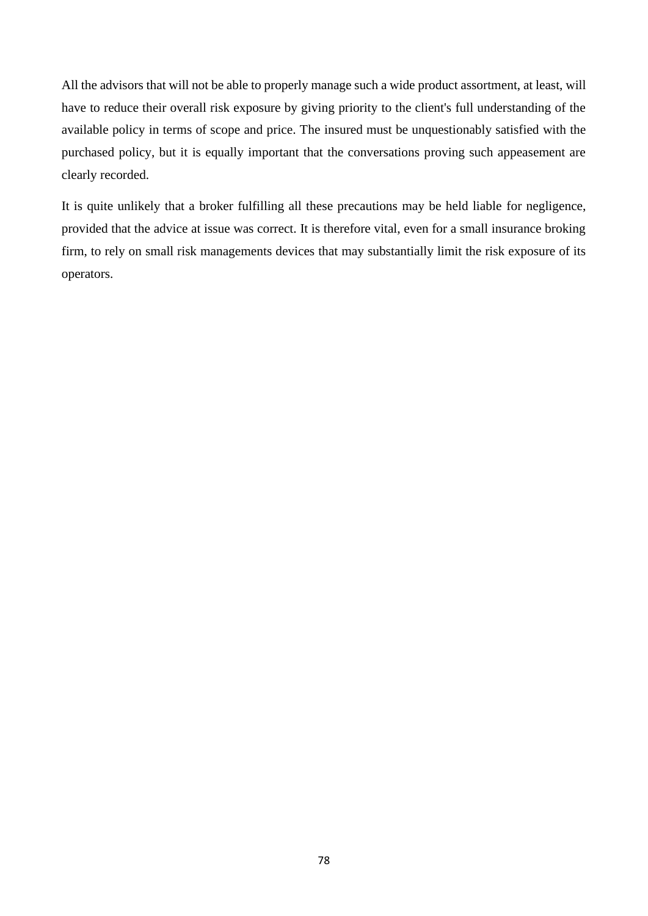All the advisors that will not be able to properly manage such a wide product assortment, at least, will have to reduce their overall risk exposure by giving priority to the client's full understanding of the available policy in terms of scope and price. The insured must be unquestionably satisfied with the purchased policy, but it is equally important that the conversations proving such appeasement are clearly recorded.

It is quite unlikely that a broker fulfilling all these precautions may be held liable for negligence, provided that the advice at issue was correct. It is therefore vital, even for a small insurance broking firm, to rely on small risk managements devices that may substantially limit the risk exposure of its operators.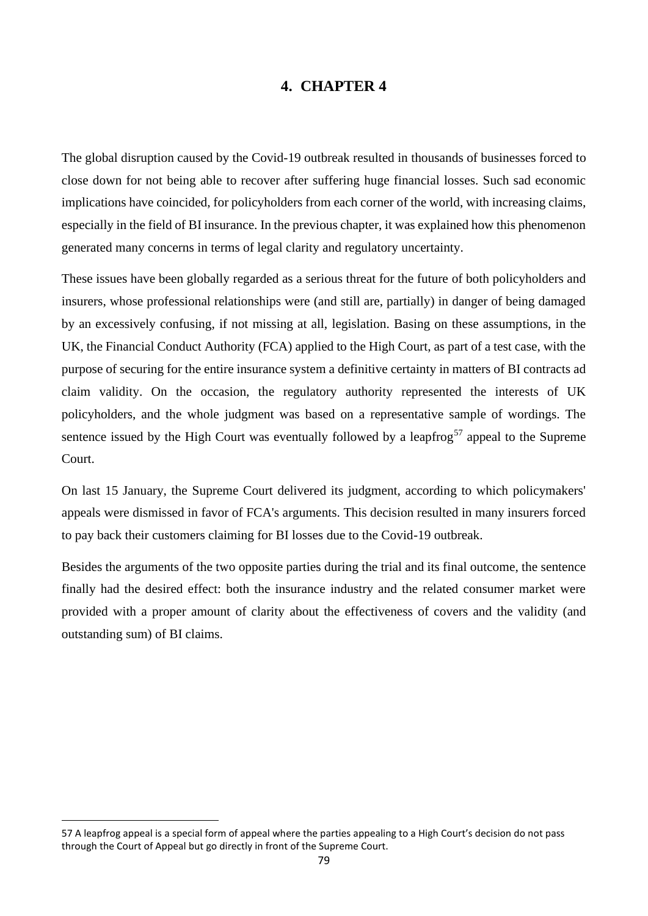# **4. CHAPTER 4**

The global disruption caused by the Covid-19 outbreak resulted in thousands of businesses forced to close down for not being able to recover after suffering huge financial losses. Such sad economic implications have coincided, for policyholders from each corner of the world, with increasing claims, especially in the field of BI insurance. In the previous chapter, it was explained how this phenomenon generated many concerns in terms of legal clarity and regulatory uncertainty.

These issues have been globally regarded as a serious threat for the future of both policyholders and insurers, whose professional relationships were (and still are, partially) in danger of being damaged by an excessively confusing, if not missing at all, legislation. Basing on these assumptions, in the UK, the Financial Conduct Authority (FCA) applied to the High Court, as part of a test case, with the purpose of securing for the entire insurance system a definitive certainty in matters of BI contracts ad claim validity. On the occasion, the regulatory authority represented the interests of UK policyholders, and the whole judgment was based on a representative sample of wordings. The sentence issued by the High Court was eventually followed by a leapfrog<sup>57</sup> appeal to the Supreme Court.

On last 15 January, the Supreme Court delivered its judgment, according to which policymakers' appeals were dismissed in favor of FCA's arguments. This decision resulted in many insurers forced to pay back their customers claiming for BI losses due to the Covid-19 outbreak.

Besides the arguments of the two opposite parties during the trial and its final outcome, the sentence finally had the desired effect: both the insurance industry and the related consumer market were provided with a proper amount of clarity about the effectiveness of covers and the validity (and outstanding sum) of BI claims.

<sup>57</sup> A leapfrog appeal is a special form of appeal where the parties appealing to a High Court's decision do not pass through the Court of Appeal but go directly in front of the Supreme Court.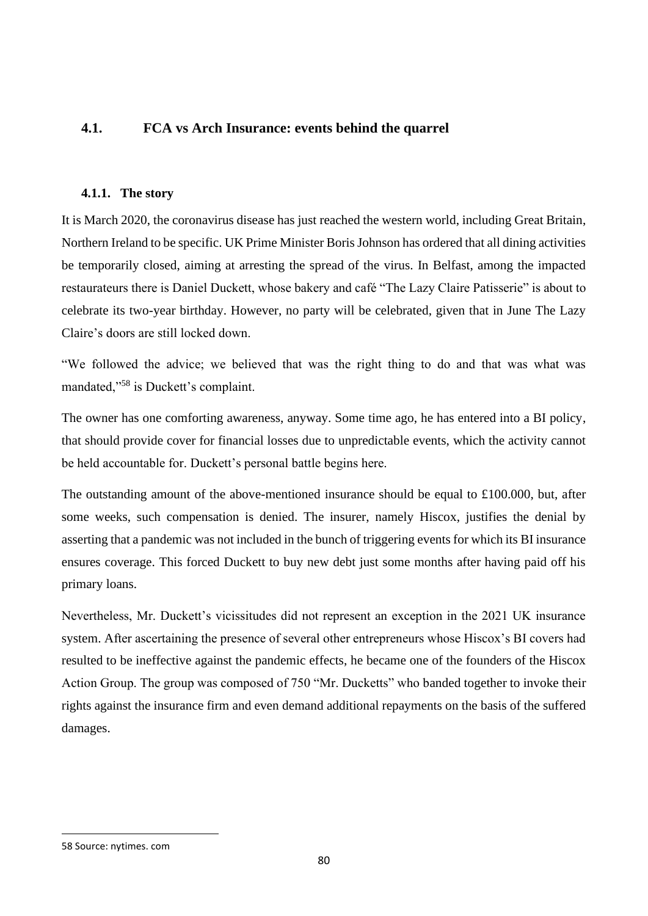## **4.1. FCA vs Arch Insurance: events behind the quarrel**

### **4.1.1. The story**

It is March 2020, the coronavirus disease has just reached the western world, including Great Britain, Northern Ireland to be specific. UK Prime Minister Boris Johnson has ordered that all dining activities be temporarily closed, aiming at arresting the spread of the virus. In Belfast, among the impacted restaurateurs there is Daniel Duckett, whose bakery and café "The Lazy Claire Patisserie" is about to celebrate its two-year birthday. However, no party will be celebrated, given that in June The Lazy Claire's doors are still locked down.

"We followed the advice; we believed that was the right thing to do and that was what was mandated,"<sup>58</sup> is Duckett's complaint.

The owner has one comforting awareness, anyway. Some time ago, he has entered into a BI policy, that should provide cover for financial losses due to unpredictable events, which the activity cannot be held accountable for. Duckett's personal battle begins here.

The outstanding amount of the above-mentioned insurance should be equal to  $\pounds 100.000$ , but, after some weeks, such compensation is denied. The insurer, namely Hiscox, justifies the denial by asserting that a pandemic was not included in the bunch of triggering events for which its BI insurance ensures coverage. This forced Duckett to buy new debt just some months after having paid off his primary loans.

Nevertheless, Mr. Duckett's vicissitudes did not represent an exception in the 2021 UK insurance system. After ascertaining the presence of several other entrepreneurs whose Hiscox's BI covers had resulted to be ineffective against the pandemic effects, he became one of the founders of the Hiscox Action Group. The group was composed of 750 "Mr. Ducketts" who banded together to invoke their rights against the insurance firm and even demand additional repayments on the basis of the suffered damages.

<sup>58</sup> Source: nytimes. com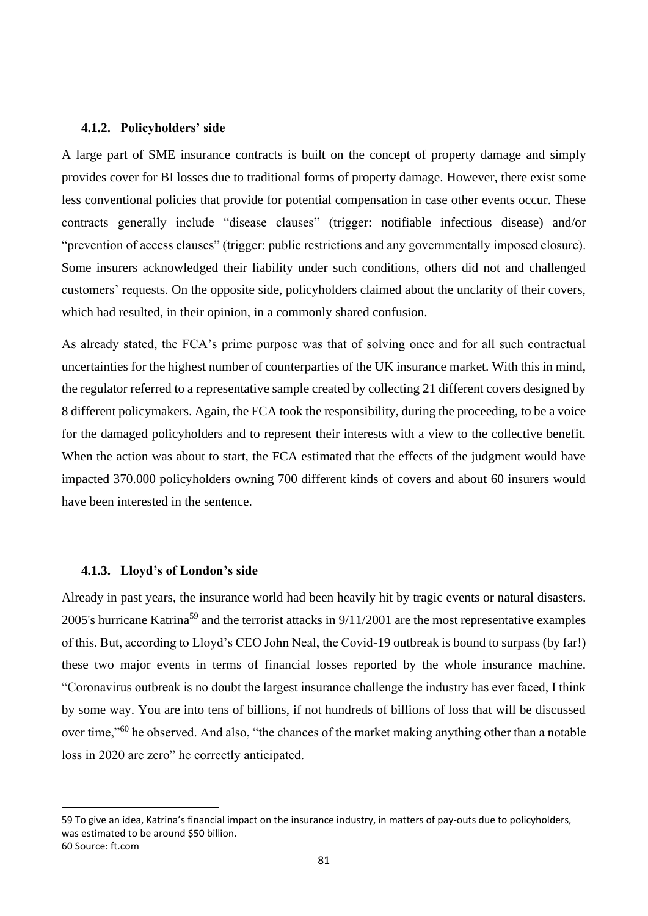#### **4.1.2. Policyholders' side**

A large part of SME insurance contracts is built on the concept of property damage and simply provides cover for BI losses due to traditional forms of property damage. However, there exist some less conventional policies that provide for potential compensation in case other events occur. These contracts generally include "disease clauses" (trigger: notifiable infectious disease) and/or "prevention of access clauses" (trigger: public restrictions and any governmentally imposed closure). Some insurers acknowledged their liability under such conditions, others did not and challenged customers' requests. On the opposite side, policyholders claimed about the unclarity of their covers, which had resulted, in their opinion, in a commonly shared confusion.

As already stated, the FCA's prime purpose was that of solving once and for all such contractual uncertainties for the highest number of counterparties of the UK insurance market. With this in mind, the regulator referred to a representative sample created by collecting 21 different covers designed by 8 different policymakers. Again, the FCA took the responsibility, during the proceeding, to be a voice for the damaged policyholders and to represent their interests with a view to the collective benefit. When the action was about to start, the FCA estimated that the effects of the judgment would have impacted 370.000 policyholders owning 700 different kinds of covers and about 60 insurers would have been interested in the sentence.

#### **4.1.3. Lloyd's of London's side**

Already in past years, the insurance world had been heavily hit by tragic events or natural disasters. 2005's hurricane Katrina<sup>59</sup> and the terrorist attacks in 9/11/2001 are the most representative examples of this. But, according to Lloyd's CEO John Neal, the Covid-19 outbreak is bound to surpass (by far!) these two major events in terms of financial losses reported by the whole insurance machine. "Coronavirus outbreak is no doubt the largest insurance challenge the industry has ever faced, I think by some way. You are into tens of billions, if not hundreds of billions of loss that will be discussed over time,"<sup>60</sup> he observed. And also, "the chances of the market making anything other than a notable loss in 2020 are zero" he correctly anticipated.

<sup>59</sup> To give an idea, Katrina's financial impact on the insurance industry, in matters of pay-outs due to policyholders, was estimated to be around \$50 billion. 60 Source: ft.com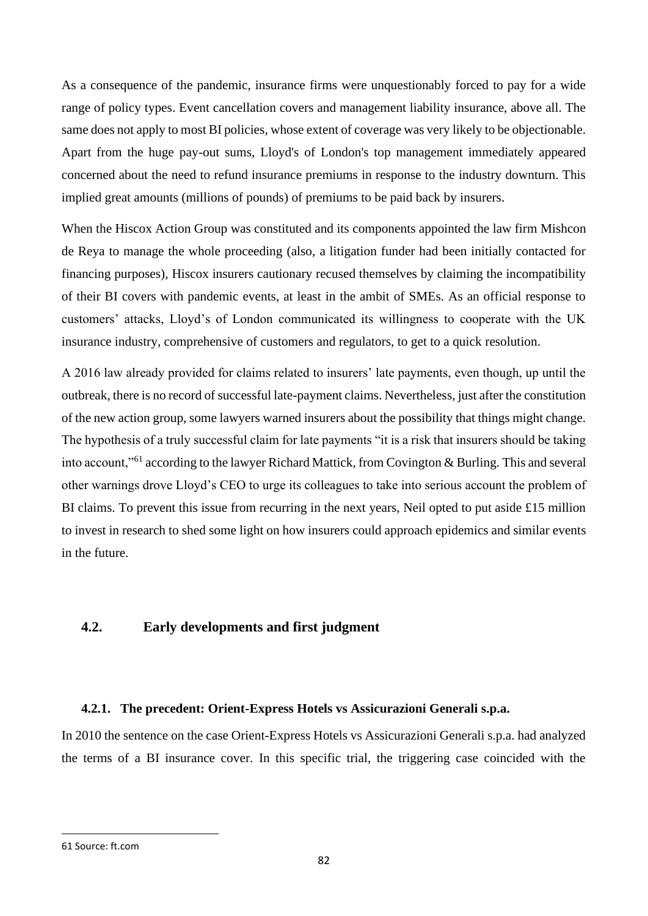As a consequence of the pandemic, insurance firms were unquestionably forced to pay for a wide range of policy types. Event cancellation covers and management liability insurance, above all. The same does not apply to most BI policies, whose extent of coverage was very likely to be objectionable. Apart from the huge pay-out sums, Lloyd's of London's top management immediately appeared concerned about the need to refund insurance premiums in response to the industry downturn. This implied great amounts (millions of pounds) of premiums to be paid back by insurers.

When the Hiscox Action Group was constituted and its components appointed the law firm Mishcon de Reya to manage the whole proceeding (also, a litigation funder had been initially contacted for financing purposes), Hiscox insurers cautionary recused themselves by claiming the incompatibility of their BI covers with pandemic events, at least in the ambit of SMEs. As an official response to customers' attacks, Lloyd's of London communicated its willingness to cooperate with the UK insurance industry, comprehensive of customers and regulators, to get to a quick resolution.

A 2016 law already provided for claims related to insurers' late payments, even though, up until the outbreak, there is no record of successful late-payment claims. Nevertheless, just after the constitution of the new action group, some lawyers warned insurers about the possibility that things might change. The hypothesis of a truly successful claim for late payments "it is a risk that insurers should be taking into account,"<sup>61</sup> according to the lawyer Richard Mattick, from Covington & Burling. This and several other warnings drove Lloyd's CEO to urge its colleagues to take into serious account the problem of BI claims. To prevent this issue from recurring in the next years, Neil opted to put aside  $\pounds 15$  million to invest in research to shed some light on how insurers could approach epidemics and similar events in the future.

## **4.2. Early developments and first judgment**

### **4.2.1. The precedent: Orient-Express Hotels vs Assicurazioni Generali s.p.a.**

In 2010 the sentence on the case Orient-Express Hotels vs Assicurazioni Generali s.p.a. had analyzed the terms of a BI insurance cover. In this specific trial, the triggering case coincided with the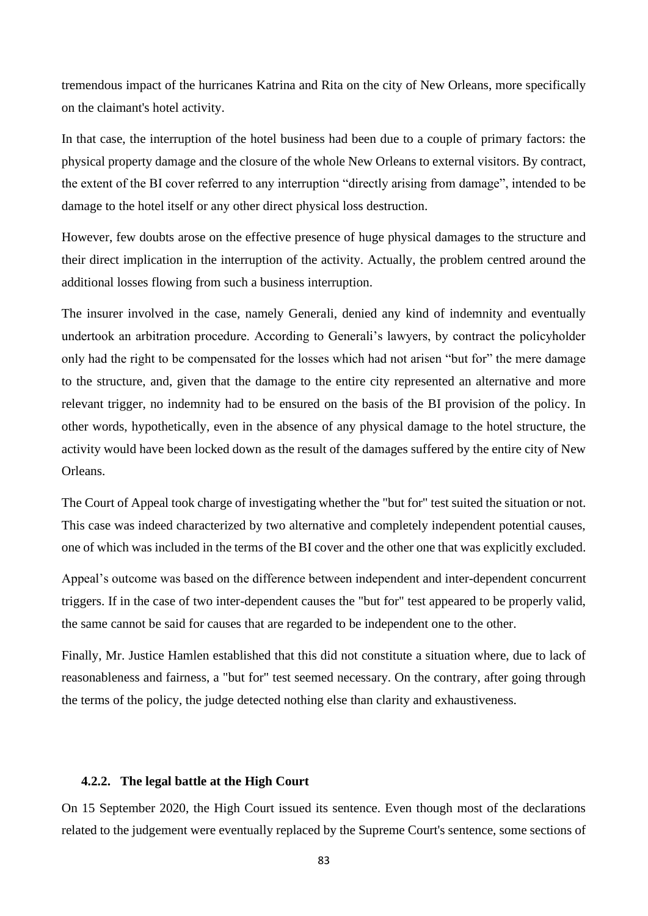tremendous impact of the hurricanes Katrina and Rita on the city of New Orleans, more specifically on the claimant's hotel activity.

In that case, the interruption of the hotel business had been due to a couple of primary factors: the physical property damage and the closure of the whole New Orleans to external visitors. By contract, the extent of the BI cover referred to any interruption "directly arising from damage", intended to be damage to the hotel itself or any other direct physical loss destruction.

However, few doubts arose on the effective presence of huge physical damages to the structure and their direct implication in the interruption of the activity. Actually, the problem centred around the additional losses flowing from such a business interruption.

The insurer involved in the case, namely Generali, denied any kind of indemnity and eventually undertook an arbitration procedure. According to Generali's lawyers, by contract the policyholder only had the right to be compensated for the losses which had not arisen "but for" the mere damage to the structure, and, given that the damage to the entire city represented an alternative and more relevant trigger, no indemnity had to be ensured on the basis of the BI provision of the policy. In other words, hypothetically, even in the absence of any physical damage to the hotel structure, the activity would have been locked down as the result of the damages suffered by the entire city of New Orleans.

The Court of Appeal took charge of investigating whether the "but for" test suited the situation or not. This case was indeed characterized by two alternative and completely independent potential causes, one of which was included in the terms of the BI cover and the other one that was explicitly excluded.

Appeal's outcome was based on the difference between independent and inter-dependent concurrent triggers. If in the case of two inter-dependent causes the "but for" test appeared to be properly valid, the same cannot be said for causes that are regarded to be independent one to the other.

Finally, Mr. Justice Hamlen established that this did not constitute a situation where, due to lack of reasonableness and fairness, a "but for" test seemed necessary. On the contrary, after going through the terms of the policy, the judge detected nothing else than clarity and exhaustiveness.

### **4.2.2. The legal battle at the High Court**

On 15 September 2020, the High Court issued its sentence. Even though most of the declarations related to the judgement were eventually replaced by the Supreme Court's sentence, some sections of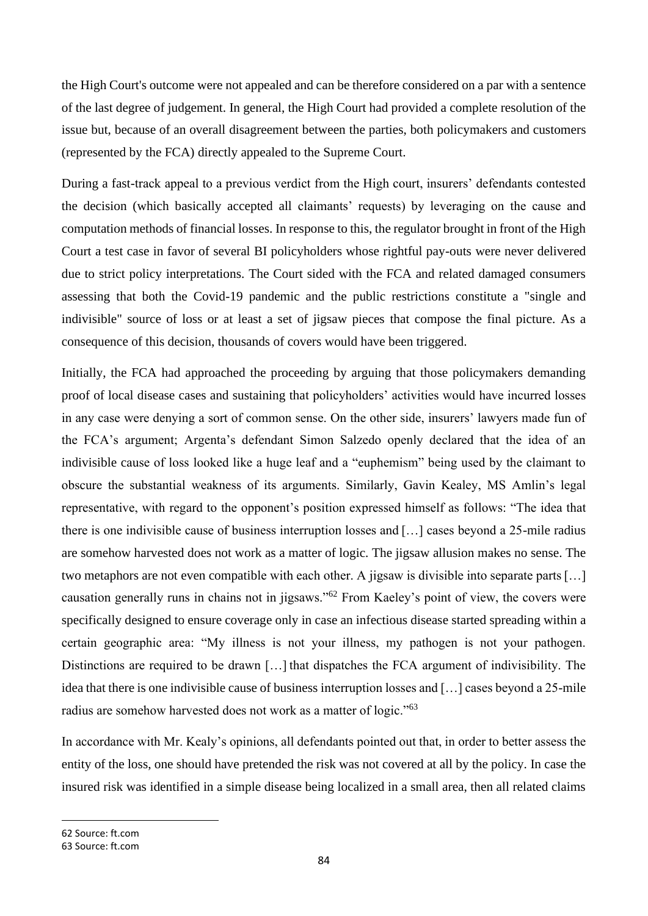the High Court's outcome were not appealed and can be therefore considered on a par with a sentence of the last degree of judgement. In general, the High Court had provided a complete resolution of the issue but, because of an overall disagreement between the parties, both policymakers and customers (represented by the FCA) directly appealed to the Supreme Court.

During a fast-track appeal to a previous verdict from the High court, insurers' defendants contested the decision (which basically accepted all claimants' requests) by leveraging on the cause and computation methods of financial losses. In response to this, the regulator brought in front of the High Court a test case in favor of several BI policyholders whose rightful pay-outs were never delivered due to strict policy interpretations. The Court sided with the FCA and related damaged consumers assessing that both the Covid-19 pandemic and the public restrictions constitute a "single and indivisible" source of loss or at least a set of jigsaw pieces that compose the final picture. As a consequence of this decision, thousands of covers would have been triggered.

Initially, the FCA had approached the proceeding by arguing that those policymakers demanding proof of local disease cases and sustaining that policyholders' activities would have incurred losses in any case were denying a sort of common sense. On the other side, insurers' lawyers made fun of the FCA's argument; Argenta's defendant Simon Salzedo openly declared that the idea of an indivisible cause of loss looked like a huge leaf and a "euphemism" being used by the claimant to obscure the substantial weakness of its arguments. Similarly, Gavin Kealey, MS Amlin's legal representative, with regard to the opponent's position expressed himself as follows: "The idea that there is one indivisible cause of business interruption losses and […] cases beyond a 25-mile radius are somehow harvested does not work as a matter of logic. The jigsaw allusion makes no sense. The two metaphors are not even compatible with each other. A jigsaw is divisible into separate parts […] causation generally runs in chains not in jigsaws."<sup>62</sup> From Kaeley's point of view, the covers were specifically designed to ensure coverage only in case an infectious disease started spreading within a certain geographic area: "My illness is not your illness, my pathogen is not your pathogen. Distinctions are required to be drawn [...] that dispatches the FCA argument of indivisibility. The idea that there is one indivisible cause of business interruption losses and […] cases beyond a 25-mile radius are somehow harvested does not work as a matter of logic."<sup>63</sup>

In accordance with Mr. Kealy's opinions, all defendants pointed out that, in order to better assess the entity of the loss, one should have pretended the risk was not covered at all by the policy. In case the insured risk was identified in a simple disease being localized in a small area, then all related claims

62 Source: ft.com

<sup>63</sup> Source: ft.com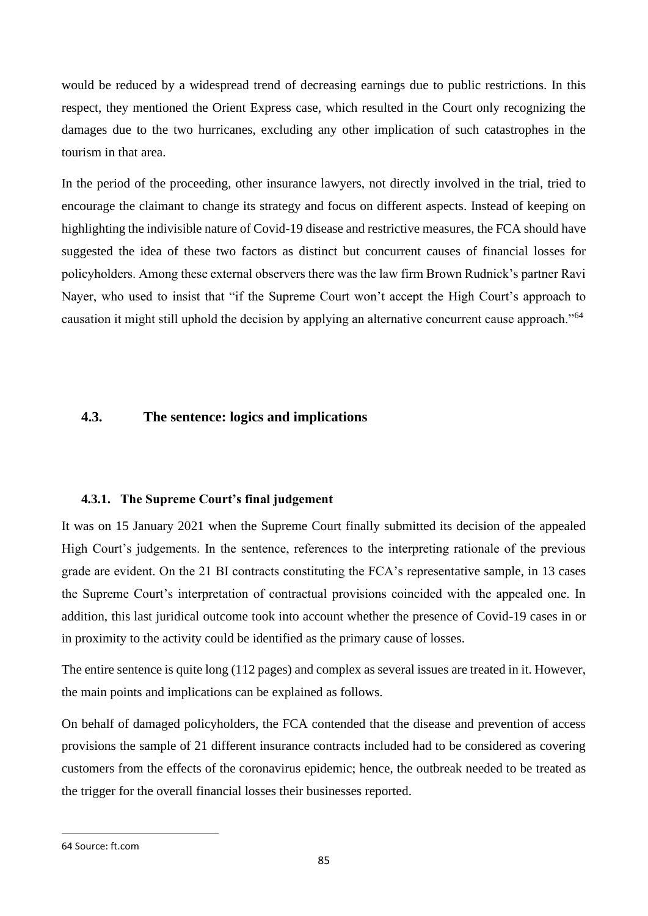would be reduced by a widespread trend of decreasing earnings due to public restrictions. In this respect, they mentioned the Orient Express case, which resulted in the Court only recognizing the damages due to the two hurricanes, excluding any other implication of such catastrophes in the tourism in that area.

In the period of the proceeding, other insurance lawyers, not directly involved in the trial, tried to encourage the claimant to change its strategy and focus on different aspects. Instead of keeping on highlighting the indivisible nature of Covid-19 disease and restrictive measures, the FCA should have suggested the idea of these two factors as distinct but concurrent causes of financial losses for policyholders. Among these external observers there was the law firm Brown Rudnick's partner Ravi Nayer, who used to insist that "if the Supreme Court won't accept the High Court's approach to causation it might still uphold the decision by applying an alternative concurrent cause approach."<sup>64</sup>

## **4.3. The sentence: logics and implications**

### **4.3.1. The Supreme Court's final judgement**

It was on 15 January 2021 when the Supreme Court finally submitted its decision of the appealed High Court's judgements. In the sentence, references to the interpreting rationale of the previous grade are evident. On the 21 BI contracts constituting the FCA's representative sample, in 13 cases the Supreme Court's interpretation of contractual provisions coincided with the appealed one. In addition, this last juridical outcome took into account whether the presence of Covid-19 cases in or in proximity to the activity could be identified as the primary cause of losses.

The entire sentence is quite long (112 pages) and complex as several issues are treated in it. However, the main points and implications can be explained as follows.

On behalf of damaged policyholders, the FCA contended that the disease and prevention of access provisions the sample of 21 different insurance contracts included had to be considered as covering customers from the effects of the coronavirus epidemic; hence, the outbreak needed to be treated as the trigger for the overall financial losses their businesses reported.

<sup>64</sup> Source: ft.com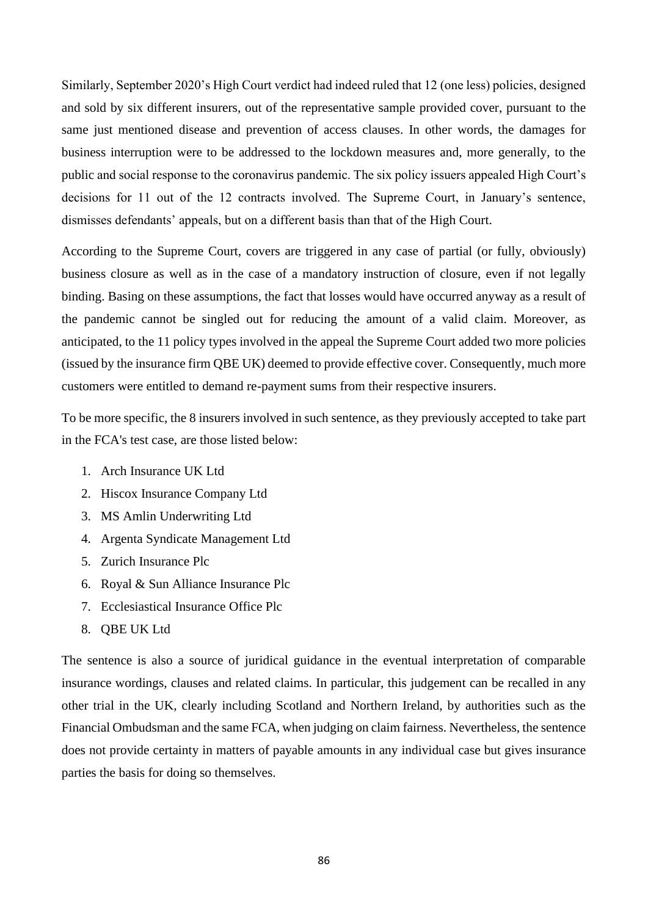Similarly, September 2020's High Court verdict had indeed ruled that 12 (one less) policies, designed and sold by six different insurers, out of the representative sample provided cover, pursuant to the same just mentioned disease and prevention of access clauses. In other words, the damages for business interruption were to be addressed to the lockdown measures and, more generally, to the public and social response to the coronavirus pandemic. The six policy issuers appealed High Court's decisions for 11 out of the 12 contracts involved. The Supreme Court, in January's sentence, dismisses defendants' appeals, but on a different basis than that of the High Court.

According to the Supreme Court, covers are triggered in any case of partial (or fully, obviously) business closure as well as in the case of a mandatory instruction of closure, even if not legally binding. Basing on these assumptions, the fact that losses would have occurred anyway as a result of the pandemic cannot be singled out for reducing the amount of a valid claim. Moreover, as anticipated, to the 11 policy types involved in the appeal the Supreme Court added two more policies (issued by the insurance firm QBE UK) deemed to provide effective cover. Consequently, much more customers were entitled to demand re-payment sums from their respective insurers.

To be more specific, the 8 insurers involved in such sentence, as they previously accepted to take part in the FCA's test case, are those listed below:

- 1. Arch Insurance UK Ltd
- 2. Hiscox Insurance Company Ltd
- 3. MS Amlin Underwriting Ltd
- 4. Argenta Syndicate Management Ltd
- 5. Zurich Insurance Plc
- 6. Royal & Sun Alliance Insurance Plc
- 7. Ecclesiastical Insurance Office Plc
- 8. QBE UK Ltd

The sentence is also a source of juridical guidance in the eventual interpretation of comparable insurance wordings, clauses and related claims. In particular, this judgement can be recalled in any other trial in the UK, clearly including Scotland and Northern Ireland, by authorities such as the Financial Ombudsman and the same FCA, when judging on claim fairness. Nevertheless, the sentence does not provide certainty in matters of payable amounts in any individual case but gives insurance parties the basis for doing so themselves.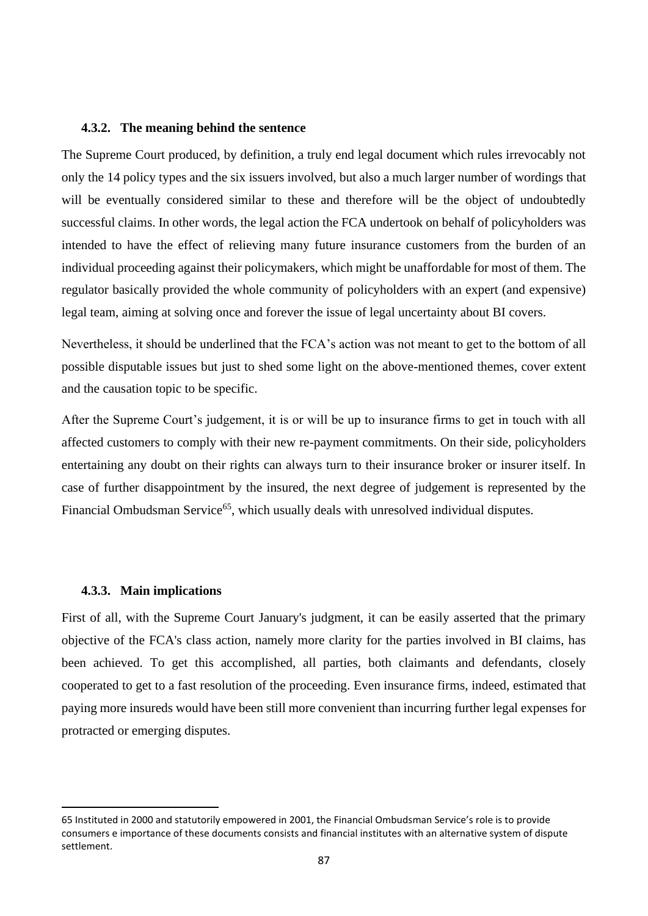#### **4.3.2. The meaning behind the sentence**

The Supreme Court produced, by definition, a truly end legal document which rules irrevocably not only the 14 policy types and the six issuers involved, but also a much larger number of wordings that will be eventually considered similar to these and therefore will be the object of undoubtedly successful claims. In other words, the legal action the FCA undertook on behalf of policyholders was intended to have the effect of relieving many future insurance customers from the burden of an individual proceeding against their policymakers, which might be unaffordable for most of them. The regulator basically provided the whole community of policyholders with an expert (and expensive) legal team, aiming at solving once and forever the issue of legal uncertainty about BI covers.

Nevertheless, it should be underlined that the FCA's action was not meant to get to the bottom of all possible disputable issues but just to shed some light on the above-mentioned themes, cover extent and the causation topic to be specific.

After the Supreme Court's judgement, it is or will be up to insurance firms to get in touch with all affected customers to comply with their new re-payment commitments. On their side, policyholders entertaining any doubt on their rights can always turn to their insurance broker or insurer itself. In case of further disappointment by the insured, the next degree of judgement is represented by the Financial Ombudsman Service<sup>65</sup>, which usually deals with unresolved individual disputes.

#### **4.3.3. Main implications**

First of all, with the Supreme Court January's judgment, it can be easily asserted that the primary objective of the FCA's class action, namely more clarity for the parties involved in BI claims, has been achieved. To get this accomplished, all parties, both claimants and defendants, closely cooperated to get to a fast resolution of the proceeding. Even insurance firms, indeed, estimated that paying more insureds would have been still more convenient than incurring further legal expenses for protracted or emerging disputes.

<sup>65</sup> Instituted in 2000 and statutorily empowered in 2001, the Financial Ombudsman Service's role is to provide consumers e importance of these documents consists and financial institutes with an alternative system of dispute settlement.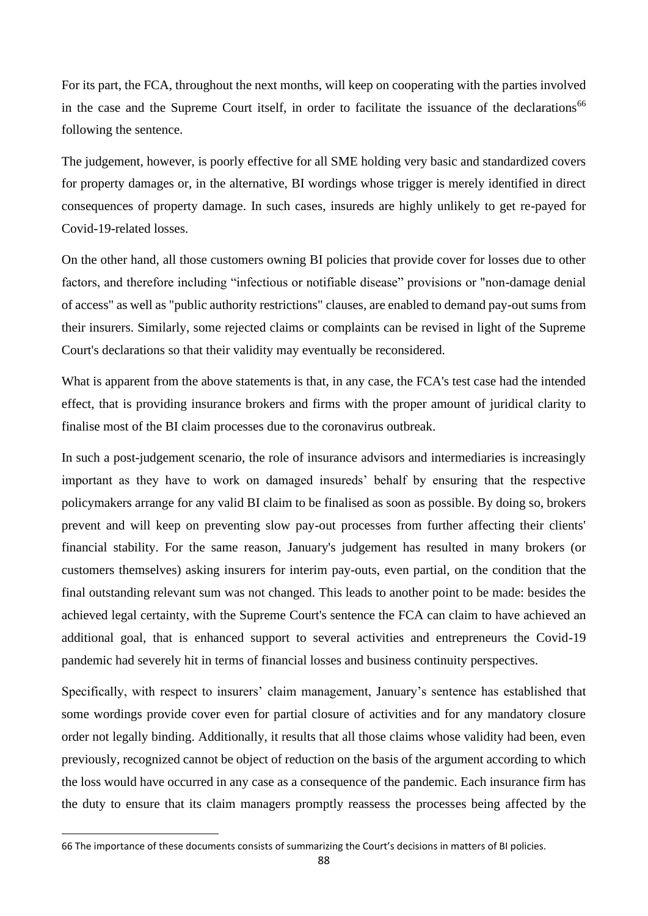For its part, the FCA, throughout the next months, will keep on cooperating with the parties involved in the case and the Supreme Court itself, in order to facilitate the issuance of the declarations<sup>66</sup> following the sentence.

The judgement, however, is poorly effective for all SME holding very basic and standardized covers for property damages or, in the alternative, BI wordings whose trigger is merely identified in direct consequences of property damage. In such cases, insureds are highly unlikely to get re-payed for Covid-19-related losses.

On the other hand, all those customers owning BI policies that provide cover for losses due to other factors, and therefore including "infectious or notifiable disease" provisions or "non-damage denial of access" as well as "public authority restrictions" clauses, are enabled to demand pay-out sums from their insurers. Similarly, some rejected claims or complaints can be revised in light of the Supreme Court's declarations so that their validity may eventually be reconsidered.

What is apparent from the above statements is that, in any case, the FCA's test case had the intended effect, that is providing insurance brokers and firms with the proper amount of juridical clarity to finalise most of the BI claim processes due to the coronavirus outbreak.

In such a post-judgement scenario, the role of insurance advisors and intermediaries is increasingly important as they have to work on damaged insureds' behalf by ensuring that the respective policymakers arrange for any valid BI claim to be finalised as soon as possible. By doing so, brokers prevent and will keep on preventing slow pay-out processes from further affecting their clients' financial stability. For the same reason, January's judgement has resulted in many brokers (or customers themselves) asking insurers for interim pay-outs, even partial, on the condition that the final outstanding relevant sum was not changed. This leads to another point to be made: besides the achieved legal certainty, with the Supreme Court's sentence the FCA can claim to have achieved an additional goal, that is enhanced support to several activities and entrepreneurs the Covid-19 pandemic had severely hit in terms of financial losses and business continuity perspectives.

Specifically, with respect to insurers' claim management, January's sentence has established that some wordings provide cover even for partial closure of activities and for any mandatory closure order not legally binding. Additionally, it results that all those claims whose validity had been, even previously, recognized cannot be object of reduction on the basis of the argument according to which the loss would have occurred in any case as a consequence of the pandemic. Each insurance firm has the duty to ensure that its claim managers promptly reassess the processes being affected by the

<sup>66</sup> The importance of these documents consists of summarizing the Court's decisions in matters of BI policies.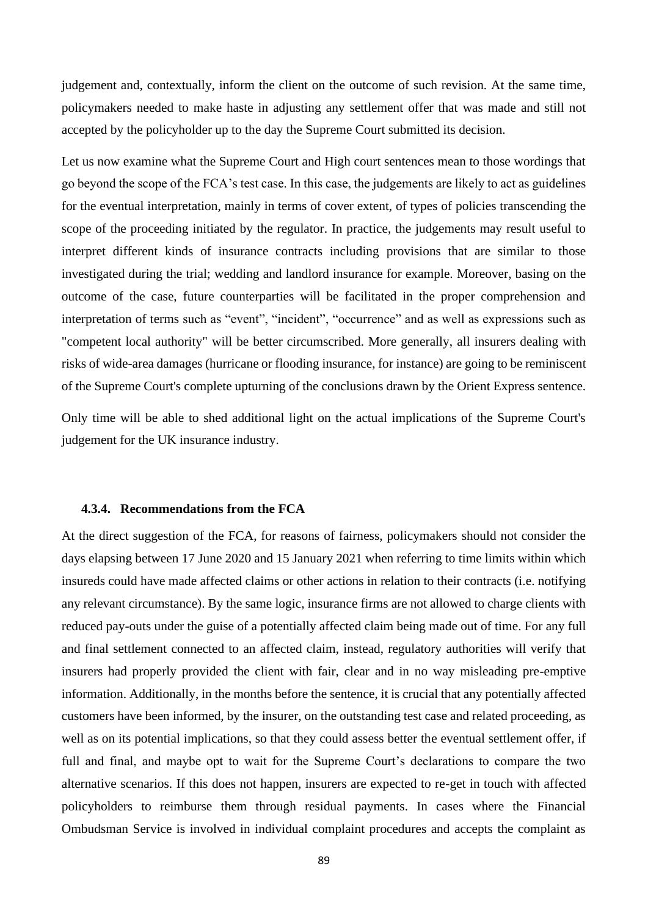judgement and, contextually, inform the client on the outcome of such revision. At the same time, policymakers needed to make haste in adjusting any settlement offer that was made and still not accepted by the policyholder up to the day the Supreme Court submitted its decision.

Let us now examine what the Supreme Court and High court sentences mean to those wordings that go beyond the scope of the FCA's test case. In this case, the judgements are likely to act as guidelines for the eventual interpretation, mainly in terms of cover extent, of types of policies transcending the scope of the proceeding initiated by the regulator. In practice, the judgements may result useful to interpret different kinds of insurance contracts including provisions that are similar to those investigated during the trial; wedding and landlord insurance for example. Moreover, basing on the outcome of the case, future counterparties will be facilitated in the proper comprehension and interpretation of terms such as "event", "incident", "occurrence" and as well as expressions such as "competent local authority" will be better circumscribed. More generally, all insurers dealing with risks of wide-area damages (hurricane or flooding insurance, for instance) are going to be reminiscent of the Supreme Court's complete upturning of the conclusions drawn by the Orient Express sentence.

Only time will be able to shed additional light on the actual implications of the Supreme Court's judgement for the UK insurance industry.

#### **4.3.4. Recommendations from the FCA**

At the direct suggestion of the FCA, for reasons of fairness, policymakers should not consider the days elapsing between 17 June 2020 and 15 January 2021 when referring to time limits within which insureds could have made affected claims or other actions in relation to their contracts (i.e. notifying any relevant circumstance). By the same logic, insurance firms are not allowed to charge clients with reduced pay-outs under the guise of a potentially affected claim being made out of time. For any full and final settlement connected to an affected claim, instead, regulatory authorities will verify that insurers had properly provided the client with fair, clear and in no way misleading pre-emptive information. Additionally, in the months before the sentence, it is crucial that any potentially affected customers have been informed, by the insurer, on the outstanding test case and related proceeding, as well as on its potential implications, so that they could assess better the eventual settlement offer, if full and final, and maybe opt to wait for the Supreme Court's declarations to compare the two alternative scenarios. If this does not happen, insurers are expected to re-get in touch with affected policyholders to reimburse them through residual payments. In cases where the Financial Ombudsman Service is involved in individual complaint procedures and accepts the complaint as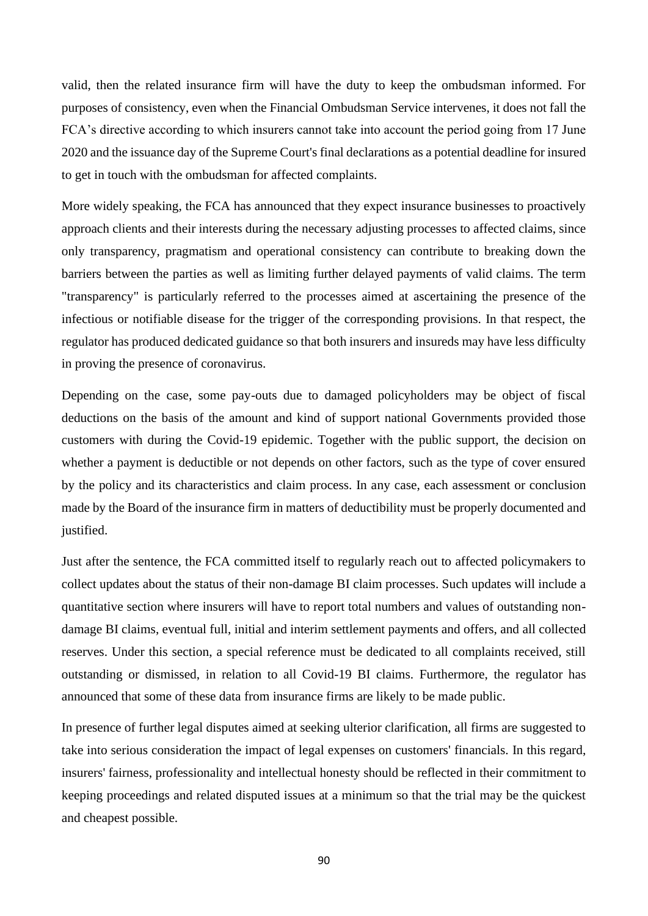valid, then the related insurance firm will have the duty to keep the ombudsman informed. For purposes of consistency, even when the Financial Ombudsman Service intervenes, it does not fall the FCA's directive according to which insurers cannot take into account the period going from 17 June 2020 and the issuance day of the Supreme Court's final declarations as a potential deadline for insured to get in touch with the ombudsman for affected complaints.

More widely speaking, the FCA has announced that they expect insurance businesses to proactively approach clients and their interests during the necessary adjusting processes to affected claims, since only transparency, pragmatism and operational consistency can contribute to breaking down the barriers between the parties as well as limiting further delayed payments of valid claims. The term "transparency" is particularly referred to the processes aimed at ascertaining the presence of the infectious or notifiable disease for the trigger of the corresponding provisions. In that respect, the regulator has produced dedicated guidance so that both insurers and insureds may have less difficulty in proving the presence of coronavirus.

Depending on the case, some pay-outs due to damaged policyholders may be object of fiscal deductions on the basis of the amount and kind of support national Governments provided those customers with during the Covid-19 epidemic. Together with the public support, the decision on whether a payment is deductible or not depends on other factors, such as the type of cover ensured by the policy and its characteristics and claim process. In any case, each assessment or conclusion made by the Board of the insurance firm in matters of deductibility must be properly documented and justified.

Just after the sentence, the FCA committed itself to regularly reach out to affected policymakers to collect updates about the status of their non-damage BI claim processes. Such updates will include a quantitative section where insurers will have to report total numbers and values of outstanding nondamage BI claims, eventual full, initial and interim settlement payments and offers, and all collected reserves. Under this section, a special reference must be dedicated to all complaints received, still outstanding or dismissed, in relation to all Covid-19 BI claims. Furthermore, the regulator has announced that some of these data from insurance firms are likely to be made public.

In presence of further legal disputes aimed at seeking ulterior clarification, all firms are suggested to take into serious consideration the impact of legal expenses on customers' financials. In this regard, insurers' fairness, professionality and intellectual honesty should be reflected in their commitment to keeping proceedings and related disputed issues at a minimum so that the trial may be the quickest and cheapest possible.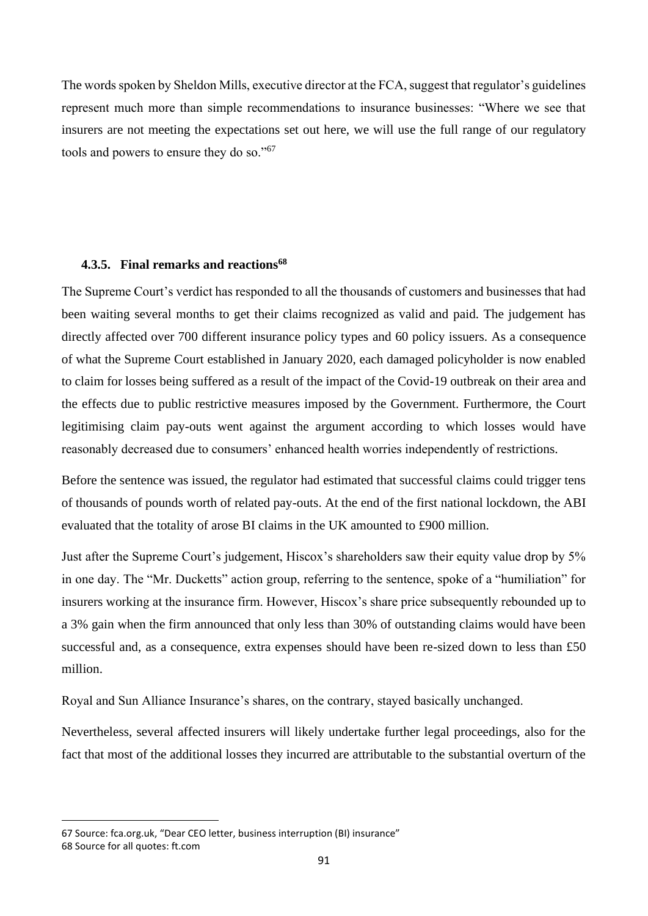The words spoken by Sheldon Mills, executive director at the FCA, suggest that regulator's guidelines represent much more than simple recommendations to insurance businesses: "Where we see that insurers are not meeting the expectations set out here, we will use the full range of our regulatory tools and powers to ensure they do so."<sup>67</sup>

#### **4.3.5. Final remarks and reactions<sup>68</sup>**

The Supreme Court's verdict has responded to all the thousands of customers and businesses that had been waiting several months to get their claims recognized as valid and paid. The judgement has directly affected over 700 different insurance policy types and 60 policy issuers. As a consequence of what the Supreme Court established in January 2020, each damaged policyholder is now enabled to claim for losses being suffered as a result of the impact of the Covid-19 outbreak on their area and the effects due to public restrictive measures imposed by the Government. Furthermore, the Court legitimising claim pay-outs went against the argument according to which losses would have reasonably decreased due to consumers' enhanced health worries independently of restrictions.

Before the sentence was issued, the regulator had estimated that successful claims could trigger tens of thousands of pounds worth of related pay-outs. At the end of the first national lockdown, the ABI evaluated that the totality of arose BI claims in the UK amounted to £900 million.

Just after the Supreme Court's judgement, Hiscox's shareholders saw their equity value drop by 5% in one day. The "Mr. Ducketts" action group, referring to the sentence, spoke of a "humiliation" for insurers working at the insurance firm. However, Hiscox's share price subsequently rebounded up to a 3% gain when the firm announced that only less than 30% of outstanding claims would have been successful and, as a consequence, extra expenses should have been re-sized down to less than £50 million.

Royal and Sun Alliance Insurance's shares, on the contrary, stayed basically unchanged.

Nevertheless, several affected insurers will likely undertake further legal proceedings, also for the fact that most of the additional losses they incurred are attributable to the substantial overturn of the

<sup>67</sup> Source: fca.org.uk, "Dear CEO letter, business interruption (BI) insurance"

<sup>68</sup> Source for all quotes: ft.com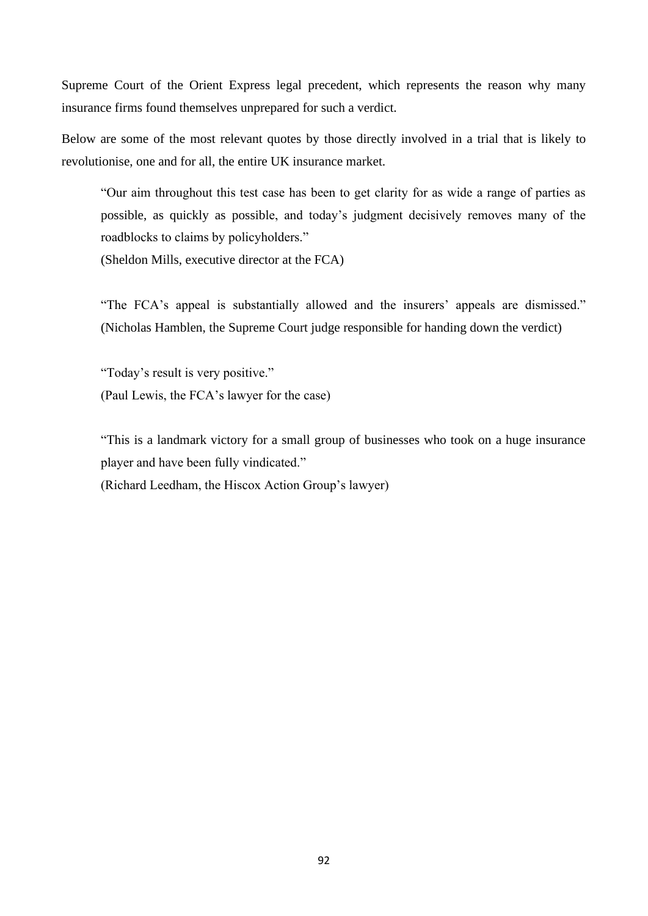Supreme Court of the Orient Express legal precedent, which represents the reason why many insurance firms found themselves unprepared for such a verdict.

Below are some of the most relevant quotes by those directly involved in a trial that is likely to revolutionise, one and for all, the entire UK insurance market.

"Our aim throughout this test case has been to get clarity for as wide a range of parties as possible, as quickly as possible, and today's judgment decisively removes many of the roadblocks to claims by policyholders."

(Sheldon Mills, executive director at the FCA)

"The FCA's appeal is substantially allowed and the insurers' appeals are dismissed." (Nicholas Hamblen, the Supreme Court judge responsible for handing down the verdict)

"Today's result is very positive." (Paul Lewis, the FCA's lawyer for the case)

"This is a landmark victory for a small group of businesses who took on a huge insurance player and have been fully vindicated."

(Richard Leedham, the Hiscox Action Group's lawyer)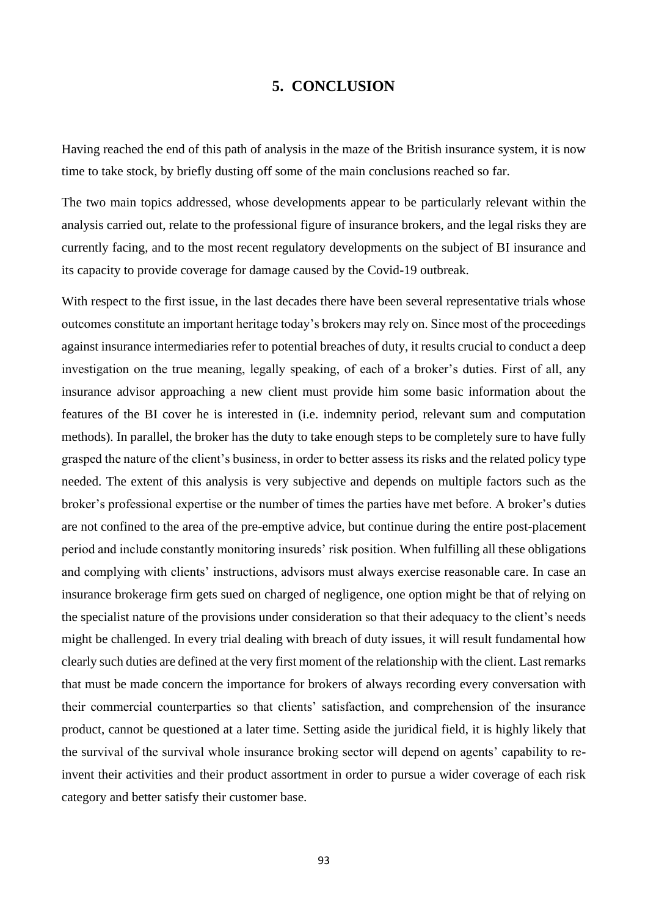### **5. CONCLUSION**

Having reached the end of this path of analysis in the maze of the British insurance system, it is now time to take stock, by briefly dusting off some of the main conclusions reached so far.

The two main topics addressed, whose developments appear to be particularly relevant within the analysis carried out, relate to the professional figure of insurance brokers, and the legal risks they are currently facing, and to the most recent regulatory developments on the subject of BI insurance and its capacity to provide coverage for damage caused by the Covid-19 outbreak.

With respect to the first issue, in the last decades there have been several representative trials whose outcomes constitute an important heritage today's brokers may rely on. Since most of the proceedings against insurance intermediaries refer to potential breaches of duty, it results crucial to conduct a deep investigation on the true meaning, legally speaking, of each of a broker's duties. First of all, any insurance advisor approaching a new client must provide him some basic information about the features of the BI cover he is interested in (i.e. indemnity period, relevant sum and computation methods). In parallel, the broker has the duty to take enough steps to be completely sure to have fully grasped the nature of the client's business, in order to better assess its risks and the related policy type needed. The extent of this analysis is very subjective and depends on multiple factors such as the broker's professional expertise or the number of times the parties have met before. A broker's duties are not confined to the area of the pre-emptive advice, but continue during the entire post-placement period and include constantly monitoring insureds' risk position. When fulfilling all these obligations and complying with clients' instructions, advisors must always exercise reasonable care. In case an insurance brokerage firm gets sued on charged of negligence, one option might be that of relying on the specialist nature of the provisions under consideration so that their adequacy to the client's needs might be challenged. In every trial dealing with breach of duty issues, it will result fundamental how clearly such duties are defined at the very first moment of the relationship with the client. Last remarks that must be made concern the importance for brokers of always recording every conversation with their commercial counterparties so that clients' satisfaction, and comprehension of the insurance product, cannot be questioned at a later time. Setting aside the juridical field, it is highly likely that the survival of the survival whole insurance broking sector will depend on agents' capability to reinvent their activities and their product assortment in order to pursue a wider coverage of each risk category and better satisfy their customer base.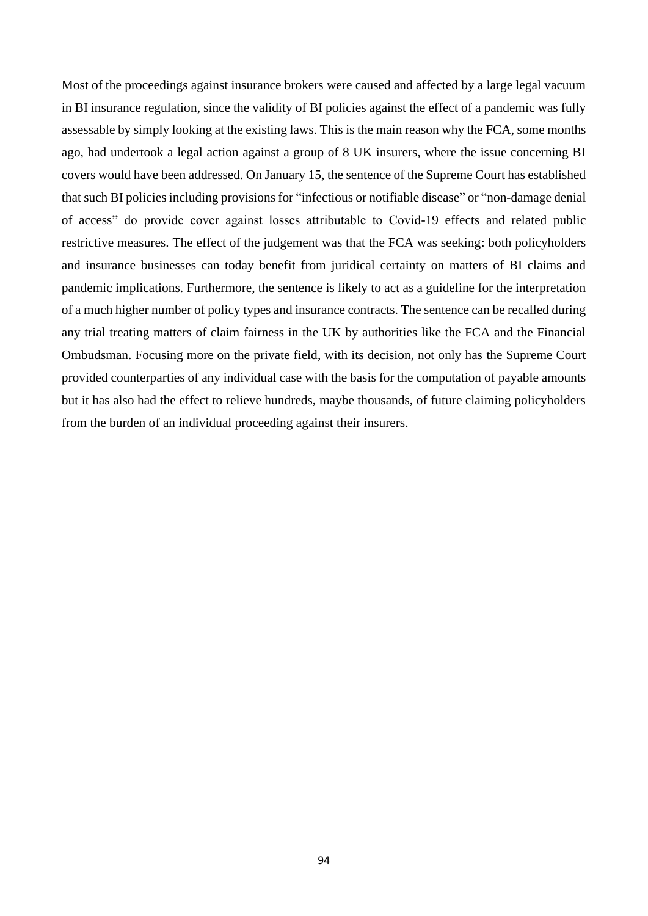Most of the proceedings against insurance brokers were caused and affected by a large legal vacuum in BI insurance regulation, since the validity of BI policies against the effect of a pandemic was fully assessable by simply looking at the existing laws. This is the main reason why the FCA, some months ago, had undertook a legal action against a group of 8 UK insurers, where the issue concerning BI covers would have been addressed. On January 15, the sentence of the Supreme Court has established that such BI policies including provisions for "infectious or notifiable disease" or "non-damage denial of access" do provide cover against losses attributable to Covid-19 effects and related public restrictive measures. The effect of the judgement was that the FCA was seeking: both policyholders and insurance businesses can today benefit from juridical certainty on matters of BI claims and pandemic implications. Furthermore, the sentence is likely to act as a guideline for the interpretation of a much higher number of policy types and insurance contracts. The sentence can be recalled during any trial treating matters of claim fairness in the UK by authorities like the FCA and the Financial Ombudsman. Focusing more on the private field, with its decision, not only has the Supreme Court provided counterparties of any individual case with the basis for the computation of payable amounts but it has also had the effect to relieve hundreds, maybe thousands, of future claiming policyholders from the burden of an individual proceeding against their insurers.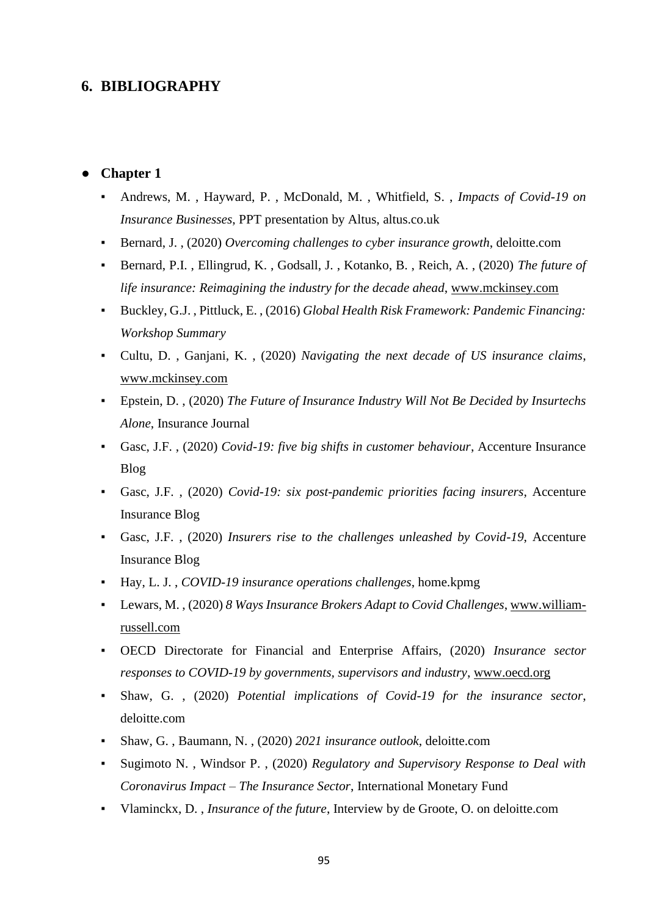# **6. BIBLIOGRAPHY**

## **Chapter 1**

- Andrews, M. , Hayward, P. , McDonald, M. , Whitfield, S. , *Impacts of Covid-19 on Insurance Businesses*, PPT presentation by Altus, altus.co.uk
- Bernard, J., (2020) *Overcoming challenges to cyber insurance growth*, deloitte.com
- Bernard, P.I., Ellingrud, K., Godsall, J., Kotanko, B., Reich, A., (2020) *The future of life insurance: Reimagining the industry for the decade ahead*, [www.mckinsey.com](http://www.mckinsey.com/)
- Buckley, G.J. , Pittluck, E. , (2016) *Global Health Risk Framework: Pandemic Financing: Workshop Summary*
- Cultu, D., Ganjani, K., (2020) *Navigating the next decade of US insurance claims*, [www.mckinsey.com](http://www.mckinsey.com/)
- Epstein, D. , (2020) *The Future of Insurance Industry Will Not Be Decided by Insurtechs Alone*, Insurance Journal
- Gasc, J.F. , (2020) *Covid-19: five big shifts in customer behaviour*, Accenture Insurance Blog
- Gasc, J.F., (2020) *Covid-19: six post-pandemic priorities facing insurers*, Accenture Insurance Blog
- Gasc, J.F., (2020) *Insurers rise to the challenges unleashed by Covid-19*, Accenture Insurance Blog
- Hay, L. J. , *COVID-19 insurance operations challenges*, home.kpmg
- Lewars, M. , (2020) *8 Ways Insurance Brokers Adapt to Covid Challenges*, [www.william](http://www.william-russell.com/)[russell.com](http://www.william-russell.com/)
- OECD Directorate for Financial and Enterprise Affairs, (2020) *Insurance sector responses to COVID-19 by governments, supervisors and industry*, [www.oecd.org](http://www.oecd.org/)
- Shaw, G., (2020) *Potential implications of Covid-19 for the insurance sector*, deloitte.com
- Shaw, G. , Baumann, N. , (2020) *2021 insurance outlook*, deloitte.com
- Sugimoto N. , Windsor P. , (2020) *Regulatory and Supervisory Response to Deal with Coronavirus Impact – The Insurance Sector*, International Monetary Fund
- Vlaminckx, D. , *Insurance of the future*, Interview by de Groote, O. on deloitte.com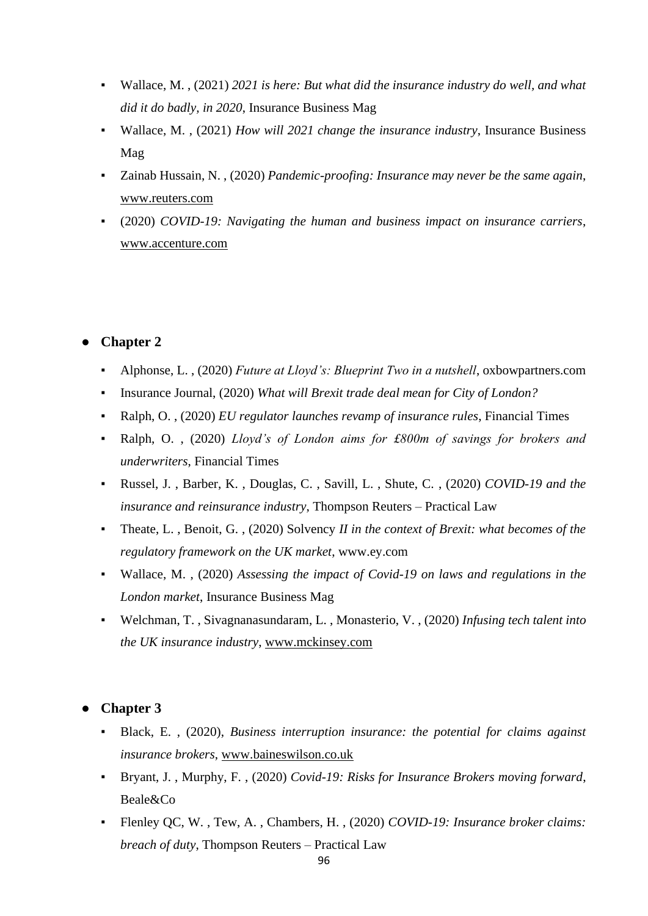- Wallace, M. , (2021) *2021 is here: But what did the insurance industry do well, and what did it do badly, in 2020*, Insurance Business Mag
- Wallace, M. , (2021) *How will 2021 change the insurance industry*, Insurance Business Mag
- Zainab Hussain, N., (2020) *Pandemic-proofing: Insurance may never be the same again*, [www.reuters.com](http://www.reuters.com/)
- (2020) *COVID-19: Navigating the human and business impact on insurance carriers*, [www.accenture.com](http://www.accenture.com/)

# **Chapter 2**

- Alphonse, L., (2020) *Future at Lloyd's: Blueprint Two in a nutshell*, oxbowpartners.com
- Insurance Journal, (2020) *What will Brexit trade deal mean for City of London?*
- Ralph, O. , (2020) *EU regulator launches revamp of insurance rules*, Financial Times
- Ralph, O. , (2020) *Lloyd's of London aims for £800m of savings for brokers and underwriters*, Financial Times
- Russel, J. , Barber, K. , Douglas, C. , Savill, L. , Shute, C. , (2020) *COVID-19 and the insurance and reinsurance industry*, Thompson Reuters – Practical Law
- Theate, L. , Benoit, G. , (2020) Solvency *II in the context of Brexit: what becomes of the regulatory framework on the UK market*, www.ey.com
- Wallace, M. , (2020) *Assessing the impact of Covid-19 on laws and regulations in the London market*, Insurance Business Mag
- Welchman, T., Sivagnanasundaram, L., Monasterio, V., (2020) *Infusing tech talent into the UK insurance industry*, [www.mckinsey.com](http://www.mckinsey.com/)

# ● **Chapter 3**

- Black, E., (2020), *Business interruption insurance: the potential for claims against insurance brokers*, [www.baineswilson.co.uk](http://www.baineswilson.co.uk/)
- Bryant, J. , Murphy, F. , (2020) *Covid-19: Risks for Insurance Brokers moving forward*, Beale&Co
- Flenley QC, W. , Tew, A. , Chambers, H. , (2020) *COVID-19: Insurance broker claims: breach of duty*, Thompson Reuters – Practical Law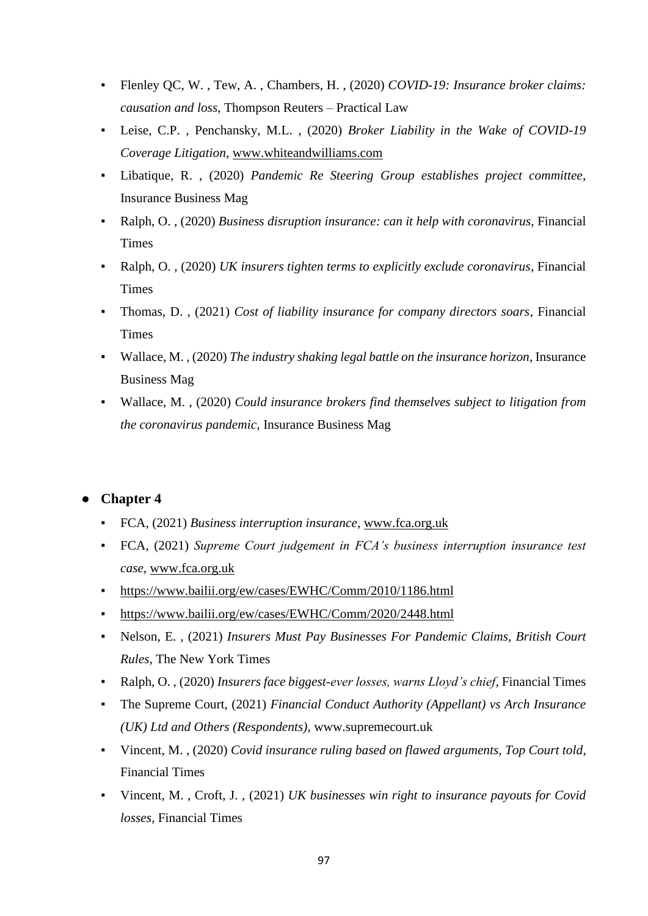- Flenley QC, W. , Tew, A. , Chambers, H. , (2020) *COVID-19: Insurance broker claims: causation and loss*, Thompson Reuters – Practical Law
- Leise, C.P. , Penchansky, M.L. , (2020) *Broker Liability in the Wake of COVID-19 Coverage Litigation*, [www.whiteandwilliams.com](http://www.whiteandwilliams.com/)
- Libatique, R., (2020) *Pandemic Re Steering Group establishes project committee*, Insurance Business Mag
- Ralph, O. , (2020) *Business disruption insurance: can it help with coronavirus*, Financial **Times**
- Ralph, O. , (2020) *UK insurers tighten terms to explicitly exclude coronavirus*, Financial **Times**
- Thomas, D. , (2021) *Cost of liability insurance for company directors soars*, Financial Times
- Wallace, M., (2020) *The industry shaking legal battle on the insurance horizon*, Insurance Business Mag
- Wallace, M., (2020) *Could insurance brokers find themselves subject to litigation from the coronavirus pandemic*, Insurance Business Mag

# ● **Chapter 4**

- FCA, (2021) *Business interruption insurance*, [www.fca.org.uk](http://www.fca.org.uk/)
- FCA, (2021) *Supreme Court judgement in FCA's business interruption insurance test case*, [www.fca.org.uk](http://www.fca.org.uk/)
- <https://www.bailii.org/ew/cases/EWHC/Comm/2010/1186.html>
- <https://www.bailii.org/ew/cases/EWHC/Comm/2020/2448.html>
- Nelson, E. , (2021) *Insurers Must Pay Businesses For Pandemic Claims, British Court Rules*, The New York Times
- Ralph, O. , (2020) *Insurers face biggest-ever losses, warns Lloyd's chief*, Financial Times
- The Supreme Court, (2021) *Financial Conduct Authority (Appellant) vs Arch Insurance (UK) Ltd and Others (Respondents)*, www.supremecourt.uk
- Vincent, M. , (2020) *Covid insurance ruling based on flawed arguments, Top Court told*, Financial Times
- Vincent, M. , Croft, J. , (2021) *UK businesses win right to insurance payouts for Covid losses*, Financial Times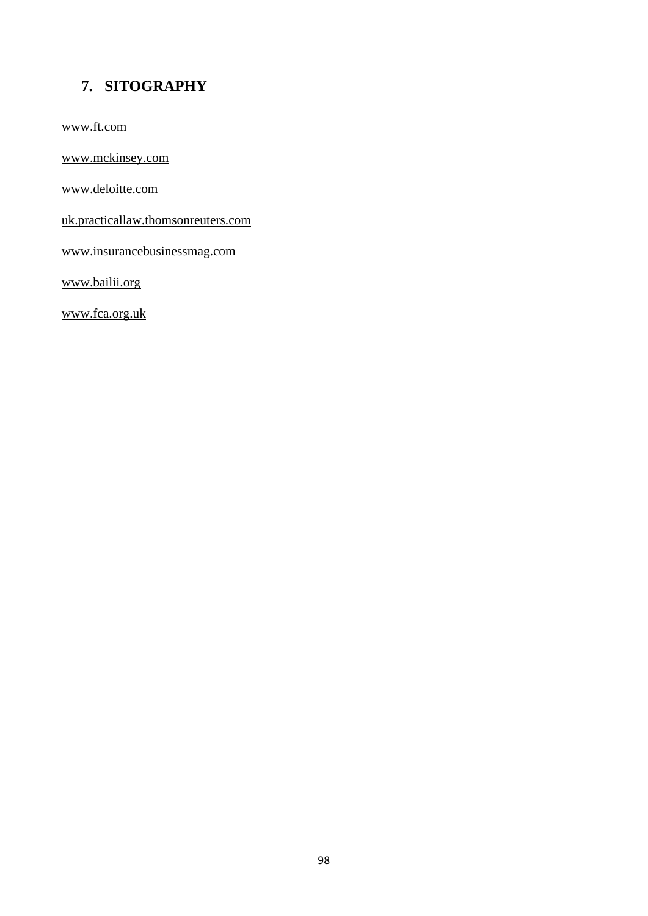# **7. SITOGRAPHY**

[www.ft.com](http://www.ft.com/)

[www.mckinsey.com](http://www.mckinsey.com/)

[www.deloitte.com](http://www.deloitte.com/)

uk.practicallaw.thomsonreuters.com

[www.insurancebusinessmag.com](http://www.insurancebusinessmag.com/)

www.bailii.org

[www.fca.org.uk](http://www.fca.org.uk/)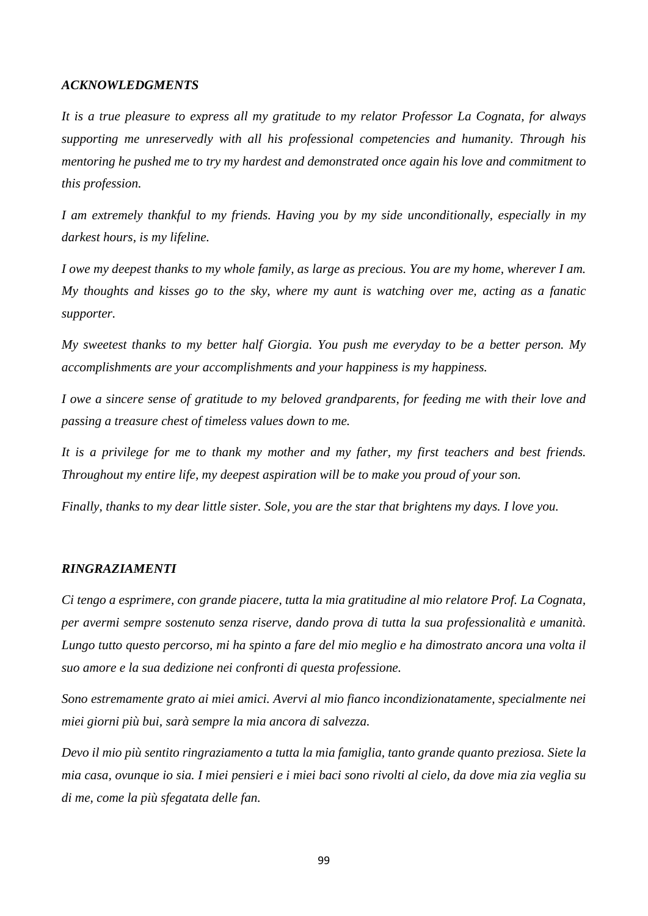#### *ACKNOWLEDGMENTS*

*It is a true pleasure to express all my gratitude to my relator Professor La Cognata, for always supporting me unreservedly with all his professional competencies and humanity. Through his mentoring he pushed me to try my hardest and demonstrated once again his love and commitment to this profession.* 

*I am extremely thankful to my friends. Having you by my side unconditionally, especially in my darkest hours, is my lifeline.* 

*I owe my deepest thanks to my whole family, as large as precious. You are my home, wherever I am. My thoughts and kisses go to the sky, where my aunt is watching over me, acting as a fanatic supporter.* 

*My sweetest thanks to my better half Giorgia. You push me everyday to be a better person. My accomplishments are your accomplishments and your happiness is my happiness.*

*I owe a sincere sense of gratitude to my beloved grandparents, for feeding me with their love and passing a treasure chest of timeless values down to me.* 

*It is a privilege for me to thank my mother and my father, my first teachers and best friends. Throughout my entire life, my deepest aspiration will be to make you proud of your son.* 

*Finally, thanks to my dear little sister. Sole, you are the star that brightens my days. I love you.*

#### *RINGRAZIAMENTI*

*Ci tengo a esprimere, con grande piacere, tutta la mia gratitudine al mio relatore Prof. La Cognata, per avermi sempre sostenuto senza riserve, dando prova di tutta la sua professionalità e umanità. Lungo tutto questo percorso, mi ha spinto a fare del mio meglio e ha dimostrato ancora una volta il suo amore e la sua dedizione nei confronti di questa professione.*

*Sono estremamente grato ai miei amici. Avervi al mio fianco incondizionatamente, specialmente nei miei giorni più bui, sarà sempre la mia ancora di salvezza.*

*Devo il mio più sentito ringraziamento a tutta la mia famiglia, tanto grande quanto preziosa. Siete la mia casa, ovunque io sia. I miei pensieri e i miei baci sono rivolti al cielo, da dove mia zia veglia su di me, come la più sfegatata delle fan.*